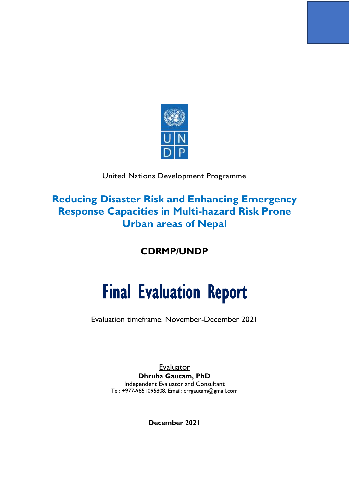

### United Nations Development Programme

## **Reducing Disaster Risk and Enhancing Emergency Response Capacities in Multi-hazard Risk Prone Urban areas of Nepal**

**CDRMP/UNDP**

# Final Evaluation Report

Evaluation timeframe: November-December 2021

**Evaluator Dhruba Gautam, PhD** Independent Evaluator and Consultant Tel: +977-9851095808, Email: drrgautam@gmail.com

**December 2021**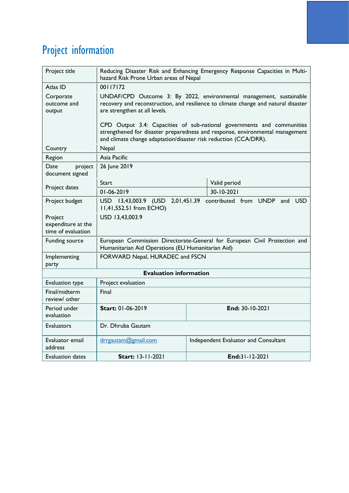## <span id="page-1-0"></span>Project information

| Project title                                       | Reducing Disaster Risk and Enhancing Emergency Response Capacities in Multi-<br>hazard Risk Prone Urban areas of Nepal                                                                                                      |  |                       |
|-----------------------------------------------------|-----------------------------------------------------------------------------------------------------------------------------------------------------------------------------------------------------------------------------|--|-----------------------|
| Atlas ID                                            | 00117172                                                                                                                                                                                                                    |  |                       |
| Corporate<br>outcome and<br>output                  | UNDAF/CPD Outcome 3: By 2022, environmental management, sustainable<br>recovery and reconstruction, and resilience to climate change and natural disaster<br>are strengthen at all levels.                                  |  |                       |
|                                                     | CPD Output 3.4: Capacities of sub-national governments and communities<br>strengthened for disaster preparedness and response, environmental management<br>and climate change adaptation/disaster risk reduction (CCA/DRR). |  |                       |
| Country                                             | Nepal                                                                                                                                                                                                                       |  |                       |
| Region                                              | Asia Pacific                                                                                                                                                                                                                |  |                       |
| Date<br>project<br>document signed                  | 26 June 2019                                                                                                                                                                                                                |  |                       |
| Project dates                                       | Start                                                                                                                                                                                                                       |  | Valid period          |
|                                                     | 01-06-2019                                                                                                                                                                                                                  |  | 30-10-2021            |
| Project budget                                      | USD 13,43,003.9 (USD<br>2,01,451.39<br>contributed from UNDP<br><b>USD</b><br>and<br>11,41,552.51 from ECHO)                                                                                                                |  |                       |
| Project<br>expenditure at the<br>time of evaluation | USD 13,43,003.9                                                                                                                                                                                                             |  |                       |
| Funding source                                      | European Commission Directorate-General for European Civil Protection and<br>Humanitarian Aid Operations (EU Humanitarian Aid)                                                                                              |  |                       |
| Implementing<br>party                               | FORWARD Nepal, HURADEC and FSCN                                                                                                                                                                                             |  |                       |
|                                                     | <b>Evaluation information</b>                                                                                                                                                                                               |  |                       |
| Evaluation type                                     | Project evaluation                                                                                                                                                                                                          |  |                       |
| Final/midterm<br>review/ other                      | Final                                                                                                                                                                                                                       |  |                       |
| Period under<br>evaluation                          | Start: 01-06-2019<br>End: 30-10-2021                                                                                                                                                                                        |  |                       |
| <b>Evaluators</b>                                   | Dr. Dhruba Gautam                                                                                                                                                                                                           |  |                       |
| Evaluator email<br>address                          | drrgautam@gmail.com<br>Independent Evaluator and Consultant                                                                                                                                                                 |  |                       |
| Evaluation dates                                    | <b>Start: 13-11-2021</b>                                                                                                                                                                                                    |  | End: $31 - 12 - 2021$ |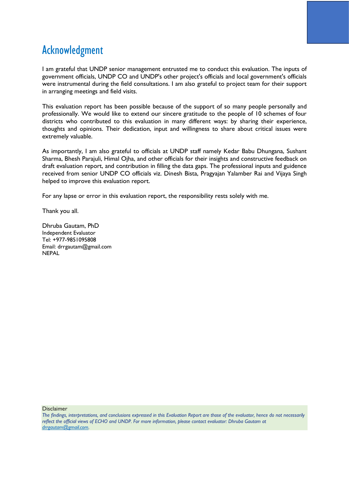## <span id="page-2-0"></span>Acknowledgment

I am grateful that UNDP senior management entrusted me to conduct this evaluation. The inputs of government officials, UNDP CO and UNDP's other project's officials and local government's officials were instrumental during the field consultations. I am also grateful to project team for their support in arranging meetings and field visits.

This evaluation report has been possible because of the support of so many people personally and professionally. We would like to extend our sincere gratitude to the people of 10 schemes of four districts who contributed to this evaluation in many different ways: by sharing their experience, thoughts and opinions. Their dedication, input and willingness to share about critical issues were extremely valuable.

As importantly, I am also grateful to officials at UNDP staff namely Kedar Babu Dhungana, Sushant Sharma, Bhesh Parajuli, Himal Ojha, and other officials for their insights and constructive feedback on draft evaluation report, and contribution in filling the data gaps. The professional inputs and guidence received from senior UNDP CO officials viz. Dinesh Bista, Pragyajan Yalamber Rai and Vijaya Singh helped to improve this evaluation report.

For any lapse or error in this evaluation report, the responsibility rests solely with me.

Thank you all.

Dhruba Gautam, PhD Independent Evaluator Tel: +977-9851095808 Email: drrgautam@gmail.com NEPAL

**Disclaimer** 

*The findings, interpretations, and conclusions expressed in this Evaluation Report are those of the evaluator, hence do not necessarily reflect the official views of ECHO and UNDP. For more information, please contact evaluator: Dhruba Gautam at [drrgautam@gmail.com.](mailto:drrgautam@gmail.com)*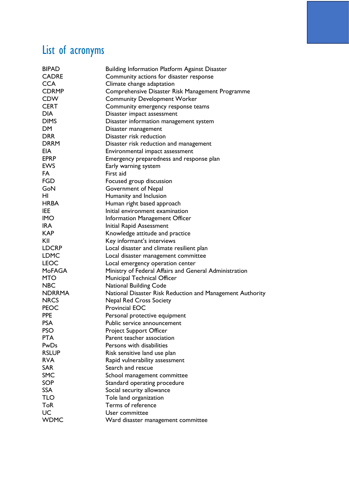## <span id="page-3-0"></span>List of acronyms

| <b>BIPAD</b>  | <b>Building Information Platform Against Disaster</b>     |
|---------------|-----------------------------------------------------------|
| <b>CADRE</b>  | Community actions for disaster response                   |
| <b>CCA</b>    | Climate change adaptation                                 |
| <b>CDRMP</b>  | Comprehensive Disaster Risk Management Programme          |
| <b>CDW</b>    | <b>Community Development Worker</b>                       |
| <b>CERT</b>   | Community emergency response teams                        |
| <b>DIA</b>    | Disaster impact assessment                                |
| <b>DIMS</b>   | Disaster information management system                    |
| <b>DM</b>     | Disaster management                                       |
| <b>DRR</b>    | Disaster risk reduction                                   |
| <b>DRRM</b>   | Disaster risk reduction and management                    |
| EIA           | Environmental impact assessment                           |
| <b>EPRP</b>   | Emergency preparedness and response plan                  |
| <b>EWS</b>    | Early warning system                                      |
| FA            | First aid                                                 |
| <b>FGD</b>    | Focused group discussion                                  |
| GoN           | Government of Nepal                                       |
| HI            | Humanity and Inclusion                                    |
| <b>HRBA</b>   | Human right based approach                                |
| IEE           | Initial environment examination                           |
| <b>IMO</b>    | Information Management Officer                            |
| <b>IRA</b>    | Initial Rapid Assessment                                  |
| <b>KAP</b>    | Knowledge attitude and practice                           |
| KII           | Key informant's interviews                                |
| <b>LDCRP</b>  | Local disaster and climate resilient plan                 |
| <b>LDMC</b>   | Local disaster management committee                       |
| <b>LEOC</b>   | Local emergency operation center                          |
| <b>MoFAGA</b> | Ministry of Federal Affairs and General Administration    |
| <b>MTO</b>    | Municipal Technical Officer                               |
| <b>NBC</b>    | <b>National Building Code</b>                             |
| <b>NDRRMA</b> | National Disaster Risk Reduction and Management Authority |
| <b>NRCS</b>   | <b>Nepal Red Cross Society</b>                            |
| <b>PEOC</b>   | Provincial EOC                                            |
| <b>PPE</b>    | Personal protective equipment                             |
| <b>PSA</b>    | Public service announcement                               |
| <b>PSO</b>    | <b>Project Support Officer</b>                            |
| <b>PTA</b>    | Parent teacher association                                |
| PwDs          | Persons with disabilities                                 |
| <b>RSLUP</b>  | Risk sensitive land use plan                              |
| <b>RVA</b>    | Rapid vulnerability assessment                            |
| <b>SAR</b>    | Search and rescue                                         |
| <b>SMC</b>    | School management committee                               |
| <b>SOP</b>    | Standard operating procedure                              |
| <b>SSA</b>    |                                                           |
| <b>TLO</b>    | Social security allowance                                 |
| <b>ToR</b>    | Tole land organization<br>Terms of reference              |
| UC            | User committee                                            |
|               |                                                           |
| <b>WDMC</b>   | Ward disaster management committee                        |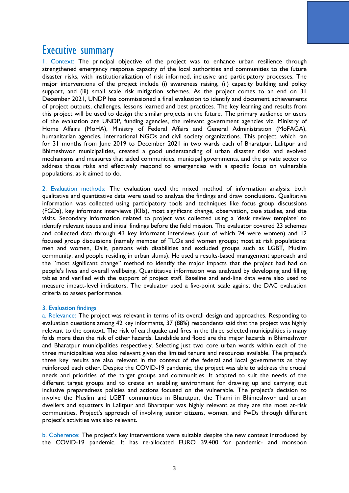## <span id="page-4-0"></span>Executive summary

1. Context: The principal objective of the project was to enhance urban resilience through strengthened emergency response capacity of the local authorities and communities to the future disaster risks, with institutionalization of risk informed, inclusive and participatory processes. The major interventions of the project include (i) awareness raising, (ii) capacity building and policy support, and (iii) small scale risk mitigation schemes. As the project comes to an end on 31 December 2021, UNDP has commissioned a final evaluation to identify and document achievements of project outputs, challenges, lessons learned and best practices. The key learning and results from this project will be used to design the similar projects in the future. The primary audience or users of the evaluation are UNDP, funding agencies, the relevant government agencies viz. Ministry of Home Affairs (MoHA), Ministry of Federal Affairs and General Administration (MoFAGA), humanitarian agencies, international NGOs and civil society organizations. This project, which ran for 31 months from June 2019 to December 2021 in two wards each of Bharatpur, Lalitpur and Bhimeshwor municipalities, created a good understanding of urban disaster risks and evolved mechanisms and measures that aided communities, municipal governments, and the private sector to address those risks and effectively respond to emergencies with a specific focus on vulnerable populations, as it aimed to do.

2. Evaluation methods: The evaluation used the mixed method of information analysis: both qualitative and quantitative data were used to analyze the findings and draw conclusions. Qualitative information was collected using participatory tools and techniques like focus group discussions (FGDs), key informant interviews (KIIs), most significant change, observation, case studies, and site visits. Secondary information related to project was collected using a 'desk review template' to identify relevant issues and initial findings before the field mission. The evaluator covered 23 schemes and collected data through 43 key informant interviews (out of which 24 were women) and 12 focused group discussions (namely member of TLOs and women groups; most at risk populations: men and women, Dalit, persons with disabilities and excluded groups such as LGBT, Muslim community, and people residing in urban slums). He used a results-based management approach and the "most significant change" method to identify the major impacts that the project had had on people's lives and overall wellbeing. Quantitative information was analyzed by developing and filling tables and verified with the support of project staff. Baseline and end-line data were also used to measure impact-level indicators. The evaluator used a five-point scale against the DAC evaluation criteria to assess performance.

#### 3. Evaluation findings

a. Relevance: The project was relevant in terms of its overall design and approaches. Responding to evaluation questions among 42 key informants, 37 (88%) respondents said that the project was highly relevant to the context. The risk of earthquake and fires in the three selected municipalities is many folds more than the risk of other hazards. Landslide and flood are the major hazards in Bhimeshwor and Bharatpur municipalities respectively. Selecting just two core urban wards within each of the three municipalities was also relevant given the limited tenure and resources available. The project's three key results are also relevant in the context of the federal and local governments as they reinforced each other. Despite the COVID-19 pandemic, the project was able to address the crucial needs and priorities of the target groups and communities. It adapted to suit the needs of the different target groups and to create an enabling environment for drawing up and carrying out inclusive preparedness policies and actions focused on the vulnerable. The project's decision to involve the Muslim and LGBT communities in Bharatpur, the Thami in Bhimeshwor and urban dwellers and squatters in Lalitpur and Bharatpur was highly relevant as they are the most at-risk communities. Project's approach of involving senior citizens, women, and PwDs through different project's activities was also relevant.

b. Coherence: The project's key interventions were suitable despite the new context introduced by the COVID-19 pandemic. It has re-allocated EURO 39,400 for pandemic- and monsoon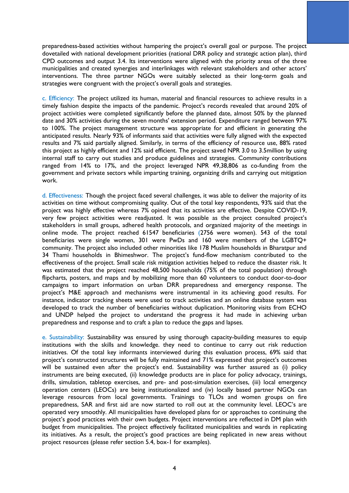preparedness-based activities without hampering the project's overall goal or purpose. The project dovetailed with national development priorities (national DRR policy and strategic action plan), third CPD outcomes and output 3.4. Its interventions were aligned with the priority areas of the three municipalities and created synergies and interlinkages with relevant stakeholders and other actors' interventions. The three partner NGOs were suitably selected as their long-term goals and strategies were congruent with the project's overall goals and strategies.

c. Efficiency: The project utilized its human, material and financial resources to achieve results in a timely fashion despite the impacts of the pandemic. Project's records revealed that around 20% of project activities were completed significantly before the planned date, almost 50% by the planned date and 30% activities during the seven months' extension period. Expenditure ranged between 97% to 100%. The project management structure was appropriate for and efficient in generating the anticipated results. Nearly 93% of informants said that activities were fully aligned with the expected results and 7% said partially aligned. Similarly, in terms of the efficiency of resource use, 88% rated this project as highly efficient and 12% said efficient. The project saved NPR 3.0 to 3.5million by using internal staff to carry out studies and produce guidelines and strategies. Community contributions ranged from 14% to 17%, and the project leveraged NPR 49,38,806 as co-funding from the government and private sectors while imparting training, organizing drills and carrying out mitigation work.

d. Effectiveness: Though the project faced several challenges, it was able to deliver the majority of its activities on time without compromising quality. Out of the total key respondents, 93% said that the project was highly effective whereas 7% opined that its activities are effective. Despite COVID-19, very few project activities were readjusted. It was possible as the project consulted project's stakeholders in small groups, adhered health protocols, and organized majority of the meetings in online mode. The project reached 61547 beneficiaries (2756 were women). 543 of the total beneficiaries were single women, 301 were PwDs and 160 were members of the LGBTQ+ community. The project also included other minorities like 178 Muslim households in Bharatpur and 34 Thami households in Bhimeshwor. The project's fund-flow mechanism contributed to the effectiveness of the project. Small scale risk mitigation activities helped to reduce the disaster risk. It was estimated that the project reached 48,500 households (75% of the total population) through flipcharts, posters, and maps and by mobilizing more than 60 volunteers to conduct door-to-door campaigns to impart information on urban DRR preparedness and emergency response. The project's M&E approach and mechanisms were instrumental in its achieving good results. For instance, indicator tracking sheets were used to track activities and an online database system was developed to track the number of beneficiaries without duplication. Monitoring visits from ECHO and UNDP helped the project to understand the progress it had made in achieving urban preparedness and response and to craft a plan to reduce the gaps and lapses.

e. Sustainability: Sustainability was ensured by using thorough capacity-building measures to equip institutions with the skills and knowledge. they need to continue to carry out risk reduction initiatives. Of the total key informants interviewed during this evaluation process, 69% said that project's constructed structures will be fully maintained and 71% expressed that project's outcomes will be sustained even after the project's end. Sustainability was further assured as (i) policy instruments are being executed, (ii) knowledge products are in place for policy advocacy, trainings, drills, simulation, tabletop exercises, and pre- and post-simulation exercises, (iii) local emergency operation centers (LEOCs) are being institutionalized and (iv) locally based partner NGOs can leverage resources from local governments. Trainings to TLOs and women groups on fire preparedness, SAR and first aid are now started to roll out at the community level. LEOC's are operated very smoothly. All municipalities have developed plans for or approaches to continuing the project's good practices with their own budgets. Project interventions are reflected in DM plan with budget from municipalities. The project effectively facilitated municipalities and wards in replicating its initiatives. As a result, the project's good practices are being replicated in new areas without project resources (please refer section 5.4, box-1 for examples).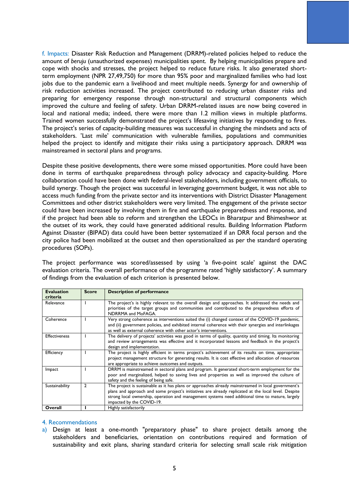f. Impacts: Disaster Risk Reduction and Management (DRRM)-related policies helped to reduce the amount of *beruju* (unauthorized expenses) municipalities spent. By helping municipalities prepare and cope with shocks and stresses, the project helped to reduce future risks. It also generated shortterm employment (NPR 27,49,750) for more than 95% poor and marginalized families who had lost jobs due to the pandemic earn a livelihood and meet multiple needs. Synergy for and ownership of risk reduction activities increased. The project contributed to reducing urban disaster risks and preparing for emergency response through non-structural and structural components which improved the culture and feeling of safety. Urban DRRM-related issues are now being covered in local and national media; indeed, there were more than 1.2 million views in multiple platforms. Trained women successfully demonstrated the project's lifesaving initiatives by responding to fires. The project's series of capacity-building measures was successful in changing the mindsets and acts of stakeholders. 'Last mile' communication with vulnerable families, populations and communities helped the project to identify and mitigate their risks using a participatory approach. DRRM was mainstreamed in sectoral plans and programs.

Despite these positive developments, there were some missed opportunities. More could have been done in terms of earthquake preparedness through policy advocacy and capacity-building. More collaboration could have been done with federal-level stakeholders, including government officials, to build synergy. Though the project was successful in leveraging government budget, it was not able to access much funding from the private sector and its interventions with District Disaster Management Committees and other district stakeholders were very limited. The engagement of the private sector could have been increased by involving them in fire and earthquake preparedness and response, and if the project had been able to reform and strengthen the LEOCs in Bharatpur and Bhimeshwor at the outset of its work, they could have generated additional results. Building Information Platform Against Disaster (BIPAD) data could have been better systematized if an DRR focal person and the city police had been mobilized at the outset and then operationalized as per the standard operating procedures (SOPs).

The project performance was scored/assessed by using 'a five-point scale' against the DAC evaluation criteria. The overall performance of the programme rated 'highly satisfactory'. A summary of findings from the evaluation of each criterion is presented below.

| <b>Evaluation</b><br>criteria | <b>Score</b>   | <b>Description of performance</b>                                                                                                                                                                                                                                                                                                            |
|-------------------------------|----------------|----------------------------------------------------------------------------------------------------------------------------------------------------------------------------------------------------------------------------------------------------------------------------------------------------------------------------------------------|
| Relevance                     |                | The project's is highly relevant to the overall design and approaches. It addressed the needs and<br>priorities of the target groups and communities and contributed to the preparedness efforts of<br>NDRRMA and MoFAGA.                                                                                                                    |
| Coherence                     |                | Very strong coherence as interventions suited the (i) changed context of the COVID-19 pandemic,<br>and (ii) government policies, and exhibited internal coherence with their synergies and interlinkages<br>as well as external coherence with other actor's interventions.                                                                  |
| <b>Effectiveness</b>          |                | The delivery of projects' activities was good in terms of quality, quantity and timing. Its monitoring<br>and review arrangements was effective and it incorporated lessons and feedback in the project's<br>design and implementation.                                                                                                      |
| Efficiency                    |                | The project is highly efficient in terms project's achievement of its results on time, appropriate<br>project management structure for generating results. It is cost effective and allocation of resources<br>are appropriate to achieve outcomes and outputs.                                                                              |
| Impact                        |                | DRRM is mainstreamed in sectoral plans and program. It generated short-term employment for the<br>poor and marginalized, helped to saving lives and properties as well as improved the culture of<br>safety and the feeling of being safe.                                                                                                   |
| Sustainability                | $\overline{2}$ | The project is sustainable as it has plans or approaches already mainstreamed in local government's<br>plans and approach and some project's initiatives are already replicated at the local level. Despite<br>strong local ownership, operation and management systems need additional time to mature, largely<br>impacted by the COVID-19. |
| Overall                       |                | Highly satisfactorily                                                                                                                                                                                                                                                                                                                        |

#### 4. Recommendations

a) Design at least a one-month "preparatory phase" to share project details among the stakeholders and beneficiaries, orientation on contributions required and formation of sustainability and exit plans, sharing standard criteria for selecting small scale risk mitigation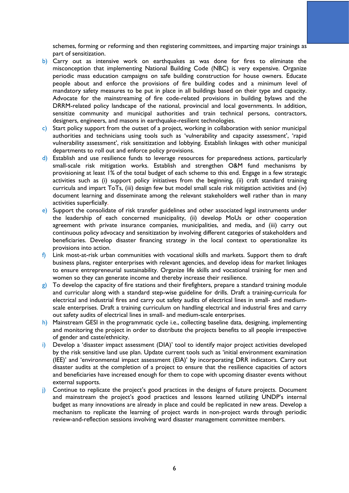schemes, forming or reforming and then registering committees, and imparting major trainings as part of sensitization.

- b) Carry out as intensive work on earthquakes as was done for fires to eliminate the misconception that implementing National Building Code (NBC) is very expensive. Organize periodic mass education campaigns on safe building construction for house owners. Educate people about and enforce the provisions of fire building codes and a minimum level of mandatory safety measures to be put in place in all buildings based on their type and capacity. Advocate for the mainstreaming of fire code-related provisions in building bylaws and the DRRM-related policy landscape of the national, provincial and local governments. In addition, sensitize community and municipal authorities and train technical persons, contractors, designers, engineers, and masons in earthquake-resilient technologies.
- c) Start policy support from the outset of a project, working in collaboration with senior municipal authorities and technicians using tools such as 'vulnerability and capacity assessment', 'rapid vulnerability assessment', risk sensitization and lobbying. Establish linkages with other municipal departments to roll out and enforce policy provisions.
- d) Establish and use resilience funds to leverage resources for preparedness actions, particularly small-scale risk mitigation works. Establish and strengthen O&M fund mechanisms by provisioning at least 1% of the total budget of each scheme to this end. Engage in a few strategic activities such as (i) support policy initiatives from the beginning, (ii) craft standard training curricula and impart ToTs, (iii) design few but model small scale risk mitigation activities and (iv) document learning and disseminate among the relevant stakeholders well rather than in many activities superficially.
- e) Support the consolidate of risk transfer guidelines and other associated legal instruments under the leadership of each concerned municipality, (ii) develop MoUs or other cooperation agreement with private insurance companies, municipalities, and media, and (iii) carry out continuous policy advocacy and sensitization by involving different categories of stakeholders and beneficiaries. Develop disaster financing strategy in the local context to operationalize its provisions into action.
- $f$ ) Link most-at-risk urban communities with vocational skills and markets. Support them to draft business plans, register enterprises with relevant agencies, and develop ideas for market linkages to ensure entrepreneurial sustainability. Organize life skills and vocational training for men and women so they can generate income and thereby increase their resilience.
- g) To develop the capacity of fire stations and their firefighters, prepare a standard training module and curricular along with a standard step-wise guideline for drills. Draft a training-curricula for electrical and industrial fires and carry out safety audits of electrical lines in small- and mediumscale enterprises. Draft a training curriculum on handling electrical and industrial fires and carry out safety audits of electrical lines in small- and medium-scale enterprises.
- h) Mainstream GESI in the programmatic cycle i.e., collecting baseline data, designing, implementing and monitoring the project in order to distribute the projects benefits to all people irrespective of gender and caste/ethnicity.
- i) Develop a 'disaster impact assessment (DIA)' tool to identify major project activities developed by the risk sensitive land use plan. Update current tools such as 'initial environment examination (IEE)' and 'environmental impact assessment (EIA)' by incorporating DRR indicators. Carry out disaster audits at the completion of a project to ensure that the resilience capacities of actors and beneficiaries have increased enough for them to cope with upcoming disaster events without external supports.
- j) Continue to replicate the project's good practices in the designs of future projects. Document and mainstream the project's good practices and lessons learned utilizing UNDP's internal budget as many innovations are already in place and could be replicated in new areas. Develop a mechanism to replicate the learning of project wards in non-project wards through periodic review-and-reflection sessions involving ward disaster management committee members.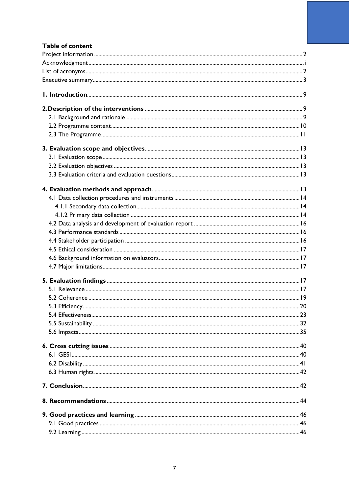| <b>Table of content</b> |  |
|-------------------------|--|
|                         |  |
|                         |  |
|                         |  |
|                         |  |
|                         |  |
|                         |  |
|                         |  |
|                         |  |
|                         |  |
|                         |  |
|                         |  |
|                         |  |
|                         |  |
|                         |  |
|                         |  |
|                         |  |
|                         |  |
|                         |  |
|                         |  |
|                         |  |
|                         |  |
|                         |  |
|                         |  |
|                         |  |
|                         |  |
|                         |  |
|                         |  |
|                         |  |
|                         |  |
|                         |  |
|                         |  |
|                         |  |
|                         |  |
|                         |  |
|                         |  |
|                         |  |
|                         |  |
|                         |  |
|                         |  |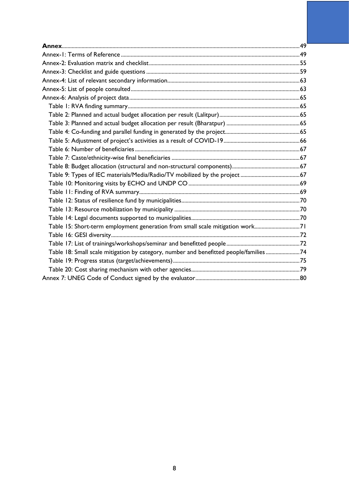| Table 15: Short-term employment generation from small scale mitigation work71          |  |
|----------------------------------------------------------------------------------------|--|
|                                                                                        |  |
|                                                                                        |  |
| Table 18: Small scale mitigation by category, number and benefitted people/families 74 |  |
|                                                                                        |  |
|                                                                                        |  |
|                                                                                        |  |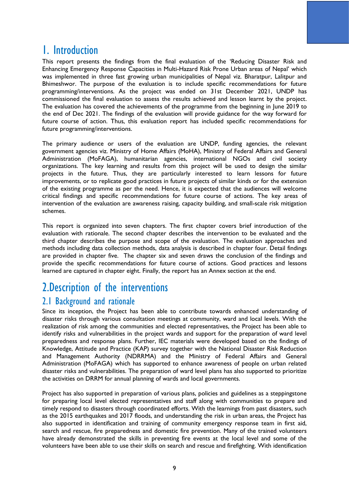## <span id="page-10-0"></span>1. Introduction

This report presents the findings from the final evaluation of the 'Reducing Disaster Risk and Enhancing Emergency Response Capacities in Multi-Hazard Risk Prone Urban areas of Nepal' which was implemented in three fast growing urban municipalities of Nepal viz. Bharatpur, Lalitpur and Bhimeshwor. The purpose of the evaluation is to include specific recommendations for future programming/interventions. As the project was ended on 31st December 2021, UNDP has commissioned the final evaluation to assess the results achieved and lesson learnt by the project. The evaluation has covered the achievements of the programme from the beginning in June 2019 to the end of Dec 2021. The findings of the evaluation will provide guidance for the way forward for future course of action. Thus, this evaluation report has included specific recommendations for future programming/interventions.

The primary audience or users of the evaluation are UNDP, funding agencies, the relevant government agencies viz. Ministry of Home Affairs (MoHA), Ministry of Federal Affairs and General Administration (MoFAGA), humanitarian agencies, international NGOs and civil society organizations. The key learning and results from this project will be used to design the similar projects in the future. Thus, they are particularly interested to learn lessons for future improvements, or to replicate good practices in future projects of similar kinds or for the extension of the existing programme as per the need. Hence, it is expected that the audiences will welcome critical findings and specific recommendations for future course of actions. The key areas of intervention of the evaluation are awareness raising, capacity building, and small-scale risk mitigation schemes.

This report is organized into seven chapters. The first chapter covers brief introduction of the evaluation with rationale. The second chapter describes the intervention to be evaluated and the third chapter describes the purpose and scope of the evaluation. The evaluation approaches and methods including data collection methods, data analysis is described in chapter four. Detail findings are provided in chapter five. The chapter six and seven draws the conclusion of the findings and provide the specific recommendations for future course of actions. Good practices and lessons learned are captured in chapter eight. Finally, the report has an Annex section at the end.

## <span id="page-10-1"></span>2.Description of the interventions

## <span id="page-10-2"></span>2.1 Background and rationale

Since its inception, the Project has been able to contribute towards enhanced understanding of disaster risks through various consultation meetings at community, ward and local levels. With the realization of risk among the communities and elected representatives, the Project has been able to identify risks and vulnerabilities in the project wards and support for the preparation of ward level preparedness and response plans. Further, IEC materials were developed based on the findings of Knowledge, Attitude and Practice (KAP) survey together with the National Disaster Risk Reduction and Management Authority (NDRRMA) and the Ministry of Federal Affairs and General Administration (MoFAGA) which has supported to enhance awareness of people on urban related disaster risks and vulnerabilities. The preparation of ward level plans has also supported to prioritize the activities on DRRM for annual planning of wards and local governments.

Project has also supported in preparation of various plans, policies and guidelines as a steppingstone for preparing local level elected representatives and staff along with communities to prepare and timely respond to disasters through coordinated efforts. With the learnings from past disasters, such as the 2015 earthquakes and 2017 floods, and understanding the risk in urban areas, the Project has also supported in identification and training of community emergency response team in first aid, search and rescue, fire preparedness and domestic fire prevention. Many of the trained volunteers have already demonstrated the skills in preventing fire events at the local level and some of the volunteers have been able to use their skills on search and rescue and firefighting. With identification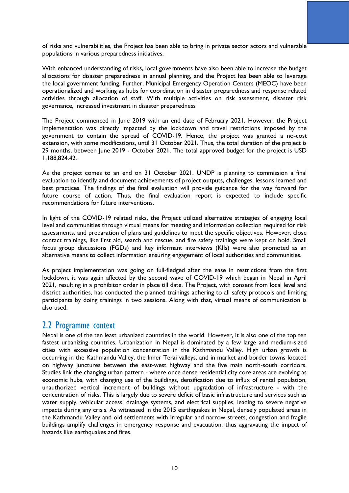of risks and vulnerabilities, the Project has been able to bring in private sector actors and vulnerable populations in various preparedness initiatives.

With enhanced understanding of risks, local governments have also been able to increase the budget allocations for disaster preparedness in annual planning, and the Project has been able to leverage the local government funding. Further, Municipal Emergency Operation Centers (MEOC) have been operationalized and working as hubs for coordination in disaster preparedness and response related activities through allocation of staff. With multiple activities on risk assessment, disaster risk governance, increased investment in disaster preparedness

The Project commenced in June 2019 with an end date of February 2021. However, the Project implementation was directly impacted by the lockdown and travel restrictions imposed by the government to contain the spread of COVID-19. Hence, the project was granted a no-cost extension, with some modifications, until 31 October 2021. Thus, the total duration of the project is 29 months, between June 2019 - October 2021. The total approved budget for the project is USD 1,188,824.42.

As the project comes to an end on 31 October 2021, UNDP is planning to commission a final evaluation to identify and document achievements of project outputs, challenges, lessons learned and best practices. The findings of the final evaluation will provide guidance for the way forward for future course of action. Thus, the final evaluation report is expected to include specific recommendations for future interventions.

In light of the COVID-19 related risks, the Project utilized alternative strategies of engaging local level and communities through virtual means for meeting and information collection required for risk assessments, and preparation of plans and guidelines to meet the specific objectives. However, close contact trainings, like first aid, search and rescue, and fire safety trainings were kept on hold. Small focus group discussions (FGDs) and key informant interviews (KIIs) were also promoted as an alternative means to collect information ensuring engagement of local authorities and communities.

As project implementation was going on full-fledged after the ease in restrictions from the first lockdown, it was again affected by the second wave of COVID-19 which began in Nepal in April 2021, resulting in a prohibitor order in place till date. The Project, with consent from local level and district authorities, has conducted the planned trainings adhering to all safety protocols and limiting participants by doing trainings in two sessions. Along with that, virtual means of communication is also used.

## <span id="page-11-0"></span>2.2 Programme context

Nepal is one of the ten least urbanized countries in the world. However, it is also one of the top ten fastest urbanizing countries. Urbanization in Nepal is dominated by a few large and medium-sized cities with excessive population concentration in the Kathmandu Valley. High urban growth is occurring in the Kathmandu Valley, the Inner Terai valleys, and in market and border towns located on highway junctures between the east-west highway and the five main north-south corridors. Studies link the changing urban pattern - where once dense residential city core areas are evolving as economic hubs, with changing use of the buildings, densification due to influx of rental population, unauthorized vertical increment of buildings without upgradation of infrastructure - with the concentration of risks. This is largely due to severe deficit of basic infrastructure and services such as water supply, vehicular access, drainage systems, and electrical supplies, leading to severe negative impacts during any crisis. As witnessed in the 2015 earthquakes in Nepal, densely populated areas in the Kathmandu Valley and old settlements with irregular and narrow streets, congestion and fragile buildings amplify challenges in emergency response and evacuation, thus aggravating the impact of hazards like earthquakes and fires.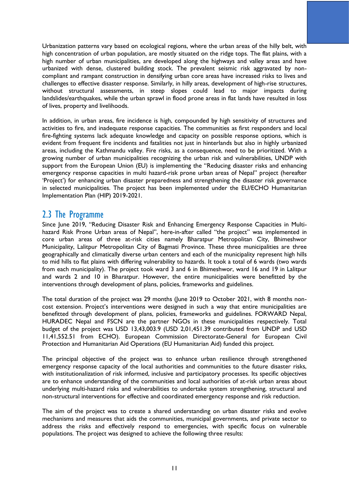Urbanization patterns vary based on ecological regions, where the urban areas of the hilly belt, with high concentration of urban population, are mostly situated on the ridge tops. The flat plains, with a high number of urban municipalities, are developed along the highways and valley areas and have urbanized with dense, clustered building stock. The prevalent seismic risk aggravated by noncompliant and rampant construction in densifying urban core areas have increased risks to lives and challenges to effective disaster response. Similarly, in hilly areas, development of high-rise structures, without structural assessments, in steep slopes could lead to major impacts during landslides/earthquakes, while the urban sprawl in flood prone areas in flat lands have resulted in loss of lives, property and livelihoods.

In addition, in urban areas, fire incidence is high, compounded by high sensitivity of structures and activities to fire, and inadequate response capacities. The communities as first responders and local fire-fighting systems lack adequate knowledge and capacity on possible response options, which is evident from frequent fire incidents and fatalities not just in hinterlands but also in highly urbanized areas, including the Kathmandu valley. Fire risks, as a consequence, need to be prioritized. With a growing number of urban municipalities recognizing the urban risk and vulnerabilities, UNDP with support from the European Union (EU) is implementing the "Reducing disaster risks and enhancing emergency response capacities in multi hazard-risk prone urban areas of Nepal" project (hereafter 'Project') for enhancing urban disaster preparedness and strengthening the disaster risk governance in selected municipalities. The project has been implemented under the EU/ECHO Humanitarian Implementation Plan (HIP) 2019-2021.

### <span id="page-12-0"></span>2.3 The Programme

Since June 2019, "Reducing Disaster Risk and Enhancing Emergency Response Capacities in Multihazard Risk Prone Urban areas of Nepal", here-in-after called "the project" was implemented in core urban areas of three at-risk cities namely Bharatpur Metropolitan City, Bhimeshwor Municipality, Lalitpur Metropolitan City of Bagmati Province. These three municipalities are three geographically and climatically diverse urban centers and each of the municipality represent high hills to mid hills to flat plains with differing vulnerability to hazards. It took a total of 6 wards (two wards from each municipality). The project took ward 3 and 6 in Bhimeshwor, ward 16 and 19 in Lalitpur and wards 2 and 10 in Bharatpur. However, the entire municipalities were benefitted by the interventions through development of plans, policies, frameworks and guidelines.

The total duration of the project was 29 months (June 2019 to October 2021, with 8 months noncost extension. Project's interventions were designed in such a way that entire municipalities are benefitted through development of plans, policies, frameworks and guidelines. FORWARD Nepal, HURADEC Nepal and FSCN are the partner NGOs in these municipalities respectively. Total budget of the project was USD 13,43,003.9 (USD 2,01,451.39 contributed from UNDP and USD 11,41,552.51 from ECHO). European Commission Directorate-General for European Civil Protection and Humanitarian Aid Operations (EU Humanitarian Aid) funded this project.

The principal objective of the project was to enhance urban resilience through strengthened emergency response capacity of the local authorities and communities to the future disaster risks, with institutionalization of risk informed, inclusive and participatory processes. Its specific objectives are to enhance understanding of the communities and local authorities of at-risk urban areas about underlying multi-hazard risks and vulnerabilities to undertake system strengthening, structural and non-structural interventions for effective and coordinated emergency response and risk reduction.

The aim of the project was to create a shared understanding on urban disaster risks and evolve mechanisms and measures that aids the communities, municipal governments, and private sector to address the risks and effectively respond to emergencies, with specific focus on vulnerable populations. The project was designed to achieve the following three results: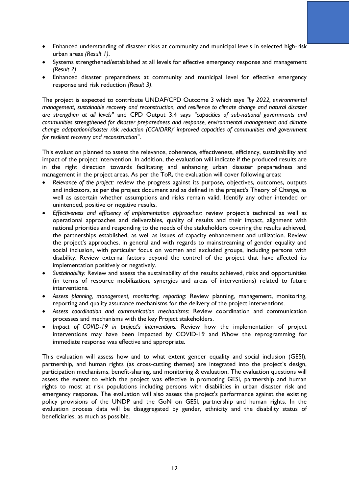- Enhanced understanding of disaster risks at community and municipal levels in selected high-risk urban areas *(Result 1)*.
- Systems strengthened/established at all levels for effective emergency response and management *(Result 2)*.
- Enhanced disaster preparedness at community and municipal level for effective emergency response and risk reduction *(Result 3)*.

The project is expected to contribute UNDAF/CPD Outcome 3 which says *"by 2022, environmental management, sustainable recovery and reconstruction, and resilience to climate change and natural disaster are strengthen at all levels"* and CPD Output 3.4 says *"capacities of sub-national governments and communities strengthened for disaster preparedness and response, environmental management and climate change adaptation/disaster risk reduction (CCA/DRR)' improved capacities of communities and government for resilient recovery and reconstruction"*.

This evaluation planned to assess the relevance, coherence, effectiveness, efficiency, sustainability and impact of the project intervention. In addition, the evaluation will indicate if the produced results are in the right direction towards facilitating and enhancing urban disaster preparedness and management in the project areas. As per the ToR, the evaluation will cover following areas:

- *Relevance of the project:* review the progress against its purpose, objectives, outcomes, outputs and indicators, as per the project document and as defined in the project's Theory of Change, as well as ascertain whether assumptions and risks remain valid. Identify any other intended or unintended, positive or negative results.
- *Effectiveness and efficiency of implementation approaches:* review project's technical as well as operational approaches and deliverables, quality of results and their impact, alignment with national priorities and responding to the needs of the stakeholders covering the results achieved, the partnerships established, as well as issues of capacity enhancement and utilization. Review the project's approaches, in general and with regards to mainstreaming of gender equality and social inclusion, with particular focus on women and excluded groups, including persons with disability. Review external factors beyond the control of the project that have affected its implementation positively or negatively.
- *Sustainability:* Review and assess the sustainability of the results achieved, risks and opportunities (in terms of resource mobilization, synergies and areas of interventions) related to future interventions.
- *Assess planning, management, monitoring, reporting:* Review planning, management, monitoring, reporting and quality assurance mechanisms for the delivery of the project interventions.
- *Assess coordination and communication mechanisms:* Review coordination and communication processes and mechanisms with the key Project stakeholders.
- *Impact of COVID-19 in project's interventions:* Review how the implementation of project interventions may have been impacted by COVID-19 and if/how the reprogramming for immediate response was effective and appropriate.

This evaluation will assess how and to what extent gender equality and social inclusion (GESI), partnership, and human rights (as cross-cutting themes) are integrated into the project's design, participation mechanisms, benefit-sharing, and monitoring & evaluation. The evaluation questions will assess the extent to which the project was effective in promoting GESI, partnership and human rights to most at risk populations including persons with disabilities in urban disaster risk and emergency response. The evaluation will also assess the project's performance against the existing policy provisions of the UNDP and the GoN on GESI, partnership and human rights. In the evaluation process data will be disaggregated by gender, ethnicity and the disability status of beneficiaries, as much as possible.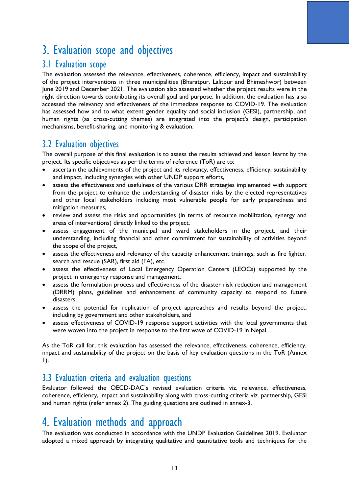## <span id="page-14-0"></span>3. Evaluation scope and objectives

## <span id="page-14-1"></span>3.1 Evaluation scope

The evaluation assessed the relevance, effectiveness, coherence, efficiency, impact and sustainability of the project interventions in three municipalities (Bharatpur, Lalitpur and Bhimeshwor) between June 2019 and December 2021. The evaluation also assessed whether the project results were in the right direction towards contributing its overall goal and purpose. In addition, the evaluation has also accessed the relevancy and effectiveness of the immediate response to COVID-19. The evaluation has assessed how and to what extent gender equality and social inclusion (GESI), partnership, and human rights (as cross-cutting themes) are integrated into the project's design, participation mechanisms, benefit-sharing, and monitoring & evaluation.

## <span id="page-14-2"></span>3.2 Evaluation objectives

The overall purpose of this final evaluation is to assess the results achieved and lesson learnt by the project. Its specific objectives as per the terms of reference (ToR) are to:

- ascertain the achievements of the project and its relevancy, effectiveness, efficiency, sustainability and impact, including synergies with other UNDP support efforts,
- assess the effectiveness and usefulness of the various DRR strategies implemented with support from the project to enhance the understanding of disaster risks by the elected representatives and other local stakeholders including most vulnerable people for early preparedness and mitigation measures,
- review and assess the risks and opportunities (in terms of resource mobilization, synergy and areas of interventions) directly linked to the project,
- assess engagement of the municipal and ward stakeholders in the project, and their understanding, including financial and other commitment for sustainability of activities beyond the scope of the project,
- assess the effectiveness and relevancy of the capacity enhancement trainings, such as fire fighter, search and rescue (SAR), first aid (FA), etc.
- assess the effectiveness of Local Emergency Operation Centers (LEOCs) supported by the project in emergency response and management,
- assess the formulation process and effectiveness of the disaster risk reduction and management (DRRM) plans, guidelines and enhancement of community capacity to respond to future disasters,
- assess the potential for replication of project approaches and results beyond the project, including by government and other stakeholders, and
- assess effectiveness of COVID-19 response support activities with the local governments that were woven into the project in response to the first wave of COVID-19 in Nepal.

As the ToR call for, this evaluation has assessed the relevance, effectiveness, coherence, efficiency, impact and sustainability of the project on the basis of key evaluation questions in the ToR (Annex 1).

## <span id="page-14-3"></span>3.3 Evaluation criteria and evaluation questions

Evaluator followed the OECD-DAC's revised evaluation criteria viz. relevance, effectiveness, coherence, efficiency, impact and sustainability along with cross-cutting criteria viz. partnership, GESI and human rights (refer annex 2). The guiding questions are outlined in annex-3.

## <span id="page-14-4"></span>4. Evaluation methods and approach

The evaluation was conducted in accordance with the UNDP Evaluation Guidelines 2019. Evaluator adopted a mixed approach by integrating qualitative and quantitative tools and techniques for the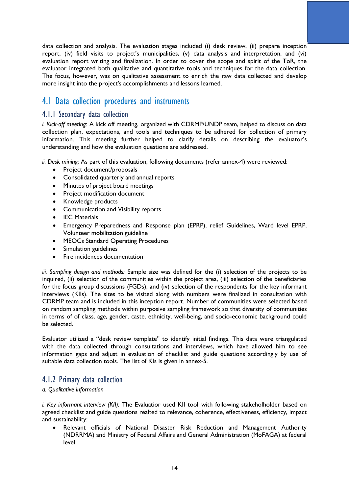data collection and analysis. The evaluation stages included (i) desk review, (ii) prepare inception report, (iv) field visits to project's municipalities, (v) data analysis and interpretation, and (vi) evaluation report writing and finalization. In order to cover the scope and spirit of the ToR, the evaluator integrated both qualitative and quantitative tools and techniques for the data collection. The focus, however, was on qualitative assessment to enrich the raw data collected and develop more insight into the project's accomplishments and lessons learned.

## <span id="page-15-0"></span>4.1 Data collection procedures and instruments

### <span id="page-15-1"></span>4.1.1 Secondary data collection

*i. Kick-off meeting:* A kick off meeting, organized with CDRMP/UNDP team, helped to discuss on data collection plan, expectations, and tools and techniques to be adhered for collection of primary information. This meeting further helped to clarify details on describing the evaluator's understanding and how the evaluation questions are addressed.

*ii. Desk mining:* As part of this evaluation, following documents (refer annex-4) were reviewed:

- Project document/proposals
- Consolidated quarterly and annual reports
- Minutes of project board meetings
- Project modification document
- Knowledge products
- Communication and Visibility reports
- IEC Materials
- Emergency Preparedness and Response plan (EPRP), relief Guidelines, Ward level EPRP, Volunteer mobilization guideline
- MEOCs Standard Operating Procedures
- Simulation guidelines
- Fire incidences documentation

*iii. Sampling design and methods:* Sample size was defined for the (i) selection of the projects to be inquired, (ii) selection of the communities within the project area, (iii) selection of the beneficiaries for the focus group discussions (FGDs), and (iv) selection of the respondents for the key informant interviews (KIIs). The sites to be visited along with numbers were finalized in consultation with CDRMP team and is included in this inception report. Number of communities were selected based on random sampling methods within purposive sampling framework so that diversity of communities in terms of of class, age, gender, caste, ethnicity, well-being, and socio-economic background could be selected.

Evaluator utilized a "desk review template" to identify initial findings. This data were triangulated with the data collected through consultations and interviews, which have allowed him to see information gaps and adjust in evaluation of checklist and guide questions accordingly by use of suitable data collection tools. The list of KIs is given in annex-5.

#### <span id="page-15-2"></span>4.1.2 Primary data collection

#### *a. Qualitative information*

*i. Key informant interview (KII):* The Evaluatior used KII tool with following stakeholholder based on agreed checklist and guide questions realted to relevance, coherence, effectiveness, efficiency, impact and sustainability:

• Relevant officials of National Disaster Risk Reduction and Management Authority (NDRRMA) and Ministry of Federal Affairs and General Administration (MoFAGA) at federal level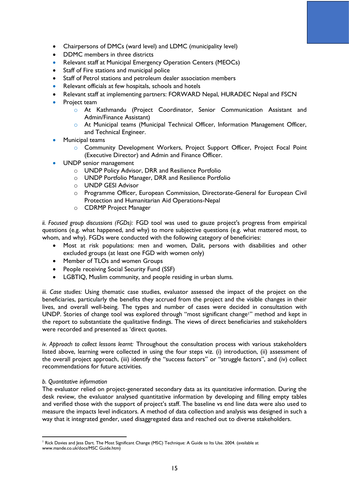- Chairpersons of DMCs (ward level) and LDMC (municipality level)
- DDMC members in three districts
- Relevant staff at Municipal Emergency Operation Centers (MEOCs)
- Staff of Fire stations and municipal police
- Staff of Petrol stations and petroleum dealer association members
- Relevant officials at few hospitals, schools and hotels
- Relevant staff at implementing partners: FORWARD Nepal, HURADEC Nepal and FSCN
- Project team
	- o At Kathmandu (Project Coordinator, Senior Communication Assistant and Admin/Finance Assistant)
	- o At Municipal teams (Municipal Technical Officer, Information Management Officer, and Technical Engineer.
- Municipal teams
	- o Community Development Workers, Project Support Officer, Project Focal Point (Executive Director) and Admin and Finance Officer.
- UNDP senior management
	- o UNDP Policy Advisor, DRR and Resilience Portfolio
	- o UNDP Portfolio Manager, DRR and Resilience Portfolio
	- o UNDP GESI Advisor
	- o Programme Officer, European Commission, Directorate-General for European Civil Protection and Humanitarian Aid Operations-Nepal
	- o CDRMP Project Manager

*ii. Focused group discussions (FGDs):* FGD tool was used to gauze project's progress from empirical questions (e.g. what happened, and why) to more subjective questions (e.g. what mattered most, to whom, and why). FGDs were conducted with the following category of beneficiries:

- Most at risk populations: men and women, Dalit, persons with disabilities and other excluded groups (at least one FGD with women only)
- Member of TLOs and women Groups
- People receiving Social Security Fund (SSF)
- LGBTIQ, Muslim community, and people residing in urban slums.

*iii. Case studies:* Using thematic case studies, evaluator assessed the impact of the project on the beneficiaries, particularly the benefits they accrued from the project and the visible changes in their lives, and overall well-being. The types and number of cases were decided in consultation with UNDP. Stories of change tool was explored through "most significant change!" method and kept in the report to substantiate the qualitative findings. The views of direct beneficiaries and stakeholders were recorded and presented as 'direct quotes.

*iv. Approach to collect lessons learnt:* Throughout the consultation process with various stakeholders listed above, learning were collected in using the four steps viz. (i) introduction, (ii) assessment of the overall project approach, (iii) identify the "success factors" or "struggle factors", and (iv) collect recommendations for future activities.

#### *b. Quantitative information*

The evaluator relied on project-generated secondary data as its quantitative information. During the desk review, the evaluator analysed quantitative information by developing and filling empty tables and verified those with the support of project's staff. The baseline vs end line data were also used to measure the impacts level indicators. A method of data collection and analysis was designed in such a way that it integrated gender, used disaggregated data and reached out to diverse stakeholders.

<sup>&</sup>lt;sup>1</sup> Rick Davies and Jess Dart. The Most Significant Change (MSC) Technique: A Guide to Its Use. 2004. (available at [www.mande.co.uk/docs/MSC](http://www.mande.co.uk/docs/MSC) Guide.htm)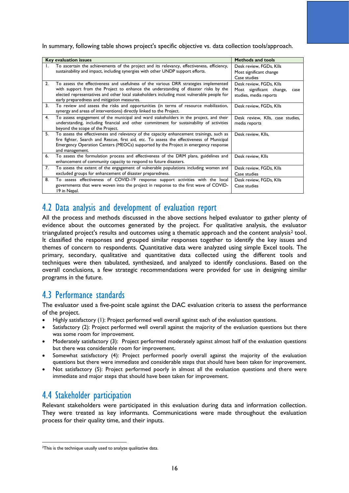In summary, following table shows project's specific objective vs. data collection tools/approach.

|                  | <b>Key evaluation issues</b>                                                                                                                                                                                                                                                                                            | <b>Methods and tools</b>                                                              |
|------------------|-------------------------------------------------------------------------------------------------------------------------------------------------------------------------------------------------------------------------------------------------------------------------------------------------------------------------|---------------------------------------------------------------------------------------|
| Τ.               | To ascertain the achievements of the project and its relevancy, effectiveness, efficiency,<br>sustainability and impact, including synergies with other UNDP support efforts.                                                                                                                                           | Desk review, FGDs, Klls<br>Most significant change<br>Case studies                    |
| $\overline{2}$ . | To assess the effectiveness and usefulness of the various DRR strategies implemented<br>with support from the Project to enhance the understanding of disaster risks by the<br>elected representatives and other local stakeholders including most vulnerable people for<br>early preparedness and mitigation measures. | Desk review, FGDs, Klls<br>Most significant change,<br>case<br>studies, media reports |
| 3.               | To review and assess the risks and opportunities (in terms of resource mobilization,<br>synergy and areas of interventions) directly linked to the Project.                                                                                                                                                             | Desk review, FGDs, Klls                                                               |
| 4.               | To assess engagement of the municipal and ward stakeholders in the project, and their<br>understanding, including financial and other commitment for sustainability of activities<br>beyond the scope of the Project.                                                                                                   | Desk review, Klls, case studies,<br>media reports                                     |
| 5.               | To assess the effectiveness and relevancy of the capacity enhancement trainings, such as<br>fire fighter, Search and Rescue, first aid, etc. To assess the effectiveness of Municipal<br>Emergency Operation Centers (MEOCs) supported by the Project in emergency response<br>and management.                          | Desk review, Klls,                                                                    |
| 6.               | To assess the formulation process and effectiveness of the DRM plans, guidelines and<br>enhancement of community capacity to respond to future disasters.                                                                                                                                                               | Desk review, Klls                                                                     |
| 7.               | To assess the extent of the engagement of vulnerable populations including women and<br>excluded groups for enhancement of disaster preparedness.                                                                                                                                                                       | Desk review, FGDs, Klls<br>Case studies                                               |
| 8.               | To assess effectiveness of COVID-19 response support activities with the local<br>governments that were woven into the project in response to the first wave of COVID-<br>19 in Nepal.                                                                                                                                  | Desk review, FGDs, Klls<br>Case studies                                               |

## <span id="page-17-0"></span>4.2 Data analysis and development of evaluation report

All the process and methods discussed in the above sections helped evaluator to gather plenty of evidence about the outcomes generated by the project. For qualitative analysis, the evaluator triangulated project's results and outcomes using a thematic approach and the content analysis $2$  tool. It classified the responses and grouped similar responses together to identify the key issues and themes of concern to respondents. Quantitative data were analyzed using simple Excel tools. The primary, secondary, qualitative and quantitative data collected using the different tools and techniques were then tabulated, synthesized, and analyzed to identify conclusions. Based on the overall conclusions, a few strategic recommendations were provided for use in designing similar programs in the future.

## <span id="page-17-1"></span>4.3 Performance standards

The evaluator used a five-point scale against the DAC evaluation criteria to assess the performance of the project.

- Highly satisfactory (1): Project performed well overall against each of the evaluation questions.
- Satisfactory (2): Project performed well overall against the majority of the evaluation questions but there was some room for improvement.
- Moderately satisfactory (3): Project performed moderately against almost half of the evaluation questions but there was considerable room for improvement.
- Somewhat satisfactory (4): Project performed poorly overall against the majority of the evaluation questions but there were immediate and considerable steps that should have been taken for improvement.
- Not satisfactory (5): Project performed poorly in almost all the evaluation questions and there were immediate and major steps that should have been taken for improvement.

## <span id="page-17-2"></span>4.4 Stakeholder participation

Relevant stakeholders were participated in this evaluation during data and information collection. They were treated as key informants. Communications were made throughout the evaluation process for their quality time, and their inputs.

<sup>&</sup>lt;sup>2</sup>This is the technique usually used to analyze qualitative data.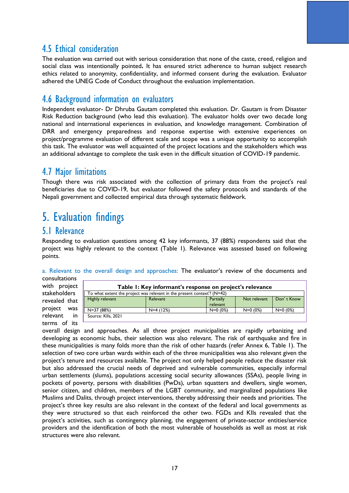## <span id="page-18-0"></span>4.5 Ethical consideration

The evaluation was carried out with serious consideration that none of the caste, creed, religion and social class was intentionally pointed**.** It has ensured strict adherence to human subject research ethics related to anonymity, confidentiality, and informed consent during the evaluation. Evaluator adhered the UNEG Code of Conduct throughout the evaluation implementation.

## <span id="page-18-1"></span>4.6 Background information on evaluators

Independent evaluator- Dr Dhruba Gautam completed this evaluation. Dr. Gautam is from Disaster Risk Reduction background (who lead this evaluation). The evaluator holds over two decade long national and international experiences in evaluation, and knowledge management. Combination of DRR and emergency preparedness and response expertise with extensive experiences on project/programme evaluation of different scale and scope was a unique opportunity to accomplish this task. The evaluator was well acquainted of the project locations and the stakeholders which was an additional advantage to complete the task even in the difficult situation of COVID-19 pandemic.

## <span id="page-18-2"></span>4.7 Major limitations

Though there was risk associated with the collection of primary data from the project's real beneficiaries due to COVID-19, but evaluator followed the safety protocols and standards of the Nepali government and collected empirical data through systematic fieldwork.

## <span id="page-18-3"></span>5. Evaluation findings

### <span id="page-18-4"></span>5.1 Relevance

Responding to evaluation questions among 42 key informants, 37 (88%) respondents said that the project was highly relevant to the context (Table 1). Relevance was assessed based on following points.

a. Relevant to the overall design and approaches: The evaluator's review of the documents and consultations

with project stakeholders revealed that project was relevant in terms of its

| Table 1: Key informant's response on project's relevance                   |                 |                       |              |            |  |
|----------------------------------------------------------------------------|-----------------|-----------------------|--------------|------------|--|
| To what extent the project was relevant in the present context? ( $N=42$ ) |                 |                       |              |            |  |
| Highly relevant                                                            | <b>Relevant</b> | Partially<br>relevant | Not relevant | Don't Know |  |
| N=37 (88%)                                                                 | $N=4(12%)$      | $N=0$ (0%)            | $N=0$ (0%)   | $N=0$ (0%) |  |
| Source: Klls, 2021                                                         |                 |                       |              |            |  |

overall design and approaches. As all three project municipalities are rapidly urbanizing and developing as economic hubs, their selection was also relevant. The risk of earthquake and fire in these municipalities is many folds more than the risk of other hazards (refer Annex 6, Table 1). The selection of two core urban wards within each of the three municipalities was also relevant given the project's tenure and resources available. The project not only helped people reduce the disaster risk but also addressed the crucial needs of deprived and vulnerable communities, especially informal urban settlements (slums), populations accessing social security allowances (SSAs), people living in pockets of poverty, persons with disabilities (PwDs), urban squatters and dwellers, single women, senior citizen, and children, members of the LGBT community, and marginalized populations like Muslims and Dalits, through project interventions, thereby addressing their needs and priorities. The project's three key results are also relevant in the context of the federal and local governments as they were structured so that each reinforced the other two. FGDs and KIIs revealed that the project's activities, such as contingency planning, the engagement of private-sector entities/service providers and the identification of both the most vulnerable of households as well as most at risk structures were also relevant.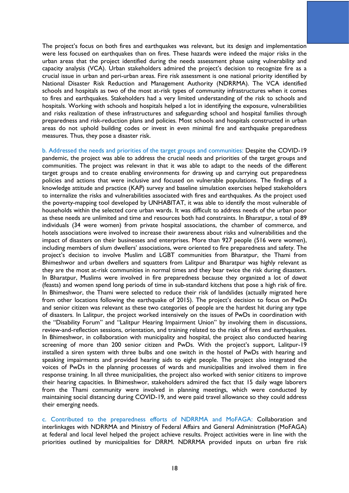The project's focus on both fires and earthquakes was relevant, but its design and implementation were less focused on earthquakes than on fires. These hazards were indeed the major risks in the urban areas that the project identified during the needs assessment phase using vulnerability and capacity analysis (VCA). Urban stakeholders admired the project's decision to recognize fire as a crucial issue in urban and peri-urban areas. Fire risk assessment is one national priority identified by National Disaster Risk Reduction and Management Authority (NDRRMA). The VCA identified schools and hospitals as two of the most at-risk types of community infrastructures when it comes to fires and earthquakes. Stakeholders had a very limited understanding of the risk to schools and hospitals. Working with schools and hospitals helped a lot in identifying the exposure, vulnerabilities and risks realization of these infrastructures and safeguarding school and hospital families through preparedness and risk-reduction plans and policies. Most schools and hospitals constructed in urban areas do not uphold building codes or invest in even minimal fire and earthquake preparedness measures. Thus, they pose a disaster risk.

b. Addressed the needs and priorities of the target groups and communities: Despite the COVID-19 pandemic, the project was able to address the crucial needs and priorities of the target groups and communities. The project was relevant in that it was able to adapt to the needs of the different target groups and to create enabling environments for drawing up and carrying out preparedness policies and actions that were inclusive and focused on vulnerable populations. The findings of a knowledge attitude and practice (KAP) survey and baseline simulation exercises helped stakeholders to internalize the risks and vulnerabilities associated with fires and earthquakes. As the project used the poverty-mapping tool developed by UNHABITAT, it was able to identify the most vulnerable of households within the selected core urban wards. It was difficult to address needs of the urban poor as these needs are unlimited and time and resources both had constraints. In Bharatpur, a total of 89 individuals (34 were women) from private hospital associations, the chamber of commerce, and hotels associations were involved to increase their awareness about risks and vulnerabilities and the impact of disasters on their businesses and enterprises. More than 927 people (516 were women), including members of slum dwellers' associations, were oriented to fire preparedness and safety. The project's decision to involve Muslim and LGBT communities from Bharatpur, the Thami from Bhimeshwor and urban dwellers and squatters from Lalitpur and Bharatpur was highly relevant as they are the most at-risk communities in normal times and they bear twice the risk during disasters. In Bharatpur, Muslims were involved in fire preparedness because they organized a lot of *dawat* (feasts) and women spend long periods of time in sub-standard kitchens that pose a high risk of fire. In Bhimeshwor, the Thami were selected to reduce their risk of landslides (actually migrated here from other locations following the earthquake of 2015). The project's decision to focus on PwDs and senior citizen was relevant as these two categories of people are the hardest hit during any type of disasters. In Lalitpur, the project worked intensively on the issues of PwDs in coordination with the "Disability Forum" and "Lalitpur Hearing Impairment Union" by involving them in discussions, review-and-reflection sessions, orientation, and training related to the risks of fires and earthquakes. In Bhimeshwor, in collaboration with municipality and hospital, the project also conducted hearing screening of more than 200 senior citizen and PwDs. With the project's support, Lalitpur-19 installed a siren system with three bulbs and one switch in the hostel of PwDs with hearing and speaking impairments and provided hearing aids to eight people. The project also integrated the voices of PwDs in the planning processes of wards and municipalities and involved them in fire response training. In all three municipalities, the project also worked with senior citizens to improve their hearing capacities. In Bhimeshwor, stakeholders admired the fact that 15 daily wage laborers from the Thami community were involved in planning meetings, which were conducted by maintaining social distancing during COVID-19, and were paid travel allowance so they could address their emerging needs.

c. Contributed to the preparedness efforts of NDRRMA and MoFAGA: Collaboration and interlinkages with NDRRMA and Ministry of Federal Affairs and General Administration (MoFAGA) at federal and local level helped the project achieve results. Project activities were in line with the priorities outlined by municipalities for DRRM. NDRRMA provided inputs on urban fire risk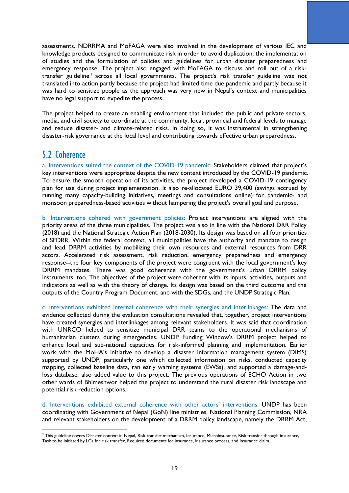assessments. NDRRMA and MoFAGA were also involved in the development of various IEC and knowledge products designed to communicate risk in order to avoid duplication, the implementation of studies and the formulation of policies and guidelines for urban disaster preparedness and emergency response. The project also engaged with MoFAGA to discuss and roll out of a risktransfer guideline<sup>3</sup> across all local governments. The project's risk transfer guideline was not translated into action partly because the project had limited time due pandemic and partly because it was hard to sensitize people as the approach was very new in Nepal's context and municipalities have no legal support to expedite the process.

The project helped to create an enabling environment that included the public and private sectors, media, and civil society to coordinate at the community, local, provincial and federal levels to manage and reduce disaster- and climate-related risks. In doing so, it was instrumental in strengthening disaster-risk governance at the local level and contributing towards effective urban preparedness.

### <span id="page-20-0"></span>5.2 Coherence

a. Interventions suited the context of the COVID-19 pandemic: Stakeholders claimed that project's key interventions were appropriate despite the new context introduced by the COVID-19 pandemic. To ensure the smooth operation of its activities, the project developed a COVID-19 contingency plan for use during project implementation. It also re-allocated EURO 39,400 (savings accrued by running many capacity-building initiatives, meetings and consultations online) for pandemic- and monsoon preparedness-based activities without hampering the project's overall goal and purpose.

b. Interventions cohered with government policies: Project interventions are aligned with the priority areas of the three municipalities. The project was also in line with the National DRR Policy (2018) and the National Strategic Action Plan (2018-2030). Its design was based on all four priorities of SFDRR. Within the federal context, all municipalities have the authority and mandate to design and lead DRRM activities by mobilizing their own resources and external resources from DRR actors. Accelerated risk assessment, risk reduction, emergency preparedness and emergency response--the four key components of the project were congruent with the local government's key DRRM mandates. There was good coherence with the government's urban DRRM policy instruments, too. The objectives of the project were coherent with its inputs, activities, outputs and indicators as well as with the theory of change. Its design was based on the third outcome and the outputs of the Country Program Document, and with the SDGs, and the UNDP Strategic Plan.

c. Interventions exhibited internal coherence with their synergies and interlinkages: The data and evidence collected during the evaluation consultations revealed that, together, project interventions have created synergies and interlinkages among relevant stakeholders. It was said that coordination with UNRCO helped to sensitize municipal DRR teams to the operational mechanisms of humanitarian clusters during emergencies. UNDP Funding Window's DRRM project helped to enhance local and sub-national capacities for risk-informed planning and implementation. Earlier work with the MoHA's initiative to develop a disaster information management system (DIMS) supported by UNDP, particularly one which collected information on risks, conducted capacity mapping, collected baseline data, ran early warning systems (EWSs), and supported a damage-andloss database, also added value to this project. The previous operations of ECHO Action in two other wards of Bhimeshwor helped the project to understand the rural disaster risk landscape and potential risk reduction options.

d. Interventions exhibited external coherence with other actors' interventions: UNDP has been coordinating with Government of Nepal (GoN) line ministries, National Planning Commission, NRA and relevant stakeholders on the development of a DRRM policy landscape, namely the DRRM Act,

<sup>&</sup>lt;sup>3</sup> This guideline covers Disaster context in Nepal, Risk transfer mechanism, Insurance, Microinsurance, Risk transfer through insurance, Task to be initiated by LGs for risk transfer, Required documents for insurance, Insurance process, and Insurance claim.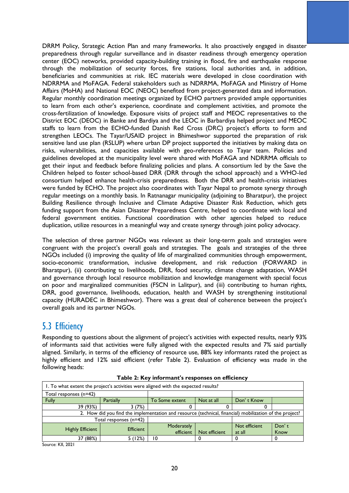DRRM Policy, Strategic Action Plan and many frameworks. It also proactively engaged in disaster preparedness through regular surveillance and in disaster readiness through emergency operation center (EOC) networks, provided capacity-building training in flood, fire and earthquake response through the mobilization of security forces, fire stations, local authorities and, in addition, beneficiaries and communities at risk. IEC materials were developed in close coordination with NDRRMA and MoFAGA. Federal stakeholders such as NDRRMA, MoFAGA and Ministry of Home Affairs (MoHA) and National EOC (NEOC) benefited from project-generated data and information. Regular monthly coordination meetings organized by ECHO partners provided ample opportunities to learn from each other's experience, coordinate and complement activities, and promote the cross-fertilization of knowledge. Exposure visits of project staff and MEOC representatives to the District EOC (DEOC) in Banke and Bardiya and the LEOC in Barbardiya helped project and MEOC staffs to learn from the ECHO-funded Danish Red Cross (DRC) project's efforts to form and strengthen LEOCs. The Tayar/USAID project in Bhimeshwor supported the preparation of risk sensitive land use plan (RSLUP) where urban DP project supported the initiatives by making data on risks, vulnerabilities, and capacities available with geo-references to Tayar team. Policies and guidelines developed at the municipality level were shared with MoFAGA and NDRRMA officials to get their input and feedback before finalizing policies and plans. A consortium led by the Save the Children helped to foster school-based DRR (DRR through the school approach) and a WHO-led consortium helped enhance health-crisis preparedness. Both the DRR and health-crisis initiatives were funded by ECHO. The project also coordinates with Tayar Nepal to promote synergy through regular meetings on a monthly basis. In Ratnanagar municipality (adjoining to Bharatpur), the project Building Resilience through Inclusive and Climate Adaptive Disaster Risk Reduction, which gets funding support from the Asian Disaster Preparedness Centre, helped to coordinate with local and federal government entities. Functional coordination with other agencies helped to reduce duplication, utilize resources in a meaningful way and create synergy through joint policy advocacy.

The selection of three partner NGOs was relevant as their long-term goals and strategies were congruent with the project's overall goals and strategies. The goals and strategies of the three NGOs included (i) improving the quality of life of marginalized communities through empowerment, socio-economic transformation, inclusive development, and risk reduction (FORWARD in Bharatpur), (ii) contributing to livelihoods, DRR, food security, climate change adaptation, WASH and governance through local resource mobilization and knowledge management with special focus on poor and marginalized communities (FSCN in Lalitpur), and (iii) contributing to human rights, DRR, good governance, livelihoods, education, health and WASH by strengthening institutional capacity (HURADEC in Bhimeshwor). There was a great deal of coherence between the project's overall goals and its partner NGOs.

## <span id="page-21-0"></span>5.3 Efficiency

Responding to questions about the alignment of project's activities with expected results, nearly 93% of informants said that activities were fully aligned with the expected results and 7% said partially aligned. Similarly, in terms of the efficiency of resource use, 88% key informants rated the project as highly efficient and 12% said efficient (refer Table 2). Evaluation of efficiency was made in the following heads:

| 1. To what extent the project's activities were aligned with the expected results?                      |                        |                |               |               |       |
|---------------------------------------------------------------------------------------------------------|------------------------|----------------|---------------|---------------|-------|
| Total responses (n=42)                                                                                  |                        |                |               |               |       |
| <b>Fully</b>                                                                                            | Partially              | To Some extent | Not at all    | Don't Know    |       |
| 39 (93%)                                                                                                | 3(7%)                  |                |               |               |       |
| 2. How did you find the implementation and resource (technical, financial) mobilization of the project? |                        |                |               |               |       |
|                                                                                                         | Total responses (n=42) |                |               |               |       |
| <b>Highly Efficient</b>                                                                                 | <b>Efficient</b>       | Moderately     |               | Not efficient | Don't |
|                                                                                                         |                        | efficient      | Not efficient | at all        | Know  |
| 37 (88%)                                                                                                | 5 (12%)                | 10             |               |               |       |

**Table 2: Key informant's responses on efficiency**

Source: KII, 2021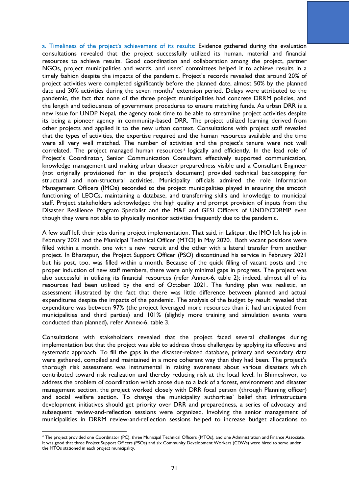a. Timeliness of the project's achievement of its results: Evidence gathered during the evaluation consultations revealed that the project successfully utilized its human, material and financial resources to achieve results. Good coordination and collaboration among the project, partner NGOs, project municipalities and wards, and users' committees helped it to achieve results in a timely fashion despite the impacts of the pandemic. Project's records revealed that around 20% of project activities were completed significantly before the planned date, almost 50% by the planned date and 30% activities during the seven months' extension period. Delays were attributed to the pandemic, the fact that none of the three project municipalities had concrete DRRM policies, and the length and tediousness of government procedures to ensure matching funds. As urban DRR is a new issue for UNDP Nepal, the agency took time to be able to streamline project activities despite its being a pioneer agency in community-based DRR. The project utilized learning derived from other projects and applied it to the new urban context. Consultations with project staff revealed that the types of activities, the expertise required and the human resources available and the time were all very well matched. The number of activities and the project's tenure were not well correlated. The project managed human resources<sup>4</sup> logically and efficiently. In the lead role of Project's Coordinator, Senior Communication Consultant effectively supported communication, knowledge management and making urban disaster preparedness visible and a Consultant Engineer (not originally provisioned for in the project's document) provided technical backstopping for structural and non-structural activities. Municipality officials admired the role Information Management Officers (IMOs) seconded to the project municipalities played in ensuring the smooth functioning of LEOCs, maintaining a database, and transferring skills and knowledge to municipal staff. Project stakeholders acknowledged the high quality and prompt provision of inputs from the Disaster Resilience Program Specialist and the M&E and GESI Officers of UNDP/CDRMP even though they were not able to physically monitor activities frequently due to the pandemic.

A few staff left their jobs during project implementation. That said, in Lalitpur, the IMO left his job in February 2021 and the Municipal Technical Officer (MTO) in May 2020. Both vacant positions were filled within a month, one with a new recruit and the other with a lateral transfer from another project. In Bharatpur, the Project Support Officer (PSO) discontinued his service in February 2021 but his post, too, was filled within a month. Because of the quick filling of vacant posts and the proper induction of new staff members, there were only minimal gaps in progress. The project was also successful in utilizing its financial resources (refer Annex-6, table 2); indeed, almost all of its resources had been utilized by the end of October 2021. The funding plan was realistic, an assessment illustrated by the fact that there was little difference between planned and actual expenditures despite the impacts of the pandemic. The analysis of the budget by result revealed that expenditure was between 97% (the project leveraged more resources than it had anticipated from municipalities and third parties) and 101% (slightly more training and simulation events were conducted than planned), refer Annex-6, table 3.

Consultations with stakeholders revealed that the project faced several challenges during implementation but that the project was able to address those challenges by applying its effective and systematic approach. To fill the gaps in the disaster-related database, primary and secondary data were gathered, compiled and maintained in a more coherent way than they had been. The project's thorough risk assessment was instrumental in raising awareness about various disasters which contributed toward risk realization and thereby reducing risk at the local level. In Bhimeshwor, to address the problem of coordination which arose due to a lack of a forest, environment and disaster management section, the project worked closely with DRR focal person (through Planning officer) and social welfare section. To change the municipality authorities' belief that infrastructure development initiatives should get priority over DRR and preparedness, a series of advocacy and subsequent review-and-reflection sessions were organized. Involving the senior management of municipalities in DRRM review-and-reflection sessions helped to increase budget allocations to

<sup>4</sup> The project provided one Coordinator (PC), three Municipal Technical Officers (MTOs), and one Administration and Finance Associate. It was good that three Project Support Officers (PSOs) and six Community Development Workers (CDWs) were hired to serve under the MTOs stationed in each project municipality.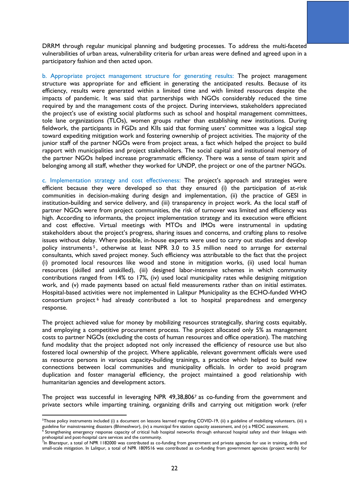DRRM through regular municipal planning and budgeting processes. To address the multi-faceted vulnerabilities of urban areas, vulnerability criteria for urban areas were defined and agreed upon in a participatory fashion and then acted upon.

b. Appropriate project management structure for generating results: The project management structure was appropriate for and efficient in generating the anticipated results. Because of its efficiency, results were generated within a limited time and with limited resources despite the impacts of pandemic. It was said that partnerships with NGOs considerably reduced the time required by and the management costs of the project. During interviews, stakeholders appreciated the project's use of existing social platforms such as school and hospital management committees, tole lane organizations (TLOs), women groups rather than establishing new institutions. During fieldwork, the participants in FGDs and KIIs said that forming users' committee was a logical step toward expediting mitigation work and fostering ownership of project activities. The majority of the junior staff of the partner NGOs were from project areas, a fact which helped the project to build rapport with municipalities and project stakeholders. The social capital and institutional memory of the partner NGOs helped increase programmatic efficiency. There was a sense of team spirit and belonging among all staff, whether they worked for UNDP, the project or one of the partner NGOs.

c. Implementation strategy and cost effectiveness: The project's approach and strategies were efficient because they were developed so that they ensured (i) the participation of at-risk communities in decision-making during design and implementation, (ii) the practice of GESI in institution-building and service delivery, and (iii) transparency in project work. As the local staff of partner NGOs were from project communities, the risk of turnover was limited and efficiency was high. According to informants, the project implementation strategy and its execution were efficient and cost effective. Virtual meetings with MTOs and IMOs were instrumental in updating stakeholders about the project's progress, sharing issues and concerns, and crafting plans to resolve issues without delay. Where possible, in-house experts were used to carry out studies and develop policy instruments <sup>5</sup> , otherwise at least NPR 3.0 to 3.5 million need to arrange for external consultants, which saved project money. Such efficiency was attributable to the fact that the project (i) promoted local resources like wood and stone in mitigation works, (ii) used local human resources (skilled and unskilled), (iii) designed labor-intensive schemes in which community contributions ranged from 14% to 17%, (iv) used local municipality rates while designing mitigation work, and (v) made payments based on actual field measurements rather than on initial estimates. Hospital-based activities were not implemented in Lalitpur Municipality as the ECHO-funded WHO consortium project <sup>6</sup> had already contributed a lot to hospital preparedness and emergency response.

The project achieved value for money by mobilizing resources strategically, sharing costs equitably, and employing a competitive procurement process. The project allocated only 5% as management costs to partner NGOs (excluding the costs of human resources and office operation). The matching fund modality that the project adopted not only increased the efficiency of resource use but also fostered local ownership of the project. Where applicable, relevant government officials were used as resource persons in various capacity-building trainings, a practice which helped to build new connections between local communities and municipality officials. In order to avoid program duplication and foster managerial efficiency, the project maintained a good relationship with humanitarian agencies and development actors.

The project was successful in leveraging NPR 49,38,806<sup>7</sup> as co-funding from the government and private sectors while imparting training, organizing drills and carrying out mitigation work (refer

<sup>&</sup>lt;sup>5</sup>Those policy instruments included (i) a document on lessons learned regarding COVID-19, (ii) a guideline of mobilizing volunteers, (iii) a guideline for mainstreaming disasters (Bhimeshwor), (iv) a municipal fire station capacity assessment, and (v) a MEOC assessment.

<sup>6</sup> Strengthening emergency response capacity of critical hub hospital networks through enhanced hospital safety and their linkages with prehospital and post-hospital care services and the community.<br><sup>7</sup>In Bharatpur, a total of NPR 1182000 was contributed as co-funding from government and private agencies for use in training, drills and

small-scale mitigation. In Lalitpur, a total of NPR 1809516 was contributed as co-funding from government agencies (project wards) for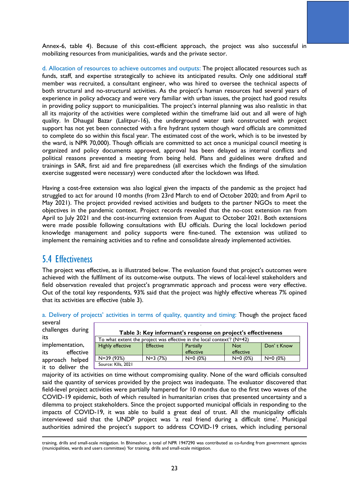Annex-6, table 4). Because of this cost-efficient approach, the project was also successful in mobilizing resources from municipalities, wards and the private sector.

d. Allocation of resources to achieve outcomes and outputs: The project allocated resources such as funds, staff, and expertise strategically to achieve its anticipated results. Only one additional staff member was recruited, a consultant engineer, who was hired to oversee the technical aspects of both structural and no-structural activities. As the project's human resources had several years of experience in policy advocacy and were very familiar with urban issues, the project had good results in providing policy support to municipalities. The project's internal planning was also realistic in that all its majority of the activities were completed within the timeframe laid out and all were of high quality. In Dhaugal Bazar (Lalitpur-16), the underground water tank constructed with project support has not yet been connected with a fire hydrant system though ward officials are committed to complete do so within this fiscal year. The estimated cost of the work, which is to be invested by the ward, is NPR 70,000). Though officials are committed to act once a municipal council meeting is organized and policy documents approved, approval has been delayed as internal conflicts and political reasons prevented a meeting from being held. Plans and guidelines were drafted and trainings in SAR, first aid and fire preparedness (all exercises which the findings of the simulation exercise suggested were necessary) were conducted after the lockdown was lifted.

Having a cost-free extension was also logical given the impacts of the pandemic as the project had struggled to act for around 10 months (from 23rd March to end of October 2020; and from April to May 2021). The project provided revised activities and budgets to the partner NGOs to meet the objectives in the pandemic context. Project records revealed that the no-cost extension ran from April to July 2021 and the cost-incurring extension from August to October 2021. Both extensions were made possible following consultations with EU officials. During the local lockdown period knowledge management and policy supports were fine-tuned. The extension was utilized to implement the remaining activities and to refine and consolidate already implemented activities.

## <span id="page-24-0"></span>5.4 Effectiveness

The project was effective, as is illustrated below. The evaluation found that project's outcomes were achieved with the fulfilment of its outcome-wise outputs. The views of local-level stakeholders and field observation revealed that project's programmatic approach and process were very effective. Out of the total key respondents, 93% said that the project was highly effective whereas 7% opined that its activities are effective (table 3).

a. Delivery of projects' activities in terms of quality, quantity and timing: Though the project faced several

challenges during its implementation, its effective approach helped

it to deliver the

| Table 3: Key informant's response on project's effectiveness                                                          |           |            |            |            |
|-----------------------------------------------------------------------------------------------------------------------|-----------|------------|------------|------------|
| To what extent the project was effective in the local context? $(N=42)$                                               |           |            |            |            |
| <b>Highly effective</b><br>Don't Know<br><b>Partially</b><br><b>Effective</b><br><b>Not</b><br>effective<br>effective |           |            |            |            |
| N=39 (93%)                                                                                                            | $N=3(7%)$ | $N=0$ (0%) | $N=0$ (0%) | $N=0$ (0%) |
| Source: Klls, 2021                                                                                                    |           |            |            |            |

majority of its activities on time without compromising quality. None of the ward officials consulted said the quantity of services provided by the project was inadequate. The evaluator discovered that field-level project activities were partially hampered for 10 months due to the first two waves of the COVID-19 epidemic, both of which resulted in humanitarian crises that presented uncertainty and a dilemma to project stakeholders. Since the project supported municipal officials in responding to the impacts of COVID-19, it was able to build a great deal of trust. All the municipality officials interviewed said that the UNDP project was 'a real friend during a difficult time'. Municipal authorities admired the project's support to address COVID-19 crises, which including personal

training, drills and small-scale mitigation. In Bhimeshor, a total of NPR 1947290 was contributed as co-funding from government agencies (municipalities, wards and users committee) 'for training, drills and small-scale mitigation.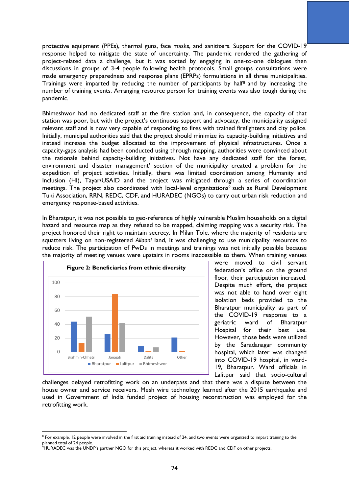protective equipment (PPEs), thermal guns, face masks, and sanitizers. Support for the COVID-19 response helped to mitigate the state of uncertainty. The pandemic rendered the gathering of project-related data a challenge, but it was sorted by engaging in one-to-one dialogues then discussions in groups of 3-4 people following health protocols. Small groups consultations were made emergency preparedness and response plans (EPRPs) formulations in all three municipalities. Trainings were imparted by reducing the number of participants by half<sup>8</sup> and by increasing the number of training events. Arranging resource person for training events was also tough during the pandemic.

Bhimeshwor had no dedicated staff at the fire station and, in consequence, the capacity of that station was poor, but with the project's continuous support and advocacy, the municipality assigned relevant staff and is now very capable of responding to fires with trained firefighters and city police. Initially, municipal authorities said that the project should minimize its capacity-building initiatives and instead increase the budget allocated to the improvement of physical infrastructures. Once a capacity-gaps analysis had been conducted using through mapping, authorities were convinced about the rationale behind capacity-building initiatives. Not have any dedicated staff for the forest, environment and disaster management' section of the municipality created a problem for the expedition of project activities. Initially, there was limited coordination among Humanity and Inclusion (HI), Tayar/USAID and the project was mitigated through a series of coordination meetings. The project also coordinated with local-level organizations<sup>9</sup> such as Rural Development Tuki Association, RRN, REDC, CDF, and HURADEC (NGOs) to carry out urban risk reduction and emergency response-based activities.

In Bharatpur, it was not possible to geo-reference of highly vulnerable Muslim households on a digital hazard and resource map as they refused to be mapped, claiming mapping was a security risk. The project honored their right to maintain secrecy. In Milan Tole, where the majority of residents are squatters living on non-registered *Ailaani* land, it was challenging to use municipality resources to reduce risk. The participation of PwDs in meetings and trainings was not initially possible because the majority of meeting venues were upstairs in rooms inaccessible to them. When training venues



were moved to civil servant federation's office on the ground floor, their participation increased. Despite much effort, the project was not able to hand over eight isolation beds provided to the Bharatpur municipality as part of the COVID-19 response to a geriatric ward of Bharatpur Hospital for their best use. However, those beds were utilized by the Saradanagar community hospital, which later was changed into COVID-19 hospital, in ward-19, Bharatpur. Ward officials in Lalitpur said that socio-cultural

challenges delayed retrofitting work on an underpass and that there was a dispute between the house owner and service receivers. Mesh wire technology learned after the 2015 earthquake and used in Government of India funded project of housing reconstruction was employed for the retrofitting work.

<sup>&</sup>lt;sup>8</sup> For example, 12 people were involved in the first aid training instead of 24, and two events were organized to impart training to the planned total of 24 people.

<sup>&</sup>lt;sup>9</sup>HURADEC was the UNDP's partner NGO for this project, whereas it worked with REDC and CDF on other projects.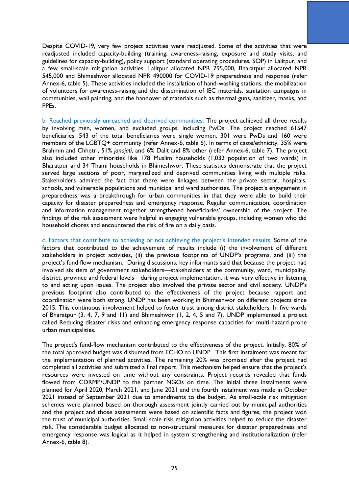Despite COVID-19, very few project activities were readjusted. Some of the activities that were readjusted included capacity-building (training, awareness-raising, exposure and study visits, and guidelines for capacity-building), policy support (standard operating procedures, SOP) in Lalitpur, and a few small-scale mitigation activities. Lalitpur allocated NPR 795,000, Bharatpur allocated NPR 545,000 and Bhimeshwor allocated NPR 490000 for COVID-19 preparedness and response (refer Annex-6, table 5). These activities included the installation of hand-washing stations, the mobilization of volunteers for awareness-raising and the dissemination of IEC materials, sanitation campaigns in communities, wall painting, and the handover of materials such as thermal guns, sanitizer, masks, and PPEs.

b. Reached previously unreached and deprived communities: The project achieved all three results by involving men, women, and excluded groups, including PwDs. The project reached 61547 beneficiaries. 543 of the total beneficiaries were single women, 301 were PwDs and 160 were members of the LGBTQ+ community (refer Annex-6, table 6). In terms of caste/ethnicity, 35% were Brahmin and Chhetri, 51% *janajati*, and 6% Dalit and 8% other (refer Annex-6, table 7). The project also included other minorities like 178 Muslim households (1,032 population of two wards) in Bharatpur and 34 Thami households in Bhimeshwor. These statistics demonstrate that the project served large sections of poor, marginalized and deprived communities living with multiple risks. Stakeholders admired the fact that there were linkages between the private sector, hospitals, schools, and vulnerable populations and municipal and ward authorities. The project's engagement in preparedness was a breakthrough for urban communities in that they were able to build their capacity for disaster preparedness and emergency response. Regular communication, coordination and information management together strengthened beneficiaries' ownership of the project. The findings of the risk assessment were helpful in engaging vulnerable groups, including women who did household chores and encountered the risk of fire on a daily basis.

c. Factors that contribute to achieving or not achieving the project's intended results: Some of the factors that contributed to the achievement of results include (i) the involvement of different stakeholders in project activities, (ii) the previous footprints of UNDP's programs, and (iii) the project's fund flow mechanism. During discussions, key informants said that because the project had involved six tiers of government stakeholders—stakeholders at the community, ward, municipality, district, province and federal levels—during project implementation, it was very effective in listening to and acting upon issues. The project also involved the private sector and civil society. UNDP's previous footprint also contributed to the effectiveness of the project because rapport and coordination were both strong. UNDP has been working in Bhimeshwor on different projects since 2015. This continuous involvement helped to foster trust among district stakeholders. In five wards of Bharatpur (3, 4, 7, 9 and 11) and Bhimeshwor (1, 2, 4, 5 and 7), UNDP implemented a project called Reducing disaster risks and enhancing emergency response capacities for multi-hazard prone urban municipalities.

The project's fund-flow mechanism contributed to the effectiveness of the project. Initially, 80% of the total approved budget was disbursed from ECHO to UNDP. This first instalment was meant for the implementation of planned activities. The remaining 20% was promised after the project had completed all activities and submitted a final report. This mechanism helped ensure that the project's resources were invested on time without any constraints. Project records revealed that funds flowed from CDRMP/UNDP to the partner NGOs on time. The initial three instalments were planned for April 2020, March 2021, and June 2021 and the fourth instalment was made in October 2021 instead of September 2021 due to amendments to the budget. As small-scale risk mitigation schemes were planned based on thorough assessment jointly carried out by municipal authorities and the project and those assessments were based on scientific facts and figures, the project won the trust of municipal authorities. Small scale risk mitigation activities helped to reduce the disaster risk. The considerable budget allocated to non-structural measures for disaster preparedness and emergency response was logical as it helped in system strengthening and institutionalization (refer Annex-6, table 8).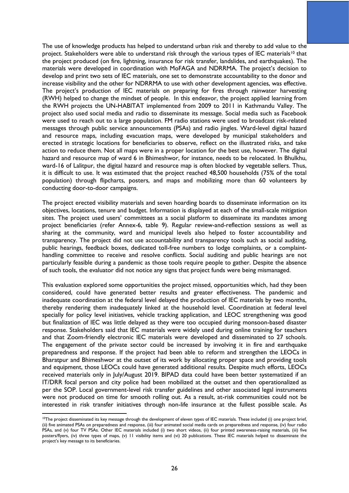The use of knowledge products has helped to understand urban risk and thereby to add value to the project. Stakeholders were able to understand risk through the various types of IEC materials<sup>10</sup> that the project produced (on fire, lightning, insurance for risk transfer, landslides, and earthquakes). The materials were developed in coordination with MoFAGA and NDRRMA. The project's decision to develop and print two sets of IEC materials, one set to demonstrate accountability to the donor and increase visibility and the other for NDRRMA to use with other development agencies, was effective. The project's production of IEC materials on preparing for fires through rainwater harvesting (RWH) helped to change the mindset of people. In this endeavor, the project applied learning from the RWH projects the UN-HABITAT implemented from 2009 to 2011 in Kathmandu Valley. The project also used social media and radio to disseminate its message. Social media such as Facebook were used to reach out to a large population. FM radio stations were used to broadcast risk-related messages through public service announcements (PSAs) and radio jingles. Ward-level digital hazard and resource maps, including evacuation maps, were developed by municipal stakeholders and erected in strategic locations for beneficiaries to observe, reflect on the illustrated risks, and take action to reduce them. Not all maps were in a proper location for the best use, however. The digital hazard and resource map of ward 6 in Bhimeshwor, for instance, needs to be relocated. In Bhulkhu, ward-16 of Lalitpur, the digital hazard and resource map is often blocked by vegetable sellers. Thus, it is difficult to use. It was estimated that the project reached 48,500 households (75% of the total population) through flipcharts, posters, and maps and mobilizing more than 60 volunteers by conducting door-to-door campaigns.

The project erected visibility materials and seven hoarding boards to disseminate information on its objectives, locations, tenure and budget. Information is displayed at each of the small-scale mitigation sites. The project used users' committees as a social platform to disseminate its mandates among project beneficiaries (refer Annex-6, table 9). Regular review-and-reflection sessions as well as sharing at the community, ward and municipal levels also helped to foster accountability and transparency. The project did not use accountability and transparency tools such as social auditing, public hearings, feedback boxes, dedicated toll-free numbers to lodge complaints, or a complainthandling committee to receive and resolve conflicts. Social auditing and public hearings are not particularly feasible during a pandemic as those tools require people to gather. Despite the absence of such tools, the evaluator did not notice any signs that project funds were being mismanaged.

This evaluation explored some opportunities the project missed, opportunities which, had they been considered, could have generated better results and greater effectiveness. The pandemic and inadequate coordination at the federal level delayed the production of IEC materials by two months, thereby rendering them inadequately linked at the household level. Coordination at federal level specially for policy level initiatives, vehicle tracking application, and LEOC strengthening was good but finalization of IEC was little delayed as they were too occupied during monsoon-based disaster response. Stakeholders said that IEC materials were widely used during online training for teachers and that Zoom-friendly electronic IEC materials were developed and disseminated to 27 schools. The engagement of the private sector could be increased by involving it in fire and earthquake preparedness and response. If the project had been able to reform and strengthen the LEOCs in Bharatpur and Bhimeshwor at the outset of its work by allocating proper space and providing tools and equipment, those LEOCs could have generated additional results. Despite much efforts, LEOCs received materials only in July/August 2019. BIPAD data could have been better systematized if an IT/DRR focal person and city police had been mobilized at the outset and then operationalized as per the SOP. Local government-level risk transfer guidelines and other associated legal instruments were not produced on time for smooth rolling out. As a result, at-risk communities could not be interested in risk transfer initiatives through non-life insurance at the fullest possible scale. As

<sup>&</sup>lt;sup>10</sup>The project disseminated its key message through the development of eleven types of IEC materials. These included (i) one project brief, (ii) five animated PSAs on preparedness and response, (iii) four animated social media cards on preparedness and response, (iv) four radio PSAs, and (v) four TV PSAs. Other IEC materials included (i) two short videos, (ii) four printed awareness-raising materials, (iii) five posters/flyers, (iv) three types of maps, (v) 11 visibility items and (vi) 20 publications. These IEC materials helped to disseminate the project's key message to its beneficiaries.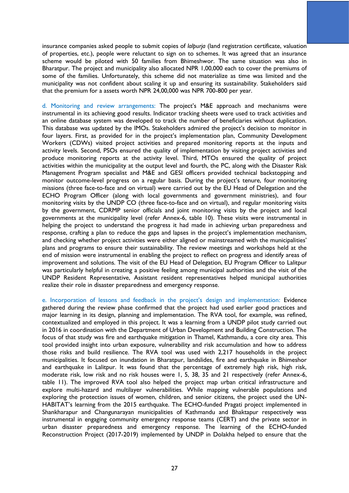insurance companies asked people to submit copies of *lalpurja* (land registration certificate, valuation of properties, etc.), people were reluctant to sign on to schemes. It was agreed that an insurance scheme would be piloted with 50 families from Bhimeshwor. The same situation was also in Bharatpur. The project and municipality also allocated NPR 1,00,000 each to cover the premiums of some of the families. Unfortunately, this scheme did not materialize as time was limited and the municipality was not confident about scaling it up and ensuring its sustainability. Stakeholders said that the premium for a assets worth NPR 24,00,000 was NPR 700-800 per year.

d. Monitoring and review arrangements: The project's M&E approach and mechanisms were instrumental in its achieving good results. Indicator tracking sheets were used to track activities and an online database system was developed to track the number of beneficiaries without duplication. This database was updated by the IMOs. Stakeholders admired the project's decision to monitor in four layers. First, as provided for in the project's implementation plan, Community Development Workers (CDWs) visited project activities and prepared monitoring reports at the inputs and activity levels. Second, PSOs ensured the quality of implementation by visiting project activities and produce monitoring reports at the activity level. Third, MTOs ensured the quality of project activities within the municipality at the output level and fourth, the PC, along with the Disaster Risk Management Program specialist and M&E and GESI officers provided technical backstopping and monitor outcome-level progress on a regular basis. During the project's tenure, four monitoring missions (three face-to-face and on virtual) were carried out by the EU Head of Delegation and the ECHO Program Officer (along with local governments and government ministries), and four monitoring visits by the UNDP CO (three face-to-face and on virtual), and regular monitoring visits by the government, CDRMP senior officials and joint monitoring visits by the project and local governments at the municipality level (refer Annex-6, table 10). These visits were instrumental in helping the project to understand the progress it had made in achieving urban preparedness and response, crafting a plan to reduce the gaps and lapses in the project's implementation mechanism, and checking whether project activities were either aligned or mainstreamed with the municipalities' plans and programs to ensure their sustainability. The review meetings and workshops held at the end of mission were instrumental in enabling the project to reflect on progress and identify areas of improvement and solutions. The visit of the EU Head of Delegation, EU Program Officer to Lalitpur was particularly helpful in creating a positive feeling among municipal authorities and the visit of the UNDP Resident Representative, Assistant resident representatives helped municipal authorities realize their role in disaster preparedness and emergency response.

e. Incorporation of lessons and feedback in the project's design and implementation: Evidence gathered during the review phase confirmed that the project had used earlier good practices and major learning in its design, planning and implementation. The RVA tool, for example, was refined, contextualized and employed in this project. It was a learning from a UNDP pilot study carried out in 2016 in coordination with the Department of Urban Development and Building Construction. The focus of that study was fire and earthquake mitigation in Thamel, Kathmandu, a core city area. This tool provided insight into urban exposure, vulnerability and risk accumulation and how to address those risks and build resilience. The RVA tool was used with 2,217 households in the project municipalities. It focused on inundation in Bharatpur, landslides, fire and earthquake in Bhimeshor and earthquake in Lalitpur. It was found that the percentage of extremely high risk, high risk, moderate risk, low risk and no risk houses were 1, 5, 38, 35 and 21 respectively (refer Annex-6, table 11). The improved RVA tool also helped the project map urban critical infrastructure and explore multi-hazard and multilayer vulnerabilities. While mapping vulnerable populations and exploring the protection issues of women, children, and senior citizens, the project used the UN-HABITAT's learning from the 2015 earthquake. The ECHO-funded Pragati project implemented in Shankharapur and Changunarayan municipalities of Kathmandu and Bhaktapur respectively was instrumental in engaging community emergency response teams (CERT) and the private sector in urban disaster preparedness and emergency response. The learning of the ECHO-funded Reconstruction Project (2017-2019) implemented by UNDP in Dolakha helped to ensure that the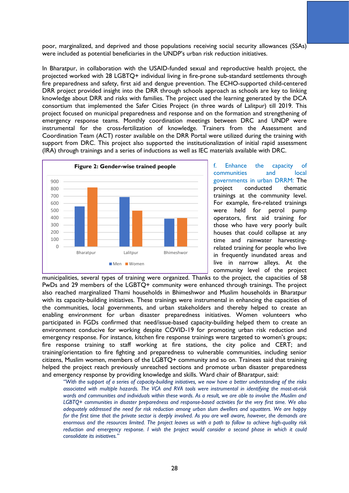poor, marginalized, and deprived and those populations receiving social security allowances (SSAs) were included as potential beneficiaries in the UNDP's urban risk reduction initiatives.

In Bharatpur, in collaboration with the USAID-funded sexual and reproductive health project, the projected worked with 28 LGBTQ+ individual living in fire-prone sub-standard settlements through fire preparedness and safety, first aid and dengue prevention. The ECHO-supported child-centered DRR project provided insight into the DRR through schools approach as schools are key to linking knowledge about DRR and risks with families. The project used the learning generated by the DCA consortium that implemented the Safer Cities Project (in three wards of Lalitpur) till 2019. This project focused on municipal preparedness and response and on the formation and strengthening of emergency response teams. Monthly coordination meetings between DRC and UNDP were instrumental for the cross-fertilization of knowledge. Trainers from the Assessment and Coordination Team (ACT) roster available on the DRR Portal were utilized during the training with support from DRC. This project also supported the institutionalization of initial rapid assessment (IRA) through trainings and a series of inductions as well as IEC materials available with DRC.



f. Enhance the capacity of communities and local governments in urban DRRM: The project conducted thematic trainings at the community level. For example, fire-related trainings were held for petrol pump operators, first aid training for those who have very poorly built houses that could collapse at any time and rainwater harvestingrelated training for people who live in frequently inundated areas and live in narrow alleys. At the community level of the project

municipalities, several types of training were organized. Thanks to the project, the capacities of 58 PwDs and 29 members of the LGBTQ+ community were enhanced through trainings. The project also reached marginalized Thami households in Bhimeshwor and Muslim households in Bharatpur with its capacity-building initiatives. These trainings were instrumental in enhancing the capacities of the communities, local governments, and urban stakeholders and thereby helped to create an enabling environment for urban disaster preparedness initiatives. Women volunteers who participated in FGDs confirmed that need/issue-based capacity-building helped them to create an environment conducive for working despite COVID-19 for promoting urban risk reduction and emergency response. For instance, kitchen fire response trainings were targeted to women's groups; fire response training to staff working at fire stations, the city police and CERT; and training/orientation to fire fighting and preparedness to vulnerable communities, including senior citizens, Muslim women, members of the LGBTQ+ community and so on. Trainees said that training helped the project reach previously unreached sections and promote urban disaster preparedness and emergency response by providing knowledge and skills. Ward chair of Bharatpur, said:

*"With the support of a series of capacity-building initiatives, we now have a better understanding of the risks associated with multiple hazards. The VCA and RVA tools were instrumental in identifying the most-at-risk wards and communities and individuals within these wards. As a result, we are able to involve the Muslim and LGBTQ+ communities in disaster preparedness and response-based activities for the very first time. We also adequately addressed the need for risk reduction among urban slum dwellers and squatters. We are happy for the first time that the private sector is deeply involved. As you are well aware, however, the demands are enormous and the resources limited. The project leaves us with a path to follow to achieve high-quality risk reduction and emergency response. I wish the project would consider a second phase in which it could consolidate its initiatives."*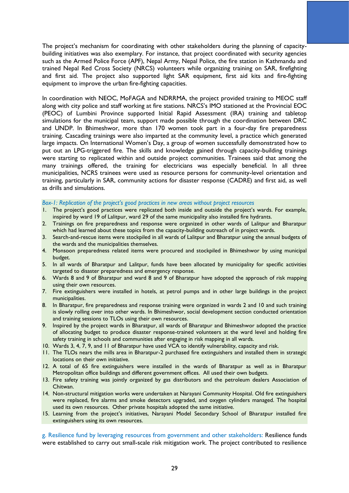The project's mechanism for coordinating with other stakeholders during the planning of capacitybuilding initiatives was also exemplary. For instance, that project coordinated with security agencies such as the Armed Police Force (APF), Nepal Army, Nepal Police, the fire station in Kathmandu and trained Nepal Red Cross Society (NRCS) volunteers while organizing training on SAR, firefighting and first aid. The project also supported light SAR equipment, first aid kits and fire-fighting equipment to improve the urban fire-fighting capacities.

In coordination with NEOC, MoFAGA and NDRRMA, the project provided training to MEOC staff along with city police and staff working at fire stations. NRCS's IMO stationed at the Provincial EOC (PEOC) of Lumbini Province supported Initial Rapid Assessment (IRA) training and tabletop simulations for the municipal team, support made possible through the coordination between DRC and UNDP. In Bhimeshwor, more than 170 women took part in a four-day fire preparedness training. Cascading trainings were also imparted at the community level, a practice which generated large impacts. On International Women's Day, a group of women successfully demonstrated how to put out an LPG-triggered fire. The skills and knowledge gained through capacity-building trainings were starting to replicated within and outside project communities. Trainees said that among the many trainings offered, the training for electricians was especially beneficial. In all three municipalities, NCRS trainees were used as resource persons for community-level orientation and training, particularly in SAR, community actions for disaster response (CADRE) and first aid, as well as drills and simulations.

#### *Box-1: Replication of the project's good practices in new areas without project resources*

- 1. The project's good practices were replicated both inside and outside the project's wards. For example, inspired by ward 19 of Lalitpur, ward 29 of the same municipality also installed fire hydrants.
- 2. Trainings on fire preparedness and response were organized in other wards of Lalitpur and Bharatpur which had learned about these topics from the capacity-building outreach of in project wards.
- 3. Search-and-rescue items were stockpiled in all wards of Lalitpur and Bharatpur using the annual budgets of the wards and the municipalities themselves.
- 4. Monsoon preparedness related items were procured and stockpiled in Bhimeshwor by using municipal budget.
- 5. In all wards of Bharatpur and Lalitpur, funds have been allocated by municipality for specific activities targeted to disaster preparedness and emergency response.
- 6. Wards 8 and 9 of Bharatpur and ward 8 and 9 of Bharatpur have adopted the approach of risk mapping using their own resources.
- 7. Fire extinguishers were installed in hotels, at petrol pumps and in other large buildings in the project municipalities.
- 8. In Bharatpur, fire preparedness and response training were organized in wards 2 and 10 and such training is slowly rolling over into other wards. In Bhimeshwor, social development section conducted orientation and training sessions to TLOs using their own resources.
- 9. Inspired by the project wards in Bharatpur, all wards of Bharatpur and Bhimeshwor adopted the practice of allocating budget to produce disaster response-trained volunteers at the ward level and holding fire safety training in schools and communities after engaging in risk mapping in all wards.
- 10. Wards 3, 4, 7, 9, and 11 of Bharatpur have used VCA to identify vulnerability, capacity and risk.
- 11. The TLOs nears the mills area in Bharatpur-2 purchased fire extinguishers and installed them in strategic locations on their own initiative.
- 12. A total of 65 fire extinguishers were installed in the wards of Bharatpur as well as in Bharatpur Metropolitan office buildings and different government offices. All used their own budgets.
- 13. Fire safety training was jointly organized by gas distributors and the petroleum dealers Association of Chitwan.
- 14. Non-structural mitigation works were undertaken at Narayani Community Hospital. Old fire extinguishers were replaced, fire alarms and smoke detectors upgraded, and oxygen cylinders managed. The hospital used its own resources. Other private hospitals adopted the same initiative.
- 15. Learning from the project's initiatives, Narayani Model Secondary School of Bharatpur installed fire extinguishers using its own resources.

g. Resilience fund by leveraging resources from government and other stakeholders: Resilience funds were established to carry out small-scale risk mitigation work. The project contributed to resilience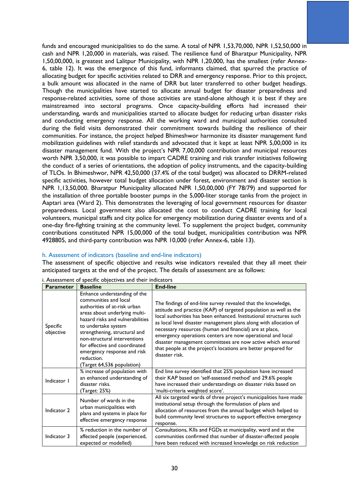funds and encouraged municipalities to do the same. A total of NPR 1,53,70,000, NPR 1,52,50,000 in cash and NPR 1,20,000 in materials, was raised. The resilience fund of Bharatpur Municipality, NPR 1,50,00,000, is greatest and Lalitpur Municipality, with NPR 1,20,000, has the smallest (refer Annex-6, table 12). It was the emergence of this fund, informants claimed, that spurred the practice of allocating budget for specific activities related to DRR and emergency response. Prior to this project, a bulk amount was allocated in the name of DRR but later transferred to other budget headings. Though the municipalities have started to allocate annual budget for disaster preparedness and response-related activities, some of those activities are stand-alone although it is best if they are mainstreamed into sectoral programs. Once capacity-building efforts had increased their understanding, wards and municipalities started to allocate budget for reducing urban disaster risks and conducting emergency response. All the working ward and municipal authorities consulted during the field visits demonstrated their commitment towards building the resilience of their communities. For instance, the project helped Bhimeshwor harmonize its disaster management fund mobilization guidelines with relief standards and advocated that it kept at least NPR 5,00,000 in its disaster management fund. With the project's NPR 7,00,000 contribution and municipal resources worth NPR 3,50,000, it was possible to impart CADRE training and risk transfer initiatives following the conduct of a series of orientations, the adoption of policy instruments, and the capacity-building of TLOs. In Bhimeshwor, NPR 42,50,000 (37.4% of the total budget) was allocated to DRRM-related specific activities, however total budget allocation under forest, environment and disaster section is NPR 1,13,50,000. Bharatpur Municipality allocated NPR 1,50,00,000 (FY 78/79) and supported for the installation of three portable booster pumps in the 5,000-liter storage tanks from the project in Aaptari area (Ward 2). This demonstrates the leveraging of local government resources for disaster preparedness. Local government also allocated the cost to conduct CADRE training for local volunteers, municipal staffs and city police for emergency mobilization during disaster events and of a one-day fire-fighting training at the community level. To supplement the project budget, community contributions constituted NPR 15,00,000 of the total budget, municipalities contribution was NPR 4928805, and third-party contribution was NPR 10,000 (refer Annex-6, table 13).

#### h. Assessment of indicators (baseline and end-line indicators)

The assessment of specific objective and results wise indicators revealed that they all meet their anticipated targets at the end of the project. The details of assessment are as follows:

| ι αι αι ιι σισι       | разеше                                                                                                                                                                                                                                                                                                                                                         | ыш-ше                                                                                                                                                                                                                                                                                                                                                                                                                                                                                                                                                    |
|-----------------------|----------------------------------------------------------------------------------------------------------------------------------------------------------------------------------------------------------------------------------------------------------------------------------------------------------------------------------------------------------------|----------------------------------------------------------------------------------------------------------------------------------------------------------------------------------------------------------------------------------------------------------------------------------------------------------------------------------------------------------------------------------------------------------------------------------------------------------------------------------------------------------------------------------------------------------|
| Specific<br>objective | Enhance understanding of the<br>communities and local<br>authorities of at-risk urban<br>areas about underlying multi-<br>hazard risks and vulnerabilities<br>to undertake system<br>strengthening, structural and<br>non-structural interventions<br>for effective and coordinated<br>emergency response and risk<br>reduction.<br>(Target 64,536 population) | The findings of end-line survey revealed that the knowledge,<br>attitude and practice (KAP) of targeted population as well as the<br>local authorities has been enhanced. Institutional structures such<br>as local level disaster management plans along with allocation of<br>necessary resources (human and financial) are at place,<br>emergency operations centers are now operational and local<br>disaster management committees are now active which ensured<br>that people at the project's locations are better prepared for<br>disaster risk. |
| Indicator I           | % increase of population with<br>an enhanced understanding of<br>disaster risks.<br>(Target: 25%)                                                                                                                                                                                                                                                              | End line survey identified that 25% population have increased<br>their KAP based on 'self-assessed method' and 29.6% people<br>have increased their understandings on disaster risks based on<br>'multi-criteria weighted score'.                                                                                                                                                                                                                                                                                                                        |
| Indicator 2           | Number of wards in the<br>urban municipalities with<br>plans and systems in place for<br>effective emergency response                                                                                                                                                                                                                                          | All six targeted wards of three project's municipalities have made<br>institutional setup through the formulation of plans and<br>allocation of resources from the annual budget which helped to<br>build community level structures to support effective emergency<br>response.                                                                                                                                                                                                                                                                         |
| Indicator 3           | % reduction in the number of<br>affected people (experienced,<br>expected or modelled)                                                                                                                                                                                                                                                                         | Consultations, KIIs and FGDs at municipality, ward and at the<br>communities confirmed that number of disaster-affected people<br>have been reduced with increased knowledge on risk reduction                                                                                                                                                                                                                                                                                                                                                           |

i. Assessment of specific objectives and their indicators<br> **Example to Because Line Parameter Baseline**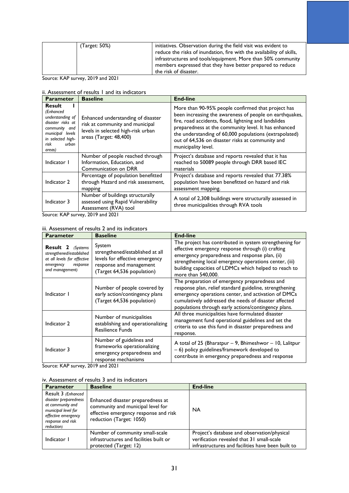| (Target: 50%) | initiatives. Observation during the field visit was evident to<br>reduce the risks of inundation, fire with the availability of skills,<br>infrastructures and tools/equipment. More than 50% community<br>members expressed that they have better prepared to reduce |
|---------------|-----------------------------------------------------------------------------------------------------------------------------------------------------------------------------------------------------------------------------------------------------------------------|
|               | the risk of disaster.                                                                                                                                                                                                                                                 |

Source: KAP survey, 2019 and 2021

#### ii. Assessment of results 1 and its indicators

| <b>Parameter</b>                                                                                                                                  | <b>Baseline</b>                                                                                                                       | <b>End-line</b>                                                                                                                                                                                                                                                                                                                                                     |
|---------------------------------------------------------------------------------------------------------------------------------------------------|---------------------------------------------------------------------------------------------------------------------------------------|---------------------------------------------------------------------------------------------------------------------------------------------------------------------------------------------------------------------------------------------------------------------------------------------------------------------------------------------------------------------|
| Result<br>(Enhanced<br>understanding of<br>disaster risks at<br>community and<br>municipal levels<br>in selected high-<br>risk<br>urban<br>areas) | Enhanced understanding of disaster<br>risk at community and municipal<br>levels in selected high-risk urban<br>areas (Target: 48,400) | More than 90-95% people confirmed that project has<br>been increasing the awareness of people on earthquakes,<br>fire, road accidents, flood, lightning and landslides<br>preparedness at the community level. It has enhanced<br>the understanding of 60,000 populations (extrapolated)<br>out of 64,536 on disaster risks at community and<br>municipality level. |
| Indicator I                                                                                                                                       | Number of people reached through<br>Information, Education, and<br>Communication on DRR                                               | Project's database and reports revealed that it has<br>reached to 50089 people through DRR based IEC<br>materials                                                                                                                                                                                                                                                   |
| Indicator 2                                                                                                                                       | Percentage of population benefitted<br>through Hazard and risk assessment,<br>mapping                                                 | Project's database and reports revealed that 77.38%<br>population have been benefitted on hazard and risk<br>assessment mapping.                                                                                                                                                                                                                                    |
| Indicator 3                                                                                                                                       | Number of buildings structurally<br>assessed using Rapid Vulnerability<br>Assessment (RVA) tool                                       | A total of 2,308 buildings were structurally assessed in<br>three municipalities through RVA tools                                                                                                                                                                                                                                                                  |

Source: KAP survey, 2019 and 2021

#### iii. Assessment of results 2 and its indicators

| <b>Parameter</b>                                                                                                                | <b>Baseline</b>                                                                                                                      | <b>End-line</b>                                                                                                                                                                                                                                                                                         |
|---------------------------------------------------------------------------------------------------------------------------------|--------------------------------------------------------------------------------------------------------------------------------------|---------------------------------------------------------------------------------------------------------------------------------------------------------------------------------------------------------------------------------------------------------------------------------------------------------|
| <b>Result 2</b> (Systems<br>strengthened/established<br>at all levels for effective<br>response<br>emergency<br>and management) | System<br>strengthened/established at all<br>levels for effective emergency<br>response and management<br>(Target 64,536 population) | The project has contributed in system strengthening for<br>effective emergency response through (i) crafting<br>emergency preparedness and response plan, (ii)<br>strengthening local emergency operations center, (iii)<br>building capacities of LDMCs which helped to reach to<br>more than 540,000. |
| Indicator I                                                                                                                     | Number of people covered by<br>early action/contingency plans<br>(Target 64,536 population)                                          | The preparation of emergency preparedness and<br>response plan, relief standard guideline, strengthening<br>emergency operations center, and activation of DMCs<br>cumulatively addressed the needs of disaster affected<br>populations through early actions/contingency plans.                        |
| Indicator 2                                                                                                                     | Number of municipalities<br>establishing and operationalizing<br><b>Resilience Funds</b>                                             | All three municipalities have formulated disaster<br>management fund operational guidelines and set the<br>criteria to use this fund in disaster preparedness and<br>response.                                                                                                                          |
| Indicator 3                                                                                                                     | Number of guidelines and<br>frameworks operationalizing<br>emergency preparedness and<br>response mechanisms                         | A total of 25 (Bharatpur $-$ 9, Bhimeshwor $-$ 10, Lalitpur<br>- 6) policy guidelines/framework developed to<br>contribute in emergency preparedness and response                                                                                                                                       |

Source: KAP survey, 2019 and 2021

#### iv. Assessment of results 3 and its indicators

| <b>Parameter</b>                                                                                                                                 | <b>Baseline</b>                                                                                                                             | <b>End-line</b>                                                                                                                               |
|--------------------------------------------------------------------------------------------------------------------------------------------------|---------------------------------------------------------------------------------------------------------------------------------------------|-----------------------------------------------------------------------------------------------------------------------------------------------|
| Result 3 (Enhanced<br>disaster preparedness<br>at community and<br>municipal level for<br>effective emergency<br>response and risk<br>reduction) | Enhanced disaster preparedness at<br>community and municipal level for<br>effective emergency response and risk<br>reduction (Target: 1050) | <b>NA</b>                                                                                                                                     |
| Indicator I                                                                                                                                      | Number of community small-scale<br>infrastructures and facilities built or<br>protected (Target: 12)                                        | Project's database and observation/physical<br>verification revealed that 31 small-scale<br>infrastructures and facilities have been built to |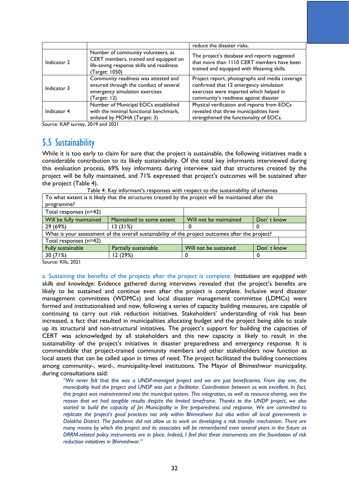|             |                                                                                                                                            | reduce the disaster risks.                                                                                                                                                    |
|-------------|--------------------------------------------------------------------------------------------------------------------------------------------|-------------------------------------------------------------------------------------------------------------------------------------------------------------------------------|
| Indicator 2 | Number of community volunteers, as<br>CERT members, trained and equipped on<br>life-saving response skills and readiness<br>(Target: 1050) | The project's database and reports suggested<br>that more than 1110 CERT members have been<br>trained and equipped with lifesaving skills.                                    |
| Indicator 3 | Community readiness was attested and<br>ensured through the conduct of several<br>emergency simulation exercises<br>(Target: 12)           | Project report, photographs and media coverage<br>confirmed that 12 emergency simulation<br>exercises were imparted which helped in<br>community's readiness against disaster |
| Indicator 4 | Number of Municipal EOCs established<br>with the minimal functional benchmark,<br>enlisted by MOHA (Target: 3)                             | Physical verification and reports from EOCs<br>revealed that three municipalities have<br>strengthened the functionality of EOCs.                                             |

Source: KAP survey, 2019 and 2021

## <span id="page-33-0"></span>5.5 Sustainability

While it is too early to claim for sure that the project is sustainable, the following initiatives made a considerable contribution to its likely sustainability. Of the total key informants interviewed during this evaluation process, 69% key informants during interview said that structures created by the project will be fully maintained, and 71% expressed that project's outcomes will be sustained after the project (Table 4).

| To what extent is it likely that the structures created by the project will be maintained after the<br>programme? |                           |                        |            |  |  |  |  |
|-------------------------------------------------------------------------------------------------------------------|---------------------------|------------------------|------------|--|--|--|--|
| Total responses (n=42)                                                                                            |                           |                        |            |  |  |  |  |
| Will be fully maintained                                                                                          | Maintained to some extent | Will not be maintained | Don't know |  |  |  |  |
| 29 (69%)                                                                                                          | 13(31%)                   |                        |            |  |  |  |  |
| What is your assessment of the overall sustainability of the project outcomes after the project?                  |                           |                        |            |  |  |  |  |
| Total responses (n=42)                                                                                            |                           |                        |            |  |  |  |  |
| Fully sustainable                                                                                                 | Partially sustainable     | Will not be sustained  | Don't know |  |  |  |  |
| 30(71%)                                                                                                           | 12 (29%)                  |                        |            |  |  |  |  |
|                                                                                                                   |                           |                        |            |  |  |  |  |

Table 4: Key informant's responses with respect to the sustainability of schemes

Source: KIIs, 2021

a. Sustaining the benefits of the projects after the project is complete: *Institutions are equipped with skills and knowledge:* Evidence gathered during interviews revealed that the project's benefits are likely to be sustained and continue even after the project is complete. Inclusive ward disaster management committees (WDMCs) and local disaster management committee (LDMCs) were formed and institutionalized and now, following a series of capacity building measures, are capable of continuing to carry out risk reduction initiatives. Stakeholders' understanding of risk has been increased, a fact that resulted in municipalities allocating budget and the project being able to scale up its structural and non-structural initiatives. The project's support for building the capacities of CERT was acknowledged by all stakeholders and this new capacity is likely to result in the sustainability of the project's initiatives in disaster preparedness and emergency response. It is commendable that project-trained community members and other stakeholders now function as local assets that can be called upon in times of need. The project facilitated the building connections among community-, ward-, municipality-level institutions. The Mayor of Bhimeshwor municipality, during consultations said:

*"We never felt that this was a UNDP-managed project and we are just beneficiaries. From day one, the municipality lead the project and UNDP was just a facilitator. Coordination between us was excellent. In fact, this project was mainstreamed into the municipal system. This integration, as well as resource-sharing, was the reason that we had tangible results despite the limited timeframe. Thanks to the UNDP project, we also started to build the capacity of Jiri Municipality in fire preparedness and response. We are committed to replicate the project's good practices not only within Bhimeshwor but also within all local governments in Dolakha District. The pandemic did not allow us to work on developing a risk transfer mechanism. There are many means by which this project and its associates will be remembered even several years in the future as DRRM-related policy instruments are in place. Indeed, I feel that these instruments are the foundation of risk reduction initiatives in Bhimeshwor."*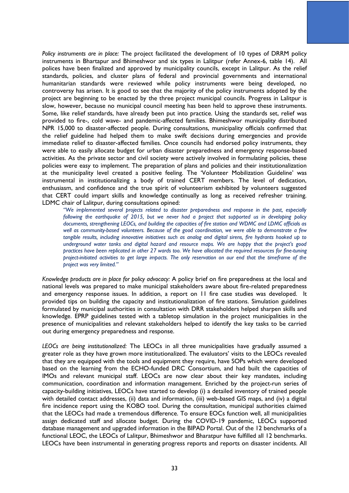*Policy instruments are in place:* The project facilitated the development of 10 types of DRRM policy instruments in Bhartapur and Bhimeshwor and six types in Lalitpur (refer Annex-6, table 14). All polices have been finalized and approved by municipality councils, except in Lalitpur. As the relief standards, policies, and cluster plans of federal and provincial governments and international humanitarian standards were reviewed while policy instruments were being developed, no controversy has arisen. It is good to see that the majority of the policy instruments adopted by the project are beginning to be enacted by the three project municipal councils. Progress in Lalitpur is slow, however, because no municipal council meeting has been held to approve these instruments. Some, like relief standards, have already been put into practice. Using the standards set, relief was provided to fire-, cold wave- and pandemic-affected families. Bhimeshwor municipality distributed NPR 15,000 to disaster-affected people. During consultations, municipality officials confirmed that the relief guideline had helped them to make swift decisions during emergencies and provide immediate relief to disaster-affected families. Once councils had endorsed policy instruments, they were able to easily allocate budget for urban disaster preparedness and emergency response-based activities. As the private sector and civil society were actively involved in formulating policies, these policies were easy to implement. The preparation of plans and policies and their institutionalization at the municipality level created a positive feeling. The 'Volunteer Mobilization Guideline' was instrumental in institutionalizing a body of trained CERT members. The level of dedication, enthusiasm, and confidence and the true spirit of volunteerism exhibited by volunteers suggested that CERT could impart skills and knowledge continually as long as received refresher training. LDMC chair of Lalitpur, during consultations opined:

*"We implemented several projects related to disaster preparedness and response in the past, especially following the earthquake of 2015, but we never had a project that supported us in developing policy documents, strengthening LEOCs, and building the capacities of fire station and WDMC and LDMC officials as well as community-based volunteers. Because of the good coordination, we were able to demonstrate a few tangible results, including innovative initiatives such as analog and digital sirens, fire hydrants hooked up to underground water tanks and digital hazard and resource maps. We are happy that the project's good practices have been replicated in other 27 wards too. We have allocated the required resources for fine-tuning project-initiated activities to get large impacts. The only reservation on our end that the timeframe of the project was very limited."*

*Knowledge products are in place for policy advocacy:* A policy brief on fire preparedness at the local and national levels was prepared to make municipal stakeholders aware about fire-related preparedness and emergency response issues. In addition, a report on 11 fire case studies was developed. It provided tips on building the capacity and institutionalization of fire stations. Simulation guidelines formulated by municipal authorities in consultation with DRR stakeholders helped sharpen skills and knowledge. EPRP guidelines tested with a tabletop simulation in the project municipalities in the presence of municipalities and relevant stakeholders helped to identify the key tasks to be carried out during emergency preparedness and response.

*LEOCs are being institutionalized:* The LEOCs in all three municipalities have gradually assumed a greater role as they have grown more institutionalized. The evaluators' visits to the LEOCs revealed that they are equipped with the tools and equipment they require, have SOPs which were developed based on the learning from the ECHO-funded DRC Consortium, and had built the capacities of IMOs and relevant municipal staff. LEOCs are now clear about their key mandates, including communication, coordination and information management. Enriched by the project-run series of capacity-building initiatives, LEOCs have started to develop (i) a detailed inventory of trained people with detailed contact addresses, (ii) data and information, (iii) web-based GIS maps, and (iv) a digital fire incidence report using the KOBO tool. During the consultation, municipal authorities claimed that the LEOCs had made a tremendous difference. To ensure EOCs function well, all municipalities assign dedicated staff and allocate budget. During the COVID-19 pandemic, LEOCs supported database management and upgraded information in the BIPAD Portal. Out of the 12 benchmarks of a functional LEOC, the LEOCs of Lalitpur, Bhimeshwor and Bharatpur have fulfilled all 12 benchmarks. LEOCs have been instrumental in generating progress reports and reports on disaster incidents. All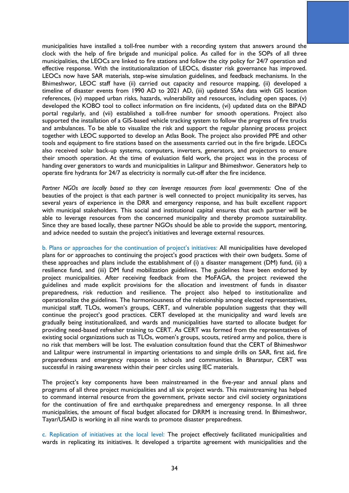municipalities have installed a toll-free number with a recording system that answers around the clock with the help of fire brigade and municipal police. As called for in the SOPs of all three municipalities, the LEOCs are linked to fire stations and follow the city policy for 24/7 operation and effective response. With the institutionalization of LEOCs, disaster risk governance has improved. LEOCs now have SAR materials, step-wise simulation guidelines, and feedback mechanisms. In the Bhimeshwor, LEOC staff have (ii) carried out capacity and resource mapping, (ii) developed a timeline of disaster events from 1990 AD to 2021 AD, (iii) updated SSAs data with GIS location references, (iv) mapped urban risks, hazards, vulnerability and resources, including open spaces, (v) developed the KOBO tool to collect information on fire incidents, (vi) updated data on the BIPAD portal regularly, and (vii) established a toll-free number for smooth operations. Project also supported the installation of a GIS-based vehicle tracking system to follow the progress of fire trucks and ambulances. To be able to visualize the risk and support the regular planning process project together with LEOC supported to develop an Atlas Book. The project also provided PPE and other tools and equipment to fire stations based on the assessments carried out in the fire brigade. LEOCs also received solar back-up systems, computers, inverters, generators, and projectors to ensure their smooth operation. At the time of evaluation field work, the project was in the process of handing over generators to wards and municipalities in Lalitpur and Bhimeshwor. Generators help to operate fire hydrants for 24/7 as electricity is normally cut-off after the fire incidence.

*Partner NGOs are locally based so they can leverage resources from local governments:* One of the beauties of the project is that each partner is well connected to project municipality its serves, has several years of experience in the DRR and emergency response, and has built excellent rapport with municipal stakeholders. This social and institutional capital ensures that each partner will be able to leverage resources from the concerned municipality and thereby promote sustainability. Since they are based locally, these partner NGOs should be able to provide the support, mentoring, and advice needed to sustain the project's initiatives and leverage external resources.

b. Plans or approaches for the continuation of project's initiatives: All municipalities have developed plans for or approaches to continuing the project's good practices with their own budgets. Some of these approaches and plans include the establishment of (i) a disaster management (DM) fund, (ii) a resilience fund, and (iii) DM fund mobilization guidelines. The guidelines have been endorsed by project municipalities. After receiving feedback from the MoFAGA, the project reviewed the guidelines and made explicit provisions for the allocation and investment of funds in disaster preparedness, risk reduction and resilience. The project also helped to institutionalize and operationalize the guidelines. The harmoniousness of the relationship among elected representatives, municipal staff, TLOs, women's groups, CERT, and vulnerable population suggests that they will continue the project's good practices. CERT developed at the municipality and ward levels are gradually being institutionalized, and wards and municipalities have started to allocate budget for providing need-based refresher training to CERT. As CERT was formed from the representatives of existing social organizations such as TLOs, women's groups, scouts, retired army and police, there is no risk that members will be lost. The evaluation consultation found that the CERT of Bhimeshwor and Lalitpur were instrumental in imparting orientations to and simple drills on SAR, first aid, fire preparedness and emergency response in schools and communities. In Bharatpur, CERT was successful in raising awareness within their peer circles using IEC materials.

The project's key components have been mainstreamed in the five-year and annual plans and programs of all three project municipalities and all six project wards. This mainstreaming has helped to command internal resource from the government, private sector and civil society organizations for the continuation of fire and earthquake preparedness and emergency response. In all three municipalities, the amount of fiscal budget allocated for DRRM is increasing trend. In Bhimeshwor, Tayar/USAID is working in all nine wards to promote disaster preparedness.

c. Replication of initiatives at the local level: The project effectively facilitated municipalities and wards in replicating its initiatives. It developed a tripartite agreement with municipalities and the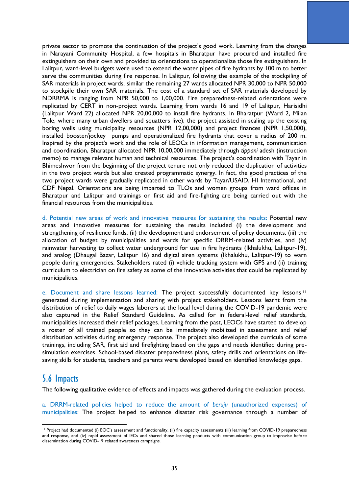private sector to promote the continuation of the project's good work. Learning from the changes in Narayani Community Hospital, a few hospitals in Bharatpur have procured and installed fire extinguishers on their own and provided to orientations to operationalize those fire extinguishers. In Lalitpur, ward-level budgets were used to extend the water pipes of fire hydrants by 100 m to better serve the communities during fire response. In Lalitpur, following the example of the stockpiling of SAR materials in project wards, similar the remaining 27 wards allocated NPR 30,000 to NPR 50,000 to stockpile their own SAR materials. The cost of a standard set of SAR materials developed by NDRRMA is ranging from NPR 50,000 to 1,00,000. Fire preparedness-related orientations were replicated by CERT in non-project wards. Learning from wards 16 and 19 of Lalitpur, Harisidhi (Lalitpur Ward 22) allocated NPR 20,00,000 to install fire hydrants. In Bharatpur (Ward 2, Milan Tole, where many urban dwellers and squatters live), the project assisted in scaling up the existing boring wells using municipality resources (NPR 12,00,000) and project finances (NPR 1,50,000), installed booster/jockey pumps and operationalized fire hydrants that cover a radius of 200 m. Inspired by the project's work and the role of LEOCs in information management, communication and coordination, Bharatpur allocated NPR 10,00,000 immediately through *tippani* adesh (instruction memo) to manage relevant human and technical resources. The project's coordination with Tayar in Bhimeshwor from the beginning of the project tenure not only reduced the duplication of activities in the two project wards but also created programmatic synergy. In fact, the good practices of the two project wards were gradually replicated in other wards by Tayar/USAID, HI International, and CDF Nepal. Orientations are being imparted to TLOs and women groups from ward offices in Bharatpur and Lalitpur and trainings on first aid and fire-fighting are being carried out with the financial resources from the municipalities.

d. Potential new areas of work and innovative measures for sustaining the results: Potential new areas and innovative measures for sustaining the results included (i) the development and strengthening of resilience funds, (ii) the development and endorsement of policy documents, (iii) the allocation of budget by municipalities and wards for specific DRRM-related activities, and (iv) rainwater harvesting to collect water underground for use in fire hydrants (Ikhalukhu, Lalitpur-19), and analog (Dhaugal Bazar, Lalitpur 16) and digital siren systems (Ikhalukhu, Lalitpur-19) to warn people during emergencies. Stakeholders rated (i) vehicle tracking system with GPS and (ii) training curriculum to electrician on fire safety as some of the innovative activities that could be replicated by municipalities.

e. Document and share lessons learned: The project successfully documented key lessons <sup>11</sup> generated during implementation and sharing with project stakeholders. Lessons learnt from the distribution of relief to daily wages laborers at the local level during the COVID-19 pandemic were also captured in the Relief Standard Guideline. As called for in federal-level relief standards, municipalities increased their relief packages. Learning from the past, LEOCs have started to develop a roster of all trained people so they can be immediately mobilized in assessment and relief distribution activities during emergency response. The project also developed the curricula of some trainings, including SAR, first aid and firefighting based on the gaps and needs identified during presimulation exercises. School-based disaster preparedness plans, safety drills and orientations on lifesaving skills for students, teachers and parents were developed based on identified knowledge gaps.

## 5.6 Impacts

The following qualitative evidence of effects and impacts was gathered during the evaluation process.

a. DRRM-related policies helped to reduce the amount of *beruju* (unauthorized expenses) of municipalities: The project helped to enhance disaster risk governance through a number of

<sup>&</sup>lt;sup>11</sup> Project had documented (i) EOC's assessment and functionality, (ii) fire capacity assessments (iii) learning from COVID-19 preparedness and response, and (iv) rapid assessment of IECs and shared those learning products with communication group to improvise before dissemination during COVID-19 related awareness campaigns.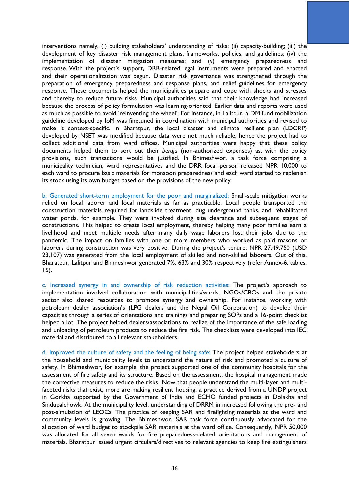interventions namely, (i) building stakeholders' understanding of risks; (ii) capacity-building; (iii) the development of key disaster risk management plans, frameworks, policies, and guidelines; (iv) the implementation of disaster mitigation measures; and (v) emergency preparedness and response. With the project's support, DRR-related legal instruments were prepared and enacted and their operationalization was begun. Disaster risk governance was strengthened through the preparation of emergency preparedness and response plans, and relief guidelines for emergency response. These documents helped the municipalities prepare and cope with shocks and stresses and thereby to reduce future risks. Municipal authorities said that their knowledge had increased because the process of policy formulation was learning-oriented. Earlier data and reports were used as much as possible to avoid 'reinventing the wheel'. For instance, in Lalitpur, a DM fund mobilization guideline developed by IoM was finetuned in coordination with municipal authorities and revised to make it context-specific. In Bharatpur, the local disaster and climate resilient plan (LDCRP) developed by NSET was modified because data were not much reliable, hence the project had to collect additional data from ward offices. Municipal authorities were happy that these policy documents helped them to sort out their *beruju* (non-authorized expenses) as, with the policy provisions, such transactions would be justified. In Bhimeshwor, a task force comprising a municipality technician, ward representatives and the DRR focal person released NPR 10,000 to each ward to procure basic materials for monsoon preparedness and each ward started to replenish its stock using its own budget based on the provisions of the new policy.

b. Generated short-term employment for the poor and marginalized: Small-scale mitigation works relied on local laborer and local materials as far as practicable. Local people transported the construction materials required for landslide treatment, dug underground tanks, and rehabilitated water ponds, for example. They were involved during site clearance and subsequent stages of constructions. This helped to create local employment, thereby helping many poor families earn a livelihood and meet multiple needs after many daily wage laborers lost their jobs due to the pandemic. The impact on families with one or more members who worked as paid masons or laborers during construction was very positive. During the project's tenure, NPR 27,49,750 (USD 23,107) was generated from the local employment of skilled and non-skilled laborers. Out of this, Bharatpur, Lalitpur and Bhimeshwor generated 7%, 63% and 30% respectively (refer Annex-6, tables, 15).

c. Increased synergy in and ownership of risk reduction activities: The project's approach to implementation involved collaboration with municipalities/wards, NGOs/CBOs and the private sector also shared resources to promote synergy and ownership. For instance, working with petroleum dealer association's (LPG dealers and the Nepal Oil Corporation) to develop their capacities through a series of orientations and trainings and preparing SOPs and a 16-point checklist helped a lot. The project helped dealers/associations to realize of the importance of the safe loading and unloading of petroleum products to reduce the fire risk. The checklists were developed into IEC material and distributed to all relevant stakeholders.

d. Improved the culture of safety and the feeling of being safe: The project helped stakeholders at the household and municipality levels to understand the nature of risk and promoted a culture of safety. In Bhimeshwor, for example, the project supported one of the community hospitals for the assessment of fire safety and its structure. Based on the assessment, the hospital management made the corrective measures to reduce the risks. Now that people understand the multi-layer and multifaceted risks that exist, more are making resilient housing, a practice derived from a UNDP project in Gorkha supported by the Government of India and ECHO funded projects in Dolakha and Sindupalchowk. At the municipality level, understanding of DRRM in increased following the pre- and post-simulation of LEOCs. The practice of keeping SAR and firefighting materials at the ward and community levels is growing. The Bhimeshwor, SAR task force continuously advocated for the allocation of ward budget to stockpile SAR materials at the ward office. Consequently, NPR 50,000 was allocated for all seven wards for fire preparedness-related orientations and management of materials. Bharatpur issued urgent circulars/directives to relevant agencies to keep fire extinguishers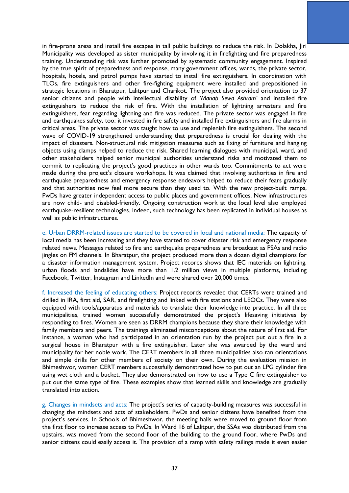in fire-prone areas and install fire escapes in tall public buildings to reduce the risk. In Dolakha, Jiri Municipality was developed as sister municipality by involving it in firefighting and fire preparedness training. Understanding risk was further promoted by systematic community engagement. Inspired by the true spirit of preparedness and response, many government offices, wards, the private sector, hospitals, hotels, and petrol pumps have started to install fire extinguishers. In coordination with TLOs, fire extinguishers and other fire-fighting equipment were installed and prepositioned in strategic locations in Bharatpur, Lalitpur and Charikot. The project also provided orientation to 37 senior citizens and people with intellectual disability of *'Manab Sewa Ashram'* and installed fire extinguishers to reduce the risk of fire. With the installation of lightning arresters and fire extinguishers, fear regarding lightning and fire was reduced. The private sector was engaged in fire and earthquakes safety, too: it invested in fire safety and installed fire extinguishers and fire alarms in critical areas. The private sector was taught how to use and replenish fire extinguishers. The second wave of COVID-19 strengthened understanding that preparedness is crucial for dealing with the impact of disasters. Non-structural risk mitigation measures such as fixing of furniture and hanging objects using clamps helped to reduce the risk. Shared learning dialogues with municipal, ward, and other stakeholders helped senior municipal authorities understand risks and motivated them to commit to replicating the project's good practices in other wards too. Commitments to act were made during the project's closure workshops. It was claimed that involving authorities in fire and earthquake preparedness and emergency response endeavors helped to reduce their fears gradually and that authorities now feel more secure than they used to. With the new project-built ramps, PwDs have greater independent access to public places and government offices. New infrastructures are now child- and disabled-friendly. Ongoing construction work at the local level also employed earthquake-resilient technologies. Indeed, such technology has been replicated in individual houses as well as public infrastructures.

e. Urban DRRM-related issues are started to be covered in local and national media: The capacity of local media has been increasing and they have started to cover disaster risk and emergency response related news. Messages related to fire and earthquake preparedness are broadcast as PSAs and radio jingles on FM channels. In Bharatpur, the project produced more than a dozen digital champions for a disaster information management system. Project records shows that IEC materials on lightning, urban floods and landslides have more than 1.2 million views in multiple platforms, including Facebook, Twitter, Instagram and LinkedIn and were shared over 20,000 times.

f. Increased the feeling of educating others: Project records revealed that CERTs were trained and drilled in IRA, first aid, SAR, and firefighting and linked with fire stations and LEOCs. They were also equipped with tools/apparatus and materials to translate their knowledge into practice. In all three municipalities, trained women successfully demonstrated the project's lifesaving initiatives by responding to fires. Women are seen as DRRM champions because they share their knowledge with family members and peers. The trainings eliminated misconceptions about the nature of first aid. For instance, a woman who had participated in an orientation run by the project put out a fire in a surgical house in Bharatpur with a fire extinguisher. Later she was awarded by the ward and municipality for her noble work. The CERT members in all three municipalities also ran orientations and simple drills for other members of society on their own. During the evaluation mission in Bhimeshwor, women CERT members successfully demonstrated how to put out an LPG cylinder fire using wet cloth and a bucket. They also demonstrated on how to use a Type C fire extinguisher to put out the same type of fire. These examples show that learned skills and knowledge are gradually translated into action.

g. Changes in mindsets and acts: The project's series of capacity-building measures was successful in changing the mindsets and acts of stakeholders. PwDs and senior citizens have benefited from the project's services. In Schools of Bhimeshwor, the meeting halls were moved to ground floor from the first floor to increase access to PwDs. In Ward 16 of Lalitpur, the SSAs was distributed from the upstairs, was moved from the second floor of the building to the ground floor, where PwDs and senior citizens could easily access it. The provision of a ramp with safety railings made it even easier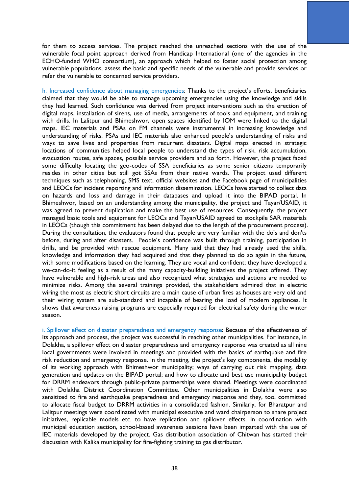for them to access services. The project reached the unreached sections with the use of the vulnerable focal point approach derived from Handicap International (one of the agencies in the ECHO-funded WHO consortium), an approach which helped to foster social protection among vulnerable populations, assess the basic and specific needs of the vulnerable and provide services or refer the vulnerable to concerned service providers.

h. Increased confidence about managing emergencies: Thanks to the project's efforts, beneficiaries claimed that they would be able to manage upcoming emergencies using the knowledge and skills they had learned. Such confidence was derived from project interventions such as the erection of digital maps, installation of sirens, use of media, arrangements of tools and equipment, and training with drills. In Lalitpur and Bhimeshwor, open spaces identified by IOM were linked to the digital maps. IEC materials and PSAs on FM channels were instrumental in increasing knowledge and understanding of risks. PSAs and IEC materials also enhanced people's understanding of risks and ways to save lives and properties from recurrent disasters. Digital maps erected in strategic locations of communities helped local people to understand the types of risk, risk accumulation, evacuation routes, safe spaces, possible service providers and so forth. However, the project faced some difficulty locating the geo-codes of SSA beneficiaries as some senior citizens temporarily resides in other cities but still got SSAs from their native wards. The project used different techniques such as telephoning, SMS text, official websites and the Facebook page of municipalities and LEOCs for incident reporting and information dissemination. LEOCs have started to collect data on hazards and loss and damage in their databases and upload it into the BIPAD portal. In Bhimeshwor, based on an understanding among the municipality, the project and Tayar/USAID, it was agreed to prevent duplication and make the best use of resources. Consequently, the project managed basic tools and equipment for LEOCs and Tayar/USAID agreed to stockpile SAR materials in LEOCs (though this commitment has been delayed due to the length of the procurement process). During the consultation, the evaluators found that people are very familiar with the do's and don'ts before, during and after disasters. People's confidence was built through training, participation in drills, and be provided with rescue equipment. Many said that they had already used the skills, knowledge and information they had acquired and that they planned to do so again in the future, with some modifications based on the learning. They are vocal and confident; they have developed a we-can-do-it feeling as a result of the many capacity-building initiatives the project offered. They have vulnerable and high-risk areas and also recognized what strategies and actions are needed to minimize risks. Among the several trainings provided, the stakeholders admired that in electric wiring the most as electric short circuits are a main cause of urban fires as houses are very old and their wiring system are sub-standard and incapable of bearing the load of modern appliances. It shows that awareness raising programs are especially required for electrical safety during the winter season.

i. Spillover effect on disaster preparedness and emergency response: Because of the effectiveness of its approach and process, the project was successful in reaching other municipalities. For instance, in Dolakha, a spillover effect on disaster preparedness and emergency response was created as all nine local governments were involved in meetings and provided with the basics of earthquake and fire risk reduction and emergency response. In the meeting, the project's key components, the modality of its working approach with Bhimeshwor municipality; ways of carrying out risk mapping, data generation and updates on the BIPAD portal; and how to allocate and best use municipality budget for DRRM endeavors through public-private partnerships were shared. Meetings were coordinated with Dolakha District Coordination Committee. Other municipalities in Dolakha were also sensitized to fire and earthquake preparedness and emergency response and they, too, committed to allocate fiscal budget to DRRM activities in a consolidated fashion. Similarly, for Bharatpur and Lalitpur meetings were coordinated with municipal executive and ward chairperson to share project initiatives, replicable models etc. to have replication and spillover effects. In coordination with municipal education section, school-based awareness sessions have been imparted with the use of IEC materials developed by the project. Gas distribution association of Chitwan has started their discussion with Kalika municipality for fire-fighting training to gas distributor.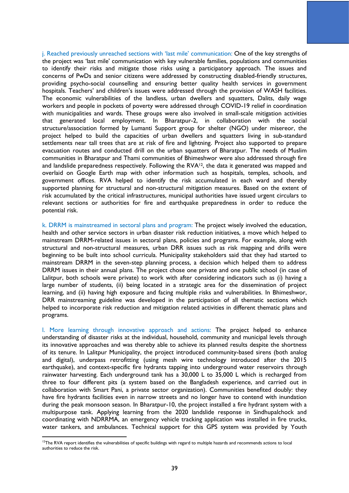j. Reached previously unreached sections with 'last mile' communication: One of the key strengths of the project was 'last mile' communication with key vulnerable families, populations and communities to identify their risks and mitigate those risks using a participatory approach. The issues and concerns of PwDs and senior citizens were addressed by constructing disabled-friendly structures, providing psycho-social counselling and ensuring better quality health services in government hospitals. Teachers' and children's issues were addressed through the provision of WASH facilities. The economic vulnerabilities of the landless, urban dwellers and squatters, Dalits, daily wage workers and people in pockets of poverty were addressed through COVID-19 relief in coordination with municipalities and wards. These groups were also involved in small-scale mitigation activities that generated local employment. In Bharatpur-2, in collaboration with the social structure/association formed by Lumanti Support group for shelter (NGO) under misereor, the project helped to build the capacities of urban dwellers and squatters living in sub-standard settlements near tall trees that are at risk of fire and lightning. Project also supported to prepare evacuation routes and conducted drill on the urban squatters of Bharatpur. The needs of Muslim communities in Bharatpur and Thami communities of Bhimeshwor were also addressed through fire and landslide preparedness respectively. Following the  $RVA^{12}$ , the data it generated was mapped and overlaid on Google Earth map with other information such as hospitals, temples, schools, and government offices. RVA helped to identify the risk accumulated in each ward and thereby supported planning for structural and non-structural mitigation measures. Based on the extent of risk accumulated by the critical infrastructures, municipal authorities have issued urgent circulars to relevant sections or authorities for fire and earthquake preparedness in order to reduce the potential risk.

k. DRRM is mainstreamed in sectoral plans and program: The project wisely involved the education, health and other service sectors in urban disaster risk reduction initiatives, a move which helped to mainstream DRRM-related issues in sectoral plans, policies and programs. For example, along with structural and non-structural measures, urban DRR issues such as risk mapping and drills were beginning to be built into school curricula. Municipality stakeholders said that they had started to mainstream DRRM in the seven-step planning process, a decision which helped them to address DRRM issues in their annual plans. The project chose one private and one public school (in case of Lalitpur, both schools were private) to work with after considering indicators such as (i) having a large number of students, (ii) being located in a strategic area for the dissemination of project learning, and (ii) having high exposure and facing multiple risks and vulnerabilities. In Bhimeshwor, DRR mainstreaming guideline was developed in the participation of all thematic sections which helped to incorporate risk reduction and mitigation related activities in different thematic plans and programs.

l. More learning through innovative approach and actions: The project helped to enhance understanding of disaster risks at the individual, household, community and municipal levels through its innovative approaches and was thereby able to achieve its planned results despite the shortness of its tenure. In Lalitpur Municipality, the project introduced community-based sirens (both analog and digital), underpass retrofitting (using mesh wire technology introduced after the 2015 earthquake), and context-specific fire hydrants tapping into underground water reservoirs through rainwater harvesting. Each underground tank has a 30,000 L to 35,000 L which is recharged from three to four different pits (a system based on the Bangladesh experience, and carried out in collaboration with Smart Pani, a private sector organization). Communities benefited doubly: they have fire hydrants facilities even in narrow streets and no longer have to contend with inundation during the peak monsoon season. In Bharatpur-10, the project installed a fire hydrant system with a multipurpose tank. Applying learning from the 2020 landslide response in Sindhupalchock and coordinating with NDRRMA, an emergency vehicle tracking application was installed in fire trucks, water tankers, and ambulances. Technical support for this GPS system was provided by Youth

<sup>&</sup>lt;sup>12</sup>The RVA report identifies the vulnerabilities of specific buildings with regard to multiple hazards and recommends actions to local authorities to reduce the risk.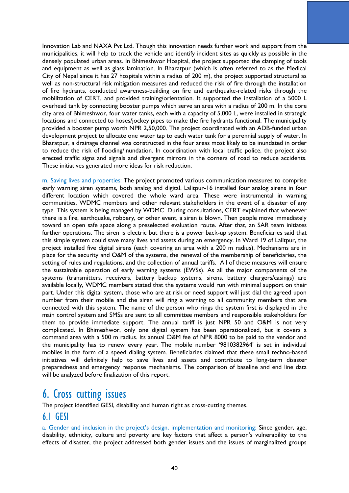Innovation Lab and NAXA Pvt Ltd. Though this innovation needs further work and support from the municipalities, it will help to track the vehicle and identify incident sites as quickly as possible in the densely populated urban areas. In Bhimeshwor Hospital, the project supported the clamping of tools and equipment as well as glass lamination. In Bharatpur (which is often referred to as the Medical City of Nepal since it has 27 hospitals within a radius of 200 m), the project supported structural as well as non-structural risk mitigation measures and reduced the risk of fire through the installation of fire hydrants, conducted awareness-building on fire and earthquake-related risks through the mobilization of CERT, and provided training/orientation. It supported the installation of a 5000 L overhead tank by connecting booster pumps which serve an area with a radius of 200 m. In the core city area of Bhimeshwor, four water tanks, each with a capacity of 5,000 L, were installed in strategic locations and connected to hoses/jockey pipes to make the fire hydrants functional. The municipality provided a booster pump worth NPR 2,50,000. The project coordinated with an ADB-funded urban development project to allocate one water tap to each water tank for a perennial supply of water. In Bharatpur, a drainage channel was constructed in the four areas most likely to be inundated in order to reduce the risk of flooding/inundation. In coordination with local traffic police, the project also erected traffic signs and signals and divergent mirrors in the corners of road to reduce accidents. These initiatives generated more ideas for risk reduction.

m. Saving lives and properties: The project promoted various communication measures to comprise early warning siren systems, both analog and digital. Lalitpur-16 installed four analog sirens in four different location which covered the whole ward area. These were instrumental in warning communities, WDMC members and other relevant stakeholders in the event of a disaster of any type. This system is being managed by WDMC. During consultations, CERT explained that whenever there is a fire, earthquake, robbery, or other event, a siren is blown. Then people move immediately toward an open safe space along a preselected evaluation route. After that, an SAR team initiates further operations. The siren is electric but there is a power back-up system. Beneficiaries said that this simple system could save many lives and assets during an emergency. In Ward 19 of Lalitpur, the project installed five digital sirens (each covering an area with a 200 m radius). Mechanisms are in place for the security and O&M of the systems, the renewal of the membership of beneficiaries, the setting of rules and regulations, and the collection of annual tariffs. All of these measures will ensure the sustainable operation of early warning systems (EWSs). As all the major components of the systems (transmitters, receivers, battery backup systems, sirens, battery chargers/casings) are available locally, WDMC members stated that the systems would run with minimal support on their part. Under this digital system, those who are at risk or need support will just dial the agreed upon number from their mobile and the siren will ring a warning to all community members that are connected with this system. The name of the person who rings the system first is displayed in the main control system and SMSs are sent to all committee members and responsible stakeholders for them to provide immediate support. The annual tariff is just NPR 50 and O&M is not very complicated. In Bhimeshwor, only one digital system has been operationalized, but it covers a command area with a 500 m radius. Its annual O&M fee of NPR 8000 to be paid to the vendor and the municipality has to renew every year. The mobile number '9810382964' is set in individual mobiles in the form of a speed dialing system. Beneficiaries claimed that these small techno-based initiatives will definitely help to save lives and assets and contribute to long-term disaster preparedness and emergency response mechanisms. The comparison of baseline and end line data will be analyzed before finalization of this report.

# 6. Cross cutting issues

The project identified GESI, disability and human right as cross-cutting themes.

## 6.1 GESI

a. Gender and inclusion in the project's design, implementation and monitoring: Since gender, age, disability, ethnicity, culture and poverty are key factors that affect a person's vulnerability to the effects of disaster, the project addressed both gender issues and the issues of marginalized groups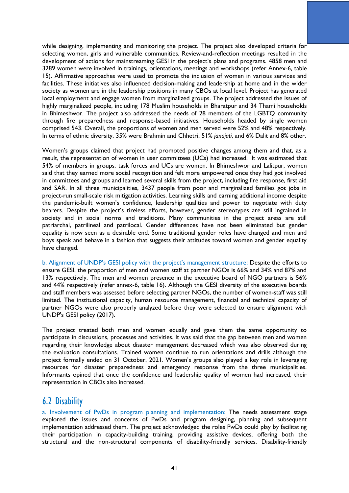while designing, implementing and monitoring the project. The project also developed criteria for selecting women, girls and vulnerable communities. Review-and-reflection meetings resulted in the development of actions for mainstreaming GESI in the project's plans and programs. 4858 men and 3289 women were involved in trainings, orientations, meetings and workshops (refer Annex-6, table 15). Affirmative approaches were used to promote the inclusion of women in various services and facilities. These initiatives also influenced decision-making and leadership at home and in the wider society as women are in the leadership positions in many CBOs at local level. Project has generated local employment and engage women from marginalized groups. The project addressed the issues of highly marginalized people, including 178 Muslim households in Bharatpur and 34 Thami households in Bhimeshwor. The project also addressed the needs of 28 members of the LGBTQ community through fire preparedness and response-based initiatives. Households headed by single women comprised 543. Overall, the proportions of women and men served were 52% and 48% respectively. In terms of ethnic diversity, 35% were Brahmin and Chhetri, 51% *janajati*, and 6% Dalit and 8% other.

Women's groups claimed that project had promoted positive changes among them and that, as a result, the representation of women in user committees (UCs) had increased. It was estimated that 54% of members in groups, task forces and UCs are women. In Bhimeshwor and Lalitpur, women said that they earned more social recognition and felt more empowered once they had got involved in committees and groups and learned several skills from the project, including fire response, first aid and SAR. In all three municipalities, 3437 people from poor and marginalized families got jobs in project-run small-scale risk mitigation activities. Learning skills and earning additional income despite the pandemic-built women's confidence, leadership qualities and power to negotiate with duty bearers. Despite the project's tireless efforts, however, gender stereotypes are still ingrained in society and in social norms and traditions. Many communities in the project areas are still patriarchal, patrilineal and patrilocal. Gender differences have not been eliminated but gender equality is now seen as a desirable end. Some traditional gender roles have changed and men and boys speak and behave in a fashion that suggests their attitudes toward women and gender equality have changed.

b. Alignment of UNDP's GESI policy with the project's management structure: Despite the efforts to ensure GESI, the proportion of men and women staff at partner NGOs is 66% and 34% and 87% and 13% respectively. The men and women presence in the executive board of NGO partners is 56% and 44% respectively (refer annex-6, table 16). Although the GESI diversity of the executive boards and staff members was assessed before selecting partner NGOs, the number of women-staff was still limited. The institutional capacity, human resource management, financial and technical capacity of partner NGOs were also properly analyzed before they were selected to ensure alignment with UNDP's GESI policy (2017).

The project treated both men and women equally and gave them the same opportunity to participate in discussions, processes and activities. It was said that the gap between men and women regarding their knowledge about disaster management decreased which was also observed during the evaluation consultations. Trained women continue to run orientations and drills although the project formally ended on 31 October, 2021. Women's groups also played a key role in leveraging resources for disaster preparedness and emergency response from the three municipalities. Informants opined that once the confidence and leadership quality of women had increased, their representation in CBOs also increased.

## 6.2 Disability

a. Involvement of PwDs in program planning and implementation: The needs assessment stage explored the issues and concerns of PwDs and program designing, planning and subsequent implementation addressed them. The project acknowledged the roles PwDs could play by facilitating their participation in capacity-building training, providing assistive devices, offering both the structural and the non-structural components of disability-friendly services. Disability-friendly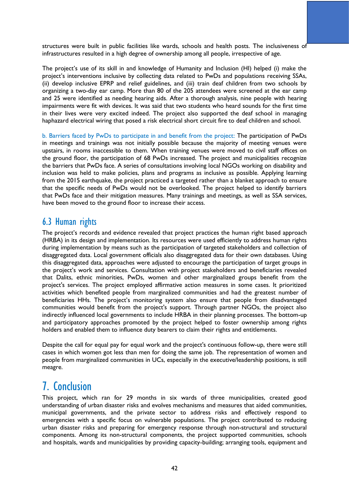structures were built in public facilities like wards, schools and health posts. The inclusiveness of infrastructures resulted in a high degree of ownership among all people, irrespective of age.

The project's use of its skill in and knowledge of Humanity and Inclusion (HI) helped (i) make the project's interventions inclusive by collecting data related to PwDs and populations receiving SSAs, (ii) develop inclusive EPRP and relief guidelines, and (iii) train deaf children from two schools by organizing a two-day ear camp. More than 80 of the 205 attendees were screened at the ear camp and 25 were identified as needing hearing aids. After a thorough analysis, nine people with hearing impairments were fit with devices. It was said that two students who heard sounds for the first time in their lives were very excited indeed. The project also supported the deaf school in managing haphazard electrical wiring that posed a risk electrical short circuit fire to deaf children and school.

b. Barriers faced by PwDs to participate in and benefit from the project: The participation of PwDs in meetings and trainings was not initially possible because the majority of meeting venues were upstairs, in rooms inaccessible to them. When training venues were moved to civil staff offices on the ground floor, the participation of 68 PwDs increased. The project and municipalities recognize the barriers that PwDs face. A series of consultations involving local NGOs working on disability and inclusion was held to make policies, plans and programs as inclusive as possible. Applying learning from the 2015 earthquake, the project practiced a targeted rather than a blanket approach to ensure that the specific needs of PwDs would not be overlooked. The project helped to identify barriers that PwDs face and their mitigation measures. Many trainings and meetings, as well as SSA services, have been moved to the ground floor to increase their access.

## 6.3 Human rights

The project's records and evidence revealed that project practices the human right based approach (HRBA) in its design and implementation. Its resources were used efficiently to address human rights during implementation by means such as the participation of targeted stakeholders and collection of disaggregated data. Local government officials also disaggregated data for their own databases. Using this disaggregated data, approaches were adjusted to encourage the participation of target groups in the project's work and services. Consultation with project stakeholders and beneficiaries revealed that Dalits, ethnic minorities, PwDs, women and other marginalized groups benefit from the project's services. The project employed affirmative action measures in some cases. It prioritized activities which benefited people from marginalized communities and had the greatest number of beneficiaries HHs. The project's monitoring system also ensure that people from disadvantaged communities would benefit from the project's support. Through partner NGOs, the project also indirectly influenced local governments to include HRBA in their planning processes. The bottom-up and participatory approaches promoted by the project helped to foster ownership among rights holders and enabled them to influence duty bearers to claim their rights and entitlements.

Despite the call for equal pay for equal work and the project's continuous follow-up, there were still cases in which women got less than men for doing the same job. The representation of women and people from marginalized communities in UCs, especially in the executive/leadership positions, is still meagre.

# 7. Conclusion

This project, which ran for 29 months in six wards of three municipalities, created good understanding of urban disaster risks and evolves mechanisms and measures that aided communities, municipal governments, and the private sector to address risks and effectively respond to emergencies with a specific focus on vulnerable populations. The project contributed to reducing urban disaster risks and preparing for emergency response through non-structural and structural components. Among its non-structural components, the project supported communities, schools and hospitals, wards and municipalities by providing capacity-building; arranging tools, equipment and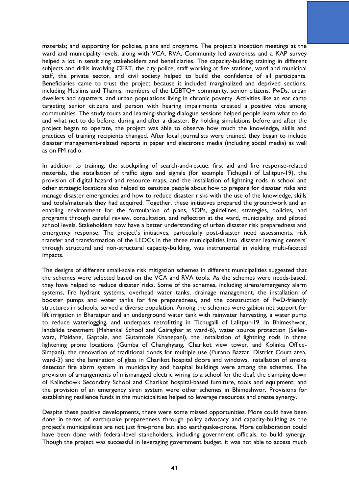materials; and supporting for policies, plans and programs. The project's inception meetings at the ward and municipality levels, along with VCA, RVA, Community led awareness and a KAP survey helped a lot in sensitizing stakeholders and beneficiaries. The capacity-building training in different subjects and drills involving CERT, the city police, staff working at fire stations, ward and municipal staff, the private sector, and civil society helped to build the confidence of all participants. Beneficiaries came to trust the project because it included marginalized and deprived sections, including Muslims and Thamis, members of the LGBTQ+ community, senior citizens, PwDs, urban dwellers and squatters, and urban populations living in chronic poverty. Activities like an ear camp targeting senior citizens and person with hearing impairments created a positive vibe among communities. The study tours and learning-sharing dialogue sessions helped people learn what to do and what not to do before, during and after a disaster. By holding simulations before and after the project began to operate, the project was able to observe how much the knowledge, skills and practices of training recipients changed. After local journalists were trained, they began to include disaster management-related reports in paper and electronic media (including social media) as well as on FM radio.

In addition to training, the stockpiling of search-and-rescue, first aid and fire response-related materials, the installation of traffic signs and signals (for example Tichugalli of Lalitpur-19), the provision of digital hazard and resource maps, and the installation of lightning rods in school and other strategic locations also helped to sensitize people about how to prepare for disaster risks and manage disaster emergencies and how to reduce disaster risks with the use of the knowledge, skills and tools/materials they had acquired. Together, these initiatives prepared the groundwork and an enabling environment for the formulation of plans, SOPs, guidelines, strategies, policies, and programs through careful review, consultation, and reflection at the ward, municipality, and piloted school levels. Stakeholders now have a better understanding of urban disaster risk preparedness and emergency response. The project's initiatives, particularly post-disaster need assessments, risk transfer and transformation of the LEOCs in the three municipalities into 'disaster learning centers' through structural and non-structural capacity-building, was instrumental in yielding multi-faceted impacts.

The designs of different small-scale risk mitigation schemes in different municipalities suggested that the schemes were selected based on the VCA and RVA tools. As the schemes were needs-based, they have helped to reduce disaster risks. Some of the schemes, including sirens/emergency alarm systems, fire hydrant systems, overhead water tanks, drainage management, the installation of booster pumps and water tanks for fire preparedness, and the construction of PwD-friendly structures in schools, served a diverse population. Among the schemes were gabion net support for lift irrigation in Bharatpur and an underground water tank with rainwater harvesting, a water pump to reduce waterlogging, and underpass retrofitting in Tichugalli of Lalitpur-19. In Bhimeshwor, landslide treatment (Mahankal School and Gairaghar at ward-6), water source protection (Salleswara, Maidane, Gaptole, and Gutamtole Khanepani), the installation of lightning rods in three lightening prone locations (Gumba of Charighyang, Charikot view tower, and Kolinka Office-Simpani), the renovation of traditional ponds for multiple use (Purano Bazzar, District Court area, ward-3) and the lamination of glass in Charikot hospital doors and windows, installation of smoke detector fire alarm system in municipality and hospital buildings were among the schemes. The provision of arrangements of mismanaged electric wiring to a school for the deaf, the clamping down of Kalinchowk Secondary School and Charikot hospital-based furniture, tools and equipment; and the provision of an emergency siren system were other schemes in Bhimeshwor. Provisions for establishing resilience funds in the municipalities helped to leverage resources and create synergy.

Despite these positive developments, there were some missed opportunities. More could have been done in terms of earthquake preparedness through policy advocacy and capacity-building as the project's municipalities are not just fire-prone but also earthquake-prone. More collaboration could have been done with federal-level stakeholders, including government officials, to build synergy. Though the project was successful in leveraging government budget, it was not able to access much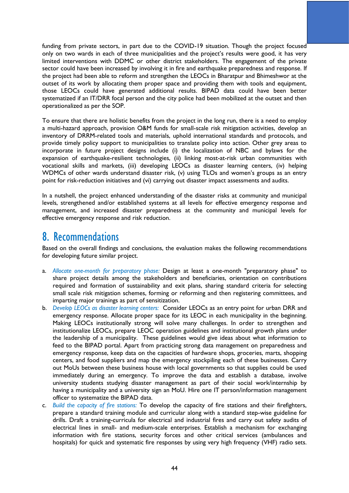funding from private sectors, in part due to the COVID-19 situation. Though the project focused only on two wards in each of three municipalities and the project's results were good, it has very limited interventions with DDMC or other district stakeholders. The engagement of the private sector could have been increased by involving it in fire and earthquake preparedness and response. If the project had been able to reform and strengthen the LEOCs in Bharatpur and Bhimeshwor at the outset of its work by allocating them proper space and providing them with tools and equipment, those LEOCs could have generated additional results. BIPAD data could have been better systematized if an IT/DRR focal person and the city police had been mobilized at the outset and then operationalized as per the SOP.

To ensure that there are holistic benefits from the project in the long run, there is a need to employ a multi-hazard approach, provision O&M funds for small-scale risk mitigation activities, develop an inventory of DRRM-related tools and materials, uphold international standards and protocols, and provide timely policy support to municipalities to translate policy into action. Other grey areas to incorporate in future project designs include (i) the localization of NBC and bylaws for the expansion of earthquake-resilient technologies, (ii) linking most-at-risk urban communities with vocational skills and markets, (iii) developing LEOCs as disaster learning centers, (iv) helping WDMCs of other wards understand disaster risk, (v) using TLOs and women's groups as an entry point for risk-reduction initiatives and (vi) carrying out disaster impact assessments and audits.

In a nutshell, the project enhanced understanding of the disaster risks at community and municipal levels, strengthened and/or established systems at all levels for effective emergency response and management, and increased disaster preparedness at the community and municipal levels for effective emergency response and risk reduction.

# 8. Recommendations

Based on the overall findings and conclusions, the evaluation makes the following recommendations for developing future similar project.

- a. *Allocate one-month for preparatory phase:* Design at least a one-month "preparatory phase" to share project details among the stakeholders and beneficiaries, orientation on contributions required and formation of sustainability and exit plans, sharing standard criteria for selecting small scale risk mitigation schemes, forming or reforming and then registering committees, and imparting major trainings as part of sensitization.
- b. *Develop LEOCs as disaster learning centers:* Consider LEOCs as an entry point for urban DRR and emergency response. Allocate proper space for its LEOC in each municipality in the beginning. Making LEOCs institutionally strong will solve many challenges. In order to strengthen and institutionalize LEOCs, prepare LEOC operation guidelines and institutional growth plans under the leadership of a municipality. These guidelines would give ideas about what information to feed to the BIPAD portal. Apart from practicing strong data management on preparedness and emergency response, keep data on the capacities of hardware shops, groceries, marts, shopping centers, and food suppliers and map the emergency stockpiling each of these businesses. Carry out MoUs between these business house with local governments so that supplies could be used immediately during an emergency. To improve the data and establish a database, involve university students studying disaster management as part of their social work/internship by having a municipality and a university sign an MoU. Hire one IT person/information management officer to systematize the BIPAD data.
- c. *Build the capacity of fire stations:* To develop the capacity of fire stations and their firefighters, prepare a standard training module and curricular along with a standard step-wise guideline for drills. Draft a training-curricula for electrical and industrial fires and carry out safety audits of electrical lines in small- and medium-scale enterprises. Establish a mechanism for exchanging information with fire stations, security forces and other critical services (ambulances and hospitals) for quick and systematic fire responses by using very high frequency (VHF) radio sets.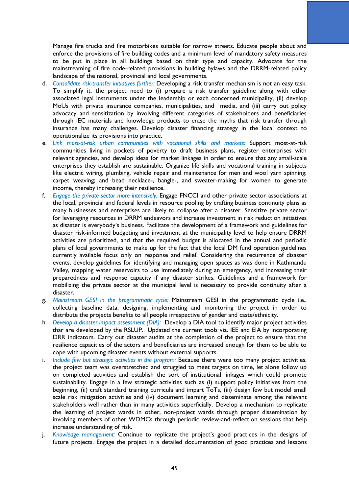Manage fire trucks and fire motorbikes suitable for narrow streets. Educate people about and enforce the provisions of fire building codes and a minimum level of mandatory safety measures to be put in place in all buildings based on their type and capacity. Advocate for the mainstreaming of fire code-related provisions in building bylaws and the DRRM-related policy landscape of the national, provincial and local governments.

- d. *Consolidate risk-transfer initiatives further:* Developing a risk transfer mechanism is not an easy task. To simplify it, the project need to (i) prepare a risk transfer guideline along with other associated legal instruments under the leadership or each concerned municipality, (ii) develop MoUs with private insurance companies, municipalities, and media, and (iii) carry out policy advocacy and sensitization by involving different categories of stakeholders and beneficiaries through IEC materials and knowledge products to erase the myths that risk transfer through insurance has many challenges. Develop disaster financing strategy in the local context to operationalize its provisions into practice.
- e. *Link most-at-risk urban communities with vocational skills and markets:* Support most-at-risk communities living in pockets of poverty to draft business plans, register enterprises with relevant agencies, and develop ideas for market linkages in order to ensure that any small-scale enterprises they establish are sustainable. Organize life skills and vocational training in subjects like electric wiring, plumbing, vehicle repair and maintenance for men and wool yarn spinning; carpet weaving; and bead necklace-, bangle-, and sweater-making for women to generate income, thereby increasing their resilience.
- f. *Engage the private sector more intensively:* Engage FNCCI and other private sector associations at the local, provincial and federal levels in resource pooling by crafting business continuity plans as many businesses and enterprises are likely to collapse after a disaster. Sensitize private sector for leveraging resources in DRRM endeavors and increase investment in risk reduction initiatives as disaster is everybody's business. Facilitate the development of a framework and guidelines for disaster risk-informed budgeting and investment at the municipality level to help ensure DRRM activities are prioritized, and that the required budget is allocated in the annual and periodic plans of local governments to make up for the fact that the local DM fund operation guidelines currently available focus only on response and relief. Considering the recurrence of disaster events, develop guidelines for identifying and managing open spaces as was done in Kathmandu Valley, mapping water reservoirs to use immediately during an emergency, and increasing their preparedness and response capacity if any disaster strikes. Guidelines and a framework for mobilizing the private sector at the municipal level is necessary to provide continuity after a disaster.
- g. *Mainstream GESI in the programmatic cycle:* Mainstream GESI in the programmatic cycle i.e., collecting baseline data, designing, implementing and monitoring the project in order to distribute the projects benefits to all people irrespective of gender and caste/ethnicity.
- h. *Develop a disaster impact assessment (DIA):* Develop a DIA tool to identify major project activities thar are developed by the RSLUP. Updated the current tools viz. IEE and EIA by incorporating DRR indicators. Carry out disaster audits at the completion of the project to ensure that the resilience capacities of the actors and beneficiaries are increased enough for them to be able to cope with upcoming disaster events without external supports.
- i. *Include few but strategic activities in the program:* Because there were too many project activities, the project team was overstretched and struggled to meet targets on time, let alone follow up on completed activities and establish the sort of institutional linkages which could promote sustainability. Engage in a few strategic activities such as (i) support policy initiatives from the beginning, (ii) craft standard training curricula and impart ToTs, (iii) design few but model small scale risk mitigation activities and (iv) document learning and disseminate among the relevant stakeholders well rather than in many activities superficially. Develop a mechanism to replicate the learning of project wards in other, non-project wards through proper dissemination by involving members of other WDMCs through periodic review-and-reflection sessions that help increase understanding of risk.
- j. *Knowledge management:* Continue to replicate the project's good practices in the designs of future projects. Engage the project in a detailed documentation of good practices and lessons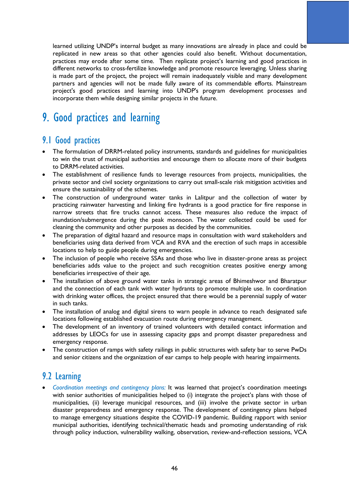learned utilizing UNDP's internal budget as many innovations are already in place and could be replicated in new areas so that other agencies could also benefit. Without documentation, practices may erode after some time. Then replicate project's learning and good practices in different networks to cross-fertilize knowledge and promote resource leveraging. Unless sharing is made part of the project, the project will remain inadequately visible and many development partners and agencies will not be made fully aware of its commendable efforts. Mainstream project's good practices and learning into UNDP's program development processes and incorporate them while designing similar projects in the future.

# 9. Good practices and learning

## 9.1 Good practices

- The formulation of DRRM-related policy instruments, standards and guidelines for municipalities to win the trust of municipal authorities and encourage them to allocate more of their budgets to DRRM-related activities.
- The establishment of resilience funds to leverage resources from projects, municipalities, the private sector and civil society organizations to carry out small-scale risk mitigation activities and ensure the sustainability of the schemes.
- The construction of underground water tanks in Lalitpur and the collection of water by practicing rainwater harvesting and linking fire hydrants is a good practice for fire response in narrow streets that fire trucks cannot access. These measures also reduce the impact of inundation/submergence during the peak monsoon. The water collected could be used for cleaning the community and other purposes as decided by the communities.
- The preparation of digital hazard and resource maps in consultation with ward stakeholders and beneficiaries using data derived from VCA and RVA and the erection of such maps in accessible locations to help to guide people during emergencies.
- The inclusion of people who receive SSAs and those who live in disaster-prone areas as project beneficiaries adds value to the project and such recognition creates positive energy among beneficiaries irrespective of their age.
- The installation of above ground water tanks in strategic areas of Bhimeshwor and Bharatpur and the connection of each tank with water hydrants to promote multiple use. In coordination with drinking water offices, the project ensured that there would be a perennial supply of water in such tanks.
- The installation of analog and digital sirens to warn people in advance to reach designated safe locations following established evacuation route during emergency management.
- The development of an inventory of trained volunteers with detailed contact information and addresses by LEOCs for use in assessing capacity gaps and prompt disaster preparedness and emergency response.
- The construction of ramps with safety railings in public structures with safety bar to serve PwDs and senior citizens and the organization of ear camps to help people with hearing impairments.

## 9.2 Learning

• *Coordination meetings and contingency plans:* It was learned that project's coordination meetings with senior authorities of municipalities helped to (i) integrate the project's plans with those of municipalities, (ii) leverage municipal resources, and (iii) involve the private sector in urban disaster preparedness and emergency response. The development of contingency plans helped to manage emergency situations despite the COVID-19 pandemic. Building rapport with senior municipal authorities, identifying technical/thematic heads and promoting understanding of risk through policy induction, vulnerability walking, observation, review-and-reflection sessions, VCA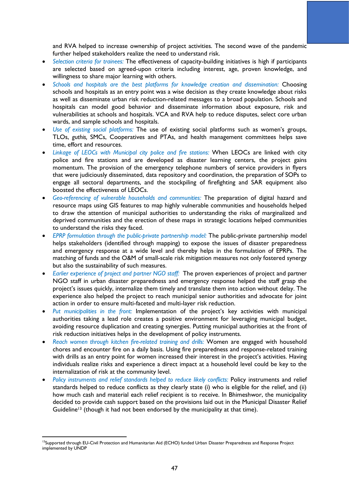and RVA helped to increase ownership of project activities. The second wave of the pandemic further helped stakeholders realize the need to understand risk.

- *Selection criteria for trainees:* The effectiveness of capacity-building initiatives is high if participants are selected based on agreed-upon criteria including interest, age, proven knowledge, and willingness to share major learning with others.
- *Schools and hospitals are the best platforms for knowledge creation and dissemination:* Choosing schools and hospitals as an entry point was a wise decision as they create knowledge about risks as well as disseminate urban risk reduction-related messages to a broad population. Schools and hospitals can model good behavior and disseminate information about exposure, risk and vulnerabilities at schools and hospitals. VCA and RVA help to reduce disputes, select core urban wards, and sample schools and hospitals.
- *Use of existing social platforms:* The use of existing social platforms such as women's groups, TLOs, *guthis,* SMCs, Cooperatives and PTAs, and health management committees helps save time, effort and resources.
- *Linkage of LEOCs with Municipal city police and fire stations:* When LEOCs are linked with city police and fire stations and are developed as disaster learning centers, the project gains momentum. The provision of the emergency telephone numbers of service providers in flyers that were judiciously disseminated, data repository and coordination, the preparation of SOPs to engage all sectoral departments, and the stockpiling of firefighting and SAR equipment also boosted the effectiveness of LEOCs.
- *Geo-referencing of vulnerable households and communities:* The preparation of digital hazard and resource maps using GIS features to map highly vulnerable communities and households helped to draw the attention of municipal authorities to understanding the risks of marginalized and deprived communities and the erection of these maps in strategic locations helped communities to understand the risks they faced.
- *EPRP formulation through the public-private partnership model:* The public-private partnership model helps stakeholders (identified through mapping) to expose the issues of disaster preparedness and emergency response at a wide level and thereby helps in the formulation of EPRPs. The matching of funds and the O&M of small-scale risk mitigation measures not only fostered synergy but also the sustainability of such measures.
- *Earlier experience of project and partner NGO staff:* The proven experiences of project and partner NGO staff in urban disaster preparedness and emergency response helped the staff grasp the project's issues quickly, internalize them timely and translate them into action without delay. The experience also helped the project to reach municipal senior authorities and advocate for joint action in order to ensure multi-faceted and multi-layer risk reduction.
- *Put municipalities in the front:* Implementation of the project's key activities with municipal authorities taking a lead role creates a positive environment for leveraging municipal budget, avoiding resource duplication and creating synergies. Putting municipal authorities at the front of risk reduction initiatives helps in the development of policy instruments.
- *Reach women through kitchen fire-related training and drills:* Women are engaged with household chores and encounter fire on a daily basis. Using fire preparedness and response-related training with drills as an entry point for women increased their interest in the project's activities. Having individuals realize risks and experience a direct impact at a household level could be key to the internalization of risk at the community level.
- Policy instruments and relief standards helped to reduce likely conflicts: Policy instruments and relief standards helped to reduce conflicts as they clearly state (i) who is eligible for the relief, and (ii) how much cash and material each relief recipient is to receive. In Bhimeshwor, the municipality decided to provide cash support based on the provisions laid out in the Municipal Disaster Relief Guideline<sup>13</sup> (though it had not been endorsed by the municipality at that time).

<sup>&</sup>lt;sup>13</sup>Supported through EU-Civil Protection and Humanitarian Aid (ECHO) funded Urban Disaster Preparedness and Response Project implemented by UNDP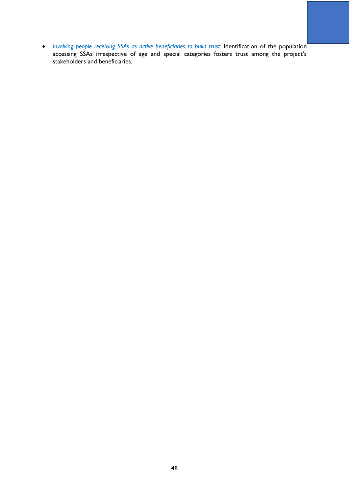• *Involving people receiving SSAs as active beneficiaries to build trust: Identification of the population* accessing SSAs irrespective of age and special categories fosters trust among the project's stakeholders and beneficiaries.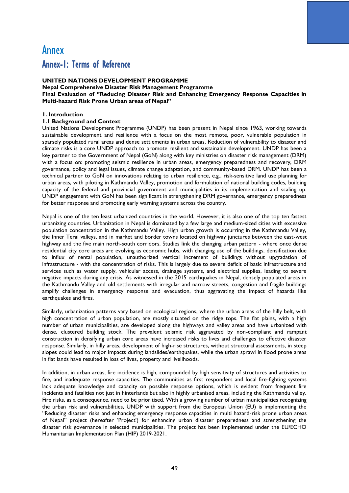## Annex Annex-1: Terms of Reference

### **UNITED NATIONS DEVELOPMENT PROGRAMME**

**Nepal Comprehensive Disaster Risk Management Programme Final Evaluation of ''Reducing Disaster Risk and Enhancing Emergency Response Capacities in Multi-hazard Risk Prone Urban areas of Nepal"** 

### **1. Introduction**

### **1.1 Background and Context**

United Nations Development Programme (UNDP) has been present in Nepal since 1963, working towards sustainable development and resilience with a focus on the most remote, poor, vulnerable population in sparsely populated rural areas and dense settlements in urban areas. Reduction of vulnerability to disaster and climate risks is a core UNDP approach to promote resilient and sustainable development. UNDP has been a key partner to the Government of Nepal (GoN) along with key ministries on disaster risk management (DRM) with a focus on: promoting seismic resilience in urban areas, emergency preparedness and recovery, DRM governance, policy and legal issues, climate change adaptation, and community-based DRM. UNDP has been a technical partner to GoN on innovations relating to urban resilience, e.g., risk-sensitive land use planning for urban areas, with piloting in Kathmandu Valley, promotion and formulation of national building codes, building capacity of the federal and provincial government and municipalities in its implementation and scaling up. UNDP engagement with GoN has been significant in strengthening DRM governance, emergency preparedness for better response and promoting early warning systems across the country.

Nepal is one of the ten least urbanized countries in the world. However, it is also one of the top ten fastest urbanizing countries. Urbanization in Nepal is dominated by a few large and medium-sized cities with excessive population concentration in the Kathmandu Valley. High urban growth is occurring in the Kathmandu Valley, the Inner Terai valleys, and in market and border towns located on highway junctures between the east-west highway and the five main north-south corridors. Studies link the changing urban pattern - where once dense residential city core areas are evolving as economic hubs, with changing use of the buildings, densification due to influx of rental population, unauthorized vertical increment of buildings without upgradation of infrastructure - with the concentration of risks. This is largely due to severe deficit of basic infrastructure and services such as water supply, vehicular access, drainage systems, and electrical supplies, leading to severe negative impacts during any crisis. As witnessed in the 2015 earthquakes in Nepal, densely populated areas in the Kathmandu Valley and old settlements with irregular and narrow streets, congestion and fragile buildings amplify challenges in emergency response and evacuation, thus aggravating the impact of hazards like earthquakes and fires.

Similarly, urbanization patterns vary based on ecological regions, where the urban areas of the hilly belt, with high concentration of urban population, are mostly situated on the ridge tops. The flat plains, with a high number of urban municipalities, are developed along the highways and valley areas and have urbanized with dense, clustered building stock. The prevalent seismic risk aggravated by non-compliant and rampant construction in densifying urban core areas have increased risks to lives and challenges to effective disaster response. Similarly, in hilly areas, development of high-rise structures, without structural assessments, in steep slopes could lead to major impacts during landslides/earthquakes, while the urban sprawl in flood prone areas in flat lands have resulted in loss of lives, property and livelihoods.

In addition, in urban areas, fire incidence is high, compounded by high sensitivity of structures and activities to fire, and inadequate response capacities. The communities as first responders and local fire-fighting systems lack adequate knowledge and capacity on possible response options, which is evident from frequent fire incidents and fatalities not just in hinterlands but also in highly urbanised areas, including the Kathmandu valley. Fire risks, as a consequence, need to be prioritised. With a growing number of urban municipalities recognizing the urban risk and vulnerabilities, UNDP with support from the European Union (EU) is implementing the "Reducing disaster risks and enhancing emergency response capacities in multi hazard-risk prone urban areas of Nepal" project (hereafter 'Project') for enhancing urban disaster preparedness and strengthening the disaster risk governance in selected municipalities. The project has been implemented under the EU/ECHO Humanitarian Implementation Plan (HIP) 2019-2021.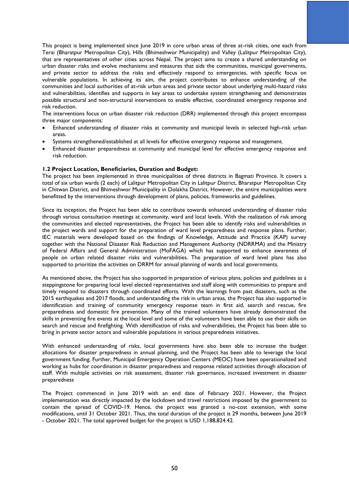This project is being implemented since June 2019 in core urban areas of three at-risk cities, one each from Terai (Bharatpur Metropolitan City), Hills (Bhimeshwor Municipality) and Valley (Lalitpur Metropolitan City), that are representatives of other cities across Nepal. The project aims to create a shared understanding on urban disaster risks and evolve mechanisms and measures that aids the communities, municipal governments, and private sector to address the risks and effectively respond to emergencies, with specific focus on vulnerable populations. In achieving its aim, the project contributes to enhance understanding of the communities and local authorities of at-risk urban areas and private sector about underlying multi-hazard risks and vulnerabilities, identifies and supports in key areas to undertake system strengthening and demonstrates possible structural and non-structural interventions to enable effective, coordinated emergency response and risk reduction.

The interventions focus on urban disaster risk reduction (DRR) implemented through this project encompass three major components:

- Enhanced understanding of disaster risks at community and municipal levels in selected high-risk urban areas.
- Systems strengthened/established at all levels for effective emergency response and management.
- Enhanced disaster preparedness at community and municipal level for effective emergency response and risk reduction.

#### **1.2 Project Location, Beneficiaries, Duration and Budget:**

The project has been implemented in three municipalities of three districts in Bagmati Province. It covers a total of six urban wards (2 each) of Lalitpur Metropolitan City in Lalitpur District, Bharatpur Metropolitan City in Chitwan District, and Bhimeshwor Municipality in Dolakha District. However, the entire municipalities were benefitted by the interventions through development of plans, policies, frameworks and guidelines.

Since its inception, the Project has been able to contribute towards enhanced understanding of disaster risks through various consultation meetings at community, ward and local levels. With the realization of risk among the communities and elected representatives, the Project has been able to identify risks and vulnerabilities in the project wards and support for the preparation of ward level preparedness and response plans. Further, IEC materials were developed based on the findings of Knowledge, Attitude and Practice (KAP) survey together with the National Disaster Risk Reduction and Management Authority (NDRRMA) and the Ministry of Federal Affairs and General Administration (MoFAGA) which has supported to enhance awareness of people on urban related disaster risks and vulnerabilities. The preparation of ward level plans has also supported to prioritize the activities on DRRM for annual planning of wards and local governments.

As mentioned above, the Project has also supported in preparation of various plans, policies and guidelines as a steppingstone for preparing local level elected representatives and staff along with communities to prepare and timely respond to disasters through coordinated efforts. With the learnings from past disasters, such as the 2015 earthquakes and 2017 floods, and understanding the risk in urban areas, the Project has also supported in identification and training of community emergency response team in first aid, search and rescue, fire preparedness and domestic fire prevention. Many of the trained volunteers have already demonstrated the skills in preventing fire events at the local level and some of the volunteers have been able to use their skills on search and rescue and firefighting. With identification of risks and vulnerabilities, the Project has been able to bring in private sector actors and vulnerable populations in various preparedness initiatives.

With enhanced understanding of risks, local governments have also been able to increase the budget allocations for disaster preparedness in annual planning, and the Project has been able to leverage the local government funding. Further, Municipal Emergency Operation Centers (MEOC) have been operationalized and working as hubs for coordination in disaster preparedness and response related activities through allocation of staff. With multiple activities on risk assessment, disaster risk governance, increased investment in disaster preparedness

The Project commenced in June 2019 with an end date of February 2021. However, the Project implementation was directly impacted by the lockdown and travel restrictions imposed by the government to contain the spread of COVID-19. Hence, the project was granted a no-cost extension, with some modifications, until 31 October 2021. Thus, the total duration of the project is 29 months, between June 2019 - October 2021. The total approved budget for the project is USD 1,188,824.42.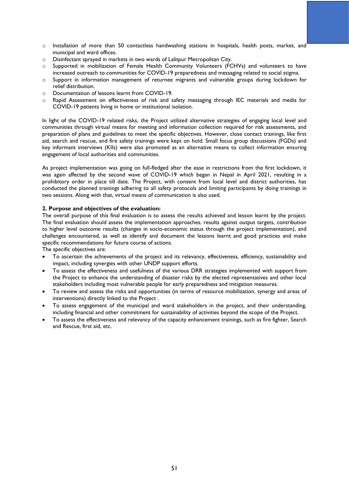- $\circ$  Installation of more than 50 contactless handwashing stations in hospitals, health posts, market, and municipal and ward offices.
- o Disinfectant sprayed in markets in two wards of Lalitpur Metropolitan City.
- o Supported in mobilization of Female Health Community Volunteers (FCHVs) and volunteers to have increased outreach to communities for COVID-19 preparedness and messaging related to social stigma.
- o Support in information management of returnee migrants and vulnerable groups during lockdown for relief distribution.
- o Documentation of lessons learnt from COVID-19.
- o Rapid Assessment on effectiveness of risk and safety messaging through IEC materials and media for COVID-19 patients living in home or institutional isolation.

In light of the COVID-19 related risks, the Project utilized alternative strategies of engaging local level and communities through virtual means for meeting and information collection required for risk assessments, and preparation of plans and guidelines to meet the specific objectives. However, close contact trainings, like first aid, search and rescue, and fire safety trainings were kept on hold. Small focus group discussions (FGDs) and key informant interviews (KIIs) were also promoted as an alternative means to collect information ensuring engagement of local authorities and communities.

As project implementation was going on full-fledged after the ease in restrictions from the first lockdown, it was again affected by the second wave of COVID-19 which began in Nepal in April 2021, resulting in a prohibitory order in place till date. The Project, with consent from local level and district authorities, has conducted the planned trainings adhering to all safety protocols and limiting participants by doing trainings in two sessions. Along with that, virtual means of communication is also used.

#### **2. Purpose and objectives of the evaluation:**

The overall purpose of this final evaluation is to assess the results achieved and lesson learnt by the project. The final evaluation should assess the implementation approaches, results against output targets, contribution to higher level outcome results (changes in socio-economic status through the project implementation), and challenges encountered, as well as identify and document the lessons learnt and good practices and make specific recommendations for future course of actions.

The specific objectives are:

- To ascertain the achievements of the project and its relevancy, effectiveness, efficiency, sustainability and impact, including synergies with other UNDP support efforts.
- To assess the effectiveness and usefulness of the various DRR strategies implemented with support from the Project to enhance the understanding of disaster risks by the elected representatives and other local stakeholders including most vulnerable people for early preparedness and mitigation measures.
- To review and assess the risks and opportunities (in terms of resource mobilization, synergy and areas of interventions) directly linked to the Project .
- To assess engagement of the municipal and ward stakeholders in the project, and their understanding, including financial and other commitment for sustainability of activities beyond the scope of the Project.
- To assess the effectiveness and relevancy of the capacity enhancement trainings, such as fire fighter, Search and Rescue, first aid, etc.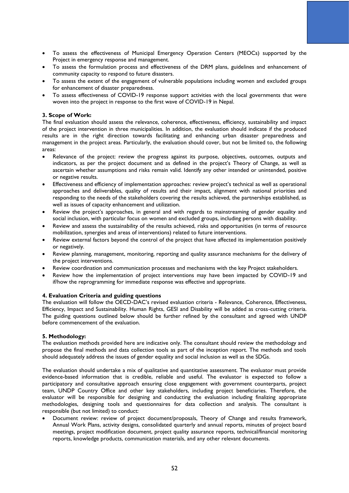- To assess the effectiveness of Municipal Emergency Operation Centers (MEOCs) supported by the Project in emergency response and management.
- To assess the formulation process and effectiveness of the DRM plans, guidelines and enhancement of community capacity to respond to future disasters.
- To assess the extent of the engagement of vulnerable populations including women and excluded groups for enhancement of disaster preparedness.
- To assess effectiveness of COVID-19 response support activities with the local governments that were woven into the project in response to the first wave of COVID-19 in Nepal.

### **3. Scope of Work:**

The final evaluation should assess the relevance, coherence, effectiveness, efficiency, sustainability and impact of the project intervention in three municipalities. In addition, the evaluation should indicate if the produced results are in the right direction towards facilitating and enhancing urban disaster preparedness and management in the project areas. Particularly, the evaluation should cover, but not be limited to, the following areas:

- Relevance of the project: review the progress against its purpose, objectives, outcomes, outputs and indicators, as per the project document and as defined in the project's Theory of Change, as well as ascertain whether assumptions and risks remain valid. Identify any other intended or unintended, positive or negative results.
- Effectiveness and efficiency of implementation approaches: review project's technical as well as operational approaches and deliverables, quality of results and their impact, alignment with national priorities and responding to the needs of the stakeholders covering the results achieved, the partnerships established, as well as issues of capacity enhancement and utilization.
- Review the project's approaches, in general and with regards to mainstreaming of gender equality and social inclusion, with particular focus on women and excluded groups, including persons with disability.
- Review and assess the sustainability of the results achieved, risks and opportunities (in terms of resource mobilization, synergies and areas of interventions) related to future interventions.
- Review external factors beyond the control of the project that have affected its implementation positively or negatively.
- Review planning, management, monitoring, reporting and quality assurance mechanisms for the delivery of the project interventions.
- Review coordination and communication processes and mechanisms with the key Project stakeholders.
- Review how the implementation of project interventions may have been impacted by COVID-19 and if/how the reprogramming for immediate response was effective and appropriate.

#### **4. Evaluation Criteria and guiding questions**

The evaluation will follow the OECD-DAC's revised evaluation criteria - Relevance, Coherence, Effectiveness, Efficiency, Impact and Sustainability. Human Rights, GESI and Disability will be added as cross-cutting criteria. The guiding questions outlined below should be further refined by the consultant and agreed with UNDP before commencement of the evaluation.

#### **5. Methodology:**

The evaluation methods provided here are indicative only. The consultant should review the methodology and propose the final methods and data collection tools as part of the inception report. The methods and tools should adequately address the issues of gender equality and social inclusion as well as the SDGs.

The evaluation should undertake a mix of qualitative and quantitative assessment. The evaluator must provide evidence-based information that is credible, reliable and useful. The evaluator is expected to follow a participatory and consultative approach ensuring close engagement with government counterparts, project team, UNDP Country Office and other key stakeholders, including project beneficiaries. Therefore, the evaluator will be responsible for designing and conducting the evaluation including finalizing appropriate methodologies, designing tools and questionnaires for data collection and analysis. The consultant is responsible (but not limited) to conduct:

• Document review: review of project document/proposals, Theory of Change and results framework, Annual Work Plans, activity designs, consolidated quarterly and annual reports, minutes of project board meetings, project modification document, project quality assurance reports, technical/financial monitoring reports, knowledge products, communication materials, and any other relevant documents.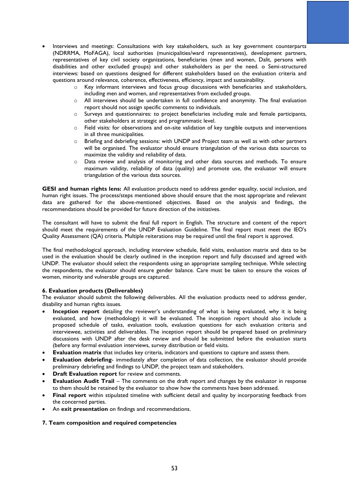- Interviews and meetings: Consultations with key stakeholders, such as key government counterparts (NDRRMA, MoFAGA), local authorities (municipalities/ward representatives), development partners, representatives of key civil society organizations, beneficiaries (men and women, Dalit, persons with disabilities and other excluded groups) and other stakeholders as per the need. o Semi-structured interviews: based on questions designed for different stakeholders based on the evaluation criteria and questions around relevance, coherence, effectiveness, efficiency, impact and sustainability.
	- o Key informant interviews and focus group discussions with beneficiaries and stakeholders, including men and women, and representatives from excluded groups.
	- $\circ$  All interviews should be undertaken in full confidence and anonymity. The final evaluation report should not assign specific comments to individuals.
	- o Surveys and questionnaires: to project beneficiaries including male and female participants, other stakeholders at strategic and programmatic level.
	- $\circ$  Field visits: for observations and on-site validation of key tangible outputs and interventions in all three municipalities.
	- $\circ$  Briefing and debriefing sessions: with UNDP and Project team as well as with other partners will be organised. The evaluator should ensure triangulation of the various data sources to maximize the validity and reliability of data.
	- o Data review and analysis of monitoring and other data sources and methods. To ensure maximum validity, reliability of data (quality) and promote use, the evaluator will ensure triangulation of the various data sources.

**GESI and human rights lens:** All evaluation products need to address gender equality, social inclusion, and human right issues. The process/steps mentioned above should ensure that the most appropriate and relevant data are gathered for the above-mentioned objectives. Based on the analysis and findings, the recommendations should be provided for future direction of the initiatives.

The consultant will have to submit the final full report in English. The structure and content of the report should meet the requirements of the UNDP Evaluation Guideline. The final report must meet the IEO's Quality Assessment (QA) criteria. Multiple reiterations may be required until the final report is approved.

The final methodological approach, including interview schedule, field visits, evaluation matrix and data to be used in the evaluation should be clearly outlined in the inception report and fully discussed and agreed with UNDP. The evaluator should select the respondents using an appropriate sampling technique. While selecting the respondents, the evaluator should ensure gender balance. Care must be taken to ensure the voices of women, minority and vulnerable groups are captured.

### **6. Evaluation products (Deliverables)**

The evaluator should submit the following deliverables. All the evaluation products need to address gender, disability and human rights issues.

- **Inception report** detailing the reviewer's understanding of what is being evaluated, why it is being evaluated, and how (methodology) it will be evaluated. The inception report should also include a proposed schedule of tasks, evaluation tools, evaluation questions for each evaluation criteria and interviewee, activities and deliverables. The inception report should be prepared based on preliminary discussions with UNDP after the desk review and should be submitted before the evaluation starts (before any formal evaluation interviews, survey distribution or field visits.
- **Evaluation matrix** that includes key criteria, indicators and questions to capture and assess them.
- **Evaluation debriefing** immediately after completion of data collection, the evaluator should provide preliminary debriefing and findings to UNDP, the project team and stakeholders.
- **Draft Evaluation report** for review and comments.
- **Evaluation Audit Trail** The comments on the draft report and changes by the evaluator in response to them should be retained by the evaluator to show how the comments have been addressed.
- **Final report** within stipulated timeline with sufficient detail and quality by incorporating feedback from the concerned parties.
- An **exit presentation** on findings and recommendations.

#### **7. Team composition and required competencies**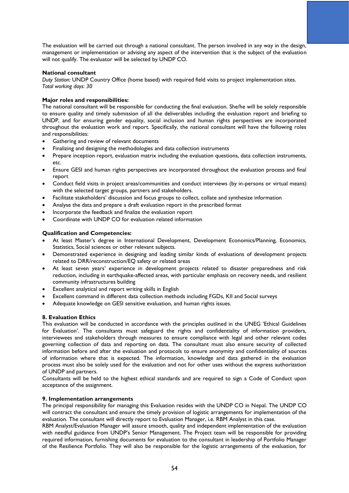The evaluation will be carried out through a national consultant. The person involved in any way in the design, management or implementation or advising any aspect of the intervention that is the subject of the evaluation will not qualify. The evaluator will be selected by UNDP CO.

### **National consultant**

*Duty Station:* UNDP Country Office (home based) with required field visits to project implementation sites. *Total working days: 30* 

### **Major roles and responsibilities:**

The national consultant will be responsible for conducting the final evaluation. She/he will be solely responsible to ensure quality and timely submission of all the deliverables including the evaluation report and briefing to UNDP, and for ensuring gender equality, social inclusion and human rights perspectives are incorporated throughout the evaluation work and report. Specifically, the national consultant will have the following roles and responsibilities:

- Gathering and review of relevant documents
- Finalizing and designing the methodologies and data collection instruments
- Prepare inception report, evaluation matrix including the evaluation questions, data collection instruments, etc.
- Ensure GESI and human rights perspectives are incorporated throughout the evaluation process and final report
- Conduct field visits in project areas/communities and conduct interviews (by in-persons or virtual means) with the selected target groups, partners and stakeholders.
- Facilitate stakeholders' discussion and focus groups to collect, collate and synthesize information
- Analyse the data and prepare a draft evaluation report in the prescribed format
- Incorporate the feedback and finalize the evaluation report
- Coordinate with UNDP CO for evaluation related information

### **Qualification and Competencies:**

- At least Master's degree in International Development, Development Economics/Planning, Economics, Statistics, Social sciences or other relevant subjects.
- Demonstrated experience in designing and leading similar kinds of evaluations of development projects related to DRR/reconstruction/EQ safety or related areas
- At least seven years' experience in development projects related to disaster preparedness and risk reduction, including in earthquake-affected areas, with particular emphasis on recovery needs, and resilient community infrastructures building
- Excellent analytical and report writing skills in English
- Excellent command in different data collection methods including FGDs, KII and Social surveys
- Adequate knowledge on GESI sensitive evaluation, and human rights issues.

### **8. Evaluation Ethics**

This evaluation will be conducted in accordance with the principles outlined in the UNEG 'Ethical Guidelines for Evaluation'. The consultants must safeguard the rights and confidentiality of information providers, interviewees and stakeholders through measures to ensure compliance with legal and other relevant codes governing collection of data and reporting on data. The consultant must also ensure security of collected information before and after the evaluation and protocols to ensure anonymity and confidentiality of sources of information where that is expected. The information, knowledge and data gathered in the evaluation process must also be solely used for the evaluation and not for other uses without the express authorization of UNDP and partners.

Consultants will be held to the highest ethical standards and are required to sign a Code of Conduct upon acceptance of the assignment.

#### **9. Implementation arrangements**

The principal responsibility for managing this Evaluation resides with the UNDP CO in Nepal. The UNDP CO will contract the consultant and ensure the timely provision of logistic arrangements for implementation of the evaluation. The consultant will directly report to Evaluation Manager, i.e. RBM Analyst in this case.

RBM Analyst/Evaluation Manager will assure smooth, quality and independent implementation of the evaluation with needful guidance from UNDP's Senior Management. The Project team will be responsible for providing required information, furnishing documents for evaluation to the consultant in leadership of Portfolio Manager of the Resilience Portfolio. They will also be responsible for the logistic arrangements of the evaluation, for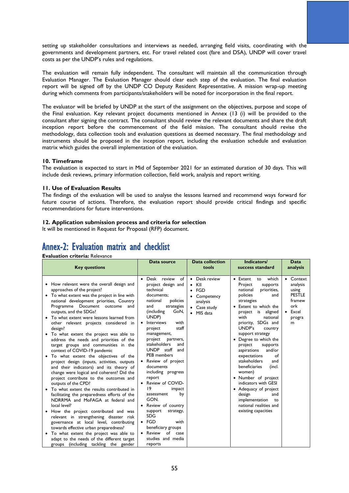setting up stakeholder consultations and interviews as needed, arranging field visits, coordinating with the governments and development partners, etc. For travel related cost (fare and DSA), UNDP will cover travel costs as per the UNDP's rules and regulations.

The evaluation will remain fully independent. The consultant will maintain all the communication through Evaluation Manager. The Evaluation Manager should clear each step of the evaluation. The final evaluation report will be signed off by the UNDP CO Deputy Resident Representative. A mission wrap-up meeting during which comments from participants/stakeholders will be noted for incorporation in the final report.

The evaluator will be briefed by UNDP at the start of the assignment on the objectives, purpose and scope of the Final evaluation. Key relevant project documents mentioned in Annex (13 (i) will be provided to the consultant after signing the contract. The consultant should review the relevant documents and share the draft inception report before the commencement of the field mission. The consultant should revise the methodology, data collection tools and evaluation questions as deemed necessary. The final methodology and instruments should be proposed in the inception report, including the evaluation schedule and evaluation matrix which guides the overall implementation of the evaluation.

#### **10. Timeframe**

The evaluation is expected to start in Mid of September 2021 for an estimated duration of 30 days. This will include desk reviews, primary information collection, field work, analysis and report writing.

#### **11. Use of Evaluation Results**

The findings of the evaluation will be used to analyse the lessons learned and recommend ways forward for future course of actions. Therefore, the evaluation report should provide critical findings and specific recommendations for future interventions.

### **12. Application submission process and criteria for selection**

It will be mentioned in Request for Proposal (RFP) document.

## Annex-2: Evaluation matrix and checklist

### **Evaluation criteria:** Relevance

| <b>Key questions</b>                                                                                                                                                                                                                                                                                                                                                                                                                                                                                                                                                                                                                                                                                                                                                                                                                                                                                                                                                                                                                                                                                                                                                                                            | Data source                                                                                                                                                                                                                                                                                                                                                                                                                                                                                                                                                                                                              | <b>Data collection</b><br>tools                                                                                             | Indicators/<br>success standard                                                                                                                                                                                                                                                                                                                                                                                                                                                                                                                                              | Data<br>analysis                                                                                   |
|-----------------------------------------------------------------------------------------------------------------------------------------------------------------------------------------------------------------------------------------------------------------------------------------------------------------------------------------------------------------------------------------------------------------------------------------------------------------------------------------------------------------------------------------------------------------------------------------------------------------------------------------------------------------------------------------------------------------------------------------------------------------------------------------------------------------------------------------------------------------------------------------------------------------------------------------------------------------------------------------------------------------------------------------------------------------------------------------------------------------------------------------------------------------------------------------------------------------|--------------------------------------------------------------------------------------------------------------------------------------------------------------------------------------------------------------------------------------------------------------------------------------------------------------------------------------------------------------------------------------------------------------------------------------------------------------------------------------------------------------------------------------------------------------------------------------------------------------------------|-----------------------------------------------------------------------------------------------------------------------------|------------------------------------------------------------------------------------------------------------------------------------------------------------------------------------------------------------------------------------------------------------------------------------------------------------------------------------------------------------------------------------------------------------------------------------------------------------------------------------------------------------------------------------------------------------------------------|----------------------------------------------------------------------------------------------------|
| • How relevant were the overall design and<br>approaches of the project?<br>• To what extent was the project in line with<br>national development priorities, Country<br>Programme Document outcome<br>and<br>outputs, and the SDGs?<br>• To what extent were lessons learned from<br>other relevant projects considered in<br>design?<br>• To what extent the project was able to<br>address the needs and priorities of the<br>target groups and communities in the<br>context of COVID-19 pandemic<br>• To what extent the objectives of the<br>project design (inputs, activities, outputs<br>and their indicators) and its theory of<br>change were logical and coherent? Did the<br>project contribute to the outcomes and<br>outputs of the CPD?<br>To what extent the results contributed in<br>facilitating the preparedness efforts of the<br>NDRRMA and MoFAGA at federal and<br>local level?<br>How the project contributed and was<br>relevant in strengthening disaster risk<br>governance at local level, contributing<br>towards effective urban preparedness?<br>To what extent the project was able to<br>adapt to the needs of the different target<br>groups (including tackling the gender | Desk review<br>of<br>project design and<br>technical<br>documents:<br>policies<br>national<br>and<br>strategies<br>GoN,<br>(including<br>UNDP)<br><b>Interviews</b><br>with<br>staff<br>project<br>management,<br>project<br>partners,<br>stakeholders<br>and<br><b>UNDP</b><br>staff<br>and<br><b>PEB</b> members<br>Review of project<br>documents<br>including progress<br>report<br>Review of COVID-<br>19<br>impact<br>by<br>assessment<br>GON.<br>Review of country<br>support<br>strategy,<br><b>SDG</b><br>$\bullet$ FGD<br>with<br>beneficiary groups<br>of<br>• Review<br>case<br>studies and media<br>reports | Desk review<br>$\bullet$<br>KII<br>٠<br>FGD<br>$\bullet$<br>Competency<br>analysis<br>• Case study<br>MIS data<br>$\bullet$ | • Extent<br>which<br>to<br>Project<br>supports<br>priorities,<br>national<br>policies<br>and<br>strategies<br>• Extent to which the<br>project is<br>aligned<br>with<br>national<br>priority, SDGs and<br>UNDP's<br>country<br>support strategy<br>• Degree to which the<br>supports<br>project<br>and/or<br>aspirations<br>expectations<br>of<br>stakeholders<br>and<br>beneficiaries<br>(incl.<br>women)<br>• Number of project<br>indicators with GESI<br>• Adequacy of project<br>design<br>and<br>implementation<br>to<br>national realities and<br>existing capacities | • Context<br>analysis<br>using<br><b>PESTLE</b><br>framew<br>ork<br>$\bullet$ Excel<br>progra<br>m |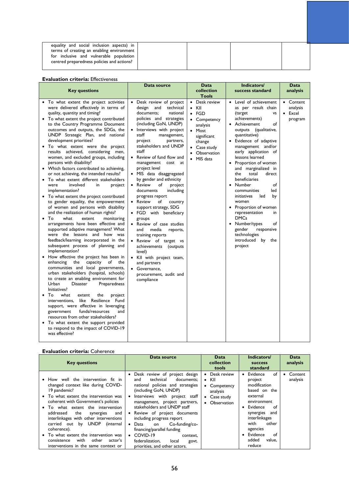| equality and social inclusion aspects) in  |  |  |
|--------------------------------------------|--|--|
| terms of creating an enabling environment  |  |  |
| for inclusive and vulnerable population    |  |  |
| centred preparedness policies and actions? |  |  |
|                                            |  |  |

### **Evaluation criteria:** Effectiveness

| <b>Key questions</b>                                                                                                                                                                                                                                                                                                                                                                                                                                                                                                                                                                                                                                                                                                                                                                                                                                                                                                                                                                                                                                                                                                                                                                                                                                                                                                                                                                                                                                                                                                                                                                                                                                         | Data source                                                                                                                                                                                                                                                                                                                                                                                                                                                                                                                                                                                                                                                                                                                                                                              | <b>Data</b><br>collection<br><b>Tools</b>                                                                                                                     | Indicators/<br>success standard                                                                                                                                                                                                                                                                                                                                                                                                                                                                                                                                                  | <b>Data</b><br>analysis                     |
|--------------------------------------------------------------------------------------------------------------------------------------------------------------------------------------------------------------------------------------------------------------------------------------------------------------------------------------------------------------------------------------------------------------------------------------------------------------------------------------------------------------------------------------------------------------------------------------------------------------------------------------------------------------------------------------------------------------------------------------------------------------------------------------------------------------------------------------------------------------------------------------------------------------------------------------------------------------------------------------------------------------------------------------------------------------------------------------------------------------------------------------------------------------------------------------------------------------------------------------------------------------------------------------------------------------------------------------------------------------------------------------------------------------------------------------------------------------------------------------------------------------------------------------------------------------------------------------------------------------------------------------------------------------|------------------------------------------------------------------------------------------------------------------------------------------------------------------------------------------------------------------------------------------------------------------------------------------------------------------------------------------------------------------------------------------------------------------------------------------------------------------------------------------------------------------------------------------------------------------------------------------------------------------------------------------------------------------------------------------------------------------------------------------------------------------------------------------|---------------------------------------------------------------------------------------------------------------------------------------------------------------|----------------------------------------------------------------------------------------------------------------------------------------------------------------------------------------------------------------------------------------------------------------------------------------------------------------------------------------------------------------------------------------------------------------------------------------------------------------------------------------------------------------------------------------------------------------------------------|---------------------------------------------|
| • To what extent the project activities<br>were delivered effectively in terms of<br>quality, quantity and timing?<br>• To what extent the project contributed<br>to the Country Programme Document<br>outcomes and outputs, the SDGs, the<br>UNDP Strategic Plan, and national<br>development priorities?<br>• To what extent were the project<br>results achieved, considering men,<br>women, and excluded groups, including<br>persons with disability?<br>• Which factors contributed to achieving,<br>or not achieving, the intended results?<br>To what extent different stakeholders<br>were<br>involved<br>project<br>in<br>implementation?<br>• To what extent the project contributed<br>to gender equality, the empowerment<br>of women and persons with disability<br>and the realization of human rights?<br>To<br>what<br>extent<br>monitoring<br>arrangements have been effective and<br>supported adaptive management? What<br>were the lessons and how was<br>feedback/learning incorporated in the<br>subsequent process of planning and<br>implementation?<br>• How effective the project has been in<br>the capacity of the<br>enhancing<br>communities and local governments,<br>urban stakeholders (hospital, schools)<br>to create an enabling environment for<br>Preparedness<br>Urban<br><b>Disaster</b><br>Initiatives?<br>To<br>what<br>the<br>project<br>extent<br>interventions, like Resilience Fund<br>support, were effective in leveraging<br>government<br>funds/resources<br>and<br>resources from other stakeholders?<br>• To what extent the support provided<br>to respond to the impact of COVID-19<br>was effective? | Desk review of project<br>technical<br>design and<br>documents;<br>national<br>policies and strategies<br>(including GoN, UNDP)<br>Interviews with project<br>staff<br>management,<br>partners,<br>project<br>stakeholders and UNDP<br>staff<br>• Review of fund flow and<br>management cost at<br>project level<br>· MIS data disaggregated<br>by gender and ethnicity<br>• Review<br>of<br>project<br>including<br>documents<br>progress report<br>• Review<br>of<br>country<br>support strategy, SDG<br>• FGD with beneficiary<br>groups<br>• Review of case studies<br>media<br>reports,<br>and<br>training reports<br>• Review of target vs<br>achievements (outputs<br>level)<br>• Kll with project team,<br>and partners<br>• Governance.<br>procurement, audit and<br>compliance | • Desk review<br>$\bullet$ KII<br>$\bullet$ FGD<br>• Competency<br>analysis<br>• Most<br>significant<br>change<br>• Case study<br>• Observation<br>• MIS data | • Level of achievement<br>as per result chain<br>(target<br>٧S<br>achievements)<br>• Achievement<br>of<br>outputs (qualitative,<br>quantitative)<br>Evidence of adaptive<br>management and/or<br>early application of<br>lessons learned<br>• Proportion of women<br>and marginalized in<br>total<br>the<br>direct<br>beneficiaries<br>• Number<br>of<br>communities<br>led<br>initiatives<br>led<br>by<br>women<br>• Proportion of women<br>representation<br>in<br><b>DMCs</b><br>• Number/types<br>of<br>gender<br>responsive<br>technologies<br>introduced by the<br>project | • Content<br>analysis<br>• Excel<br>program |

### **Evaluation criteria:** Coherence

| <b>Key questions</b>                                                                                                                                                                                                                                                                                                                                                                                                                                                           | Data source                                                                                                                                                                                                                                                                                                                                                                                                                                                       | Data<br>collection<br>tools                                                             | Indicators/<br><b>SUCCESS</b><br>standard                                                                                                                                                                                     | Data<br>analysis    |
|--------------------------------------------------------------------------------------------------------------------------------------------------------------------------------------------------------------------------------------------------------------------------------------------------------------------------------------------------------------------------------------------------------------------------------------------------------------------------------|-------------------------------------------------------------------------------------------------------------------------------------------------------------------------------------------------------------------------------------------------------------------------------------------------------------------------------------------------------------------------------------------------------------------------------------------------------------------|-----------------------------------------------------------------------------------------|-------------------------------------------------------------------------------------------------------------------------------------------------------------------------------------------------------------------------------|---------------------|
| • How well the intervention fit in<br>changed context like during COVID-<br>19 pandemic?<br>• To what extent the intervention was<br>coherent with Government's policies<br>• To what extent the intervention<br>addressed<br>the<br>synergies<br>and<br>interlinkages with other interventions<br>carried out by UNDP<br>(internal<br>coherence).<br>• To what extent the intervention was<br>with<br>other<br>consistence<br>actor's<br>interventions in the same context or | Desk review of project design<br>technical<br>documents;<br>and<br>national policies and strategies<br>(including GoN, UNDP)<br>Interviews with project staff<br>management, project partners,<br>stakeholders and UNDP staff<br>• Review of project documents<br>including progress report<br>Co-funding/co-<br>Data<br>on<br>financing/parallel funding<br>$\bullet$ COVID-19<br>context.<br>federalization.<br>local<br>govt.<br>priorities, and other actors. | Desk review<br>$\bullet$ KII<br>Competency<br>analysis<br>• Case study<br>• Observation | • Evidence<br>of<br>project<br>modification<br>based on the<br>external<br>environment<br>• Evidence<br>of<br>synergies<br>and<br>interlinkages<br>with<br>other<br>agencies<br>• Evidence<br>of<br>added<br>value.<br>reduce | Content<br>analysis |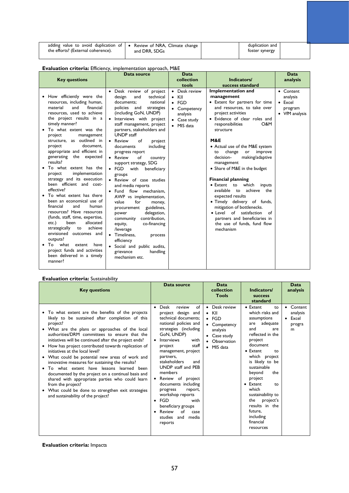| adding value to avoid duplication of $\bullet$ Review of NRA, Climate change $\prime$<br>the efforts? (External coherence). | and DRR. SDGs | duplication and<br>foster synergy |  |
|-----------------------------------------------------------------------------------------------------------------------------|---------------|-----------------------------------|--|
|                                                                                                                             |               |                                   |  |

## **Evaluation criteria:** Efficiency, implementation approach, M&E

| <b>Key questions</b>                                                                                                                                                                                                                                                                                                                                                                                                                                                                                                                                                                                                                                                                                                                                                                                                                                               | Data source                                                                                                                                                                                                                                                                                                                                                                                                                                                                                                                                                                                                                                                                                                                                                                                                                      | Data<br>collection<br>tools                                                                               | Indicators/<br>success standard                                                                                                                                                                                                                                                                                                                                                                                                                                                                                                                                                                                                                                      | Data<br>analysis                                                      |
|--------------------------------------------------------------------------------------------------------------------------------------------------------------------------------------------------------------------------------------------------------------------------------------------------------------------------------------------------------------------------------------------------------------------------------------------------------------------------------------------------------------------------------------------------------------------------------------------------------------------------------------------------------------------------------------------------------------------------------------------------------------------------------------------------------------------------------------------------------------------|----------------------------------------------------------------------------------------------------------------------------------------------------------------------------------------------------------------------------------------------------------------------------------------------------------------------------------------------------------------------------------------------------------------------------------------------------------------------------------------------------------------------------------------------------------------------------------------------------------------------------------------------------------------------------------------------------------------------------------------------------------------------------------------------------------------------------------|-----------------------------------------------------------------------------------------------------------|----------------------------------------------------------------------------------------------------------------------------------------------------------------------------------------------------------------------------------------------------------------------------------------------------------------------------------------------------------------------------------------------------------------------------------------------------------------------------------------------------------------------------------------------------------------------------------------------------------------------------------------------------------------------|-----------------------------------------------------------------------|
| • How efficiently were the<br>resources, including human,<br>material<br>and<br>financial<br>resources, used to achieve<br>the project results in a<br>timely manner?<br>To what extent was the<br>project<br>management<br>structure, as outlined in<br>document.<br>project<br>appropriate and efficient in<br>generating the expected<br>results?<br>To what extent has the<br>implementation<br>project<br>strategy and its execution<br>been efficient and cost-<br>effective?<br>• To what extent has there<br>been an economical use of<br>financial<br>and<br>human<br>resources? Have resources<br>(funds, staff, time, expertise,<br>allocated<br>etc.)<br>been<br>achieve<br>strategically<br>to<br>envisioned outcomes and<br>outputs?<br>$\bullet$ To what<br>extent<br>have<br>project funds and activities<br>been delivered in a timely<br>manner? | · Desk review of project<br>technical<br>design<br>and<br>documents;<br>national<br>policies and<br>strategies<br>(including GoN, UNDP)<br>· Interviews with project<br>staff management, project<br>partners, stakeholders and<br><b>UNDP</b> staff<br>• Review<br>of<br>project<br>including<br>documents<br>progress report<br>• Review<br>of<br>country<br>support strategy, SDG<br>$\bullet$ FGD<br>with<br>beneficiary<br>groups<br>• Review of case studies<br>and media reports<br>flow mechanism.<br>$\bullet$ Fund<br>AWP vs implementation,<br>value<br>for<br>money,<br>guidelines,<br>procurement<br>delegation,<br>power<br>contribution,<br>community<br>co-financing<br>equity,<br>/leverage<br>• Timeliness.<br>process<br>efficiency<br>• Social and public audits,<br>grievance<br>handling<br>mechanism etc. | • Desk review<br>$\bullet$ KII<br>$\bullet$ FGD<br>• Competency<br>analysis<br>• Case study<br>• MIS data | <b>Implementation and</b><br>management<br>• Extent for partners for time<br>and resources, to take over<br>project activities<br>· Evidence of clear roles and<br>responsibilities<br>O&M<br>structure<br><b>M&amp;E</b><br>• Actual use of the M&E system<br>improve<br>change<br>or<br>to<br>making/adaptive<br>decision-<br>management<br>• Share of M&E in the budget<br><b>Financial planning</b><br>• Extent to which<br>inputs<br>achieve the<br>available to<br>expected results<br>· Timely delivery of funds,<br>mitigation of bottlenecks.<br>• Level of satisfaction<br>of<br>partners and beneficiaries in<br>the use of funds, fund flow<br>mechanism | • Content<br>analysis<br>$\bullet$ Excel<br>program<br>• VfM analysis |

### **Evaluation criteria:** Sustainability

| <b>Key questions</b>                                                                                                                                                                                                                                                                                                                                                                                                                                                                                                                                                                                                                                                                                                                                            | Data source                                                                                                                                                                                                                                                                                                                                                                                                                                            | Data<br>collection<br><b>Tools</b>                                                                                                | Indicators/<br><b>SUCCESS</b>                                                                                                                                                                                                                                                                                                                            | Data<br>analysis                            |
|-----------------------------------------------------------------------------------------------------------------------------------------------------------------------------------------------------------------------------------------------------------------------------------------------------------------------------------------------------------------------------------------------------------------------------------------------------------------------------------------------------------------------------------------------------------------------------------------------------------------------------------------------------------------------------------------------------------------------------------------------------------------|--------------------------------------------------------------------------------------------------------------------------------------------------------------------------------------------------------------------------------------------------------------------------------------------------------------------------------------------------------------------------------------------------------------------------------------------------------|-----------------------------------------------------------------------------------------------------------------------------------|----------------------------------------------------------------------------------------------------------------------------------------------------------------------------------------------------------------------------------------------------------------------------------------------------------------------------------------------------------|---------------------------------------------|
| To what extent are the benefits of the projects<br>likely to be sustained after completion of this<br>project?<br>• What are the plans or approaches of the local<br>authorities/DRM committees to ensure that the<br>initiatives will be continued after the project ends?<br>• How has project contributed towards replication of<br>initiatives at the local level?<br>• What could be potential new areas of work and<br>innovative measures for sustaining the results?<br>To what extent have lessons learned been<br>$\bullet$<br>documented by the project on a continual basis and<br>shared with appropriate parties who could learn<br>from the project?<br>• What could be done to strengthen exit strategies<br>and sustainability of the project? | of<br>Desk<br>review<br>project design and<br>technical documents:<br>national policies and<br>strategies (including<br>GoN, UNDP)<br>Interviews<br>with<br>staff<br>project<br>management, project<br>partners,<br>stakeholders<br>and<br>UNDP staff and PEB<br>members<br>• Review of project<br>documents including<br>progress<br>report,<br>workshop reports<br>FGD<br>with<br>beneficiary groups<br>Review<br>of<br>case<br>studies and<br>media | Desk review<br>KII<br>$\bullet$<br>$\bullet$ FGD<br>• Competency<br>analysis<br>$\bullet$ Case study<br>• Observation<br>MIS data | standard<br>• Extent<br>to<br>which risks and<br>assumptions<br>adequate<br>are<br>and<br>are<br>reflected in the<br>project<br>document<br>• Extent<br>to<br>which project<br>is likely to be<br>sustainable<br>beyond<br>the<br>project<br>• Extent<br>to.<br>which<br>sustainability to<br>project's<br>the<br>results in the<br>future,<br>including | Content<br>analysis<br>Excel<br>progra<br>m |
|                                                                                                                                                                                                                                                                                                                                                                                                                                                                                                                                                                                                                                                                                                                                                                 | reports                                                                                                                                                                                                                                                                                                                                                                                                                                                |                                                                                                                                   | financial<br>resources                                                                                                                                                                                                                                                                                                                                   |                                             |

## **Evaluation criteria:** Impacts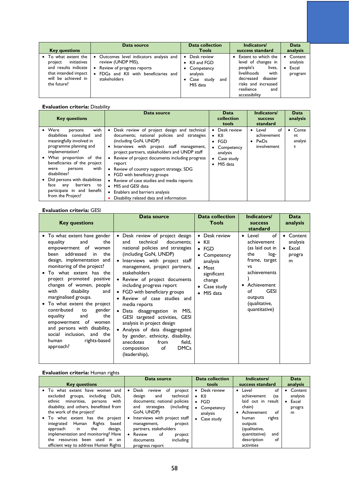| <b>Key questions</b>                                                                                                               | Data source                                                                                                                                                                              | <b>Data collection</b><br><b>Tools</b>                                                         | Indicators/<br>success standard                                                                                                                                               | Data<br>analysis                        |
|------------------------------------------------------------------------------------------------------------------------------------|------------------------------------------------------------------------------------------------------------------------------------------------------------------------------------------|------------------------------------------------------------------------------------------------|-------------------------------------------------------------------------------------------------------------------------------------------------------------------------------|-----------------------------------------|
| To what extent the<br>initiatives<br>project<br>and results indicate<br>that intended impact<br>will be achieved in<br>the future? | Outcomes level indicators analysis and<br>$\bullet$<br>review (UNDP MIS),<br>Review of progress reports<br>$\bullet$<br>FDGs and KII with beneficiaries and<br>$\bullet$<br>stakeholders | Desk review<br>٠<br>• KII and FGD<br>• Competency<br>analysis<br>Case study<br>and<br>MIS data | Extent to which the<br>level of changes in<br>people's<br>lives,<br>livelihoods<br>with<br>disaster<br>decreased<br>risks and increased<br>resilience<br>and<br>accessibility | Content<br>analysis<br>Excel<br>program |

### **Evaluation criteria:** Disability

| <b>Key questions</b>                                                                                                                                                                                                                                                                                                                                                   | Data source                                                                                                                                                                                                                                                                                                                                                                                                                                                                                                                                               | Data<br>collection<br>tools                                                                                                   | <b>Indicators/</b><br><b>SUCCESS</b><br>standard            | Data<br>analysis            |
|------------------------------------------------------------------------------------------------------------------------------------------------------------------------------------------------------------------------------------------------------------------------------------------------------------------------------------------------------------------------|-----------------------------------------------------------------------------------------------------------------------------------------------------------------------------------------------------------------------------------------------------------------------------------------------------------------------------------------------------------------------------------------------------------------------------------------------------------------------------------------------------------------------------------------------------------|-------------------------------------------------------------------------------------------------------------------------------|-------------------------------------------------------------|-----------------------------|
| with<br>$\bullet$ Were<br>persons<br>disabilities consulted<br>and<br>meaningfully involved in<br>programme planning and<br>implementation?<br>What proportion of the<br>beneficiaries of the project<br>with<br>persons<br>were<br>disabilities?<br>Did persons with disabilities<br>barriers<br>face<br>any<br>to<br>participate in and benefit<br>from the Project? | Desk review of project design and technical<br>$\bullet$<br>documents; national policies and strategies<br>(including GoN, UNDP)<br>Interviews with project staff management,<br>٠<br>project partners, stakeholders and UNDP staff<br>Review of project documents including progress<br>$\bullet$<br>report<br>• Review of country support strategy, SDG<br>• FGD with beneficiary groups<br>• Review of case studies and media reports<br>• MIS and GESI data<br>Enablers and barriers analysis<br>$\bullet$<br>Disability related data and information | Desk review<br>٠<br>$\bullet$ KII<br>$\bullet$ FGD<br>Competency<br>analysis<br>Case study<br>$\bullet$<br>$\bullet$ MIS data | റf<br>Level<br>٠<br>achievement<br>PwDs<br>٠<br>involvement | Conte<br>nt<br>analysi<br>s |

## **Evaluation criteria:** GESI

| <b>Key questions</b>                                                                                                                                                                                                                                                                                                                                                                                                                                                                                                                  | Data source                                                                                                                                                                                                                                                                                                                                                                                                                                                                                                                                                                                                                        | <b>Data collection</b><br><b>Tools</b>                                                                                                               | Indicators/<br><b>SUCCESS</b><br>standard                                                                                                                                                          | Data<br>analysis                                      |
|---------------------------------------------------------------------------------------------------------------------------------------------------------------------------------------------------------------------------------------------------------------------------------------------------------------------------------------------------------------------------------------------------------------------------------------------------------------------------------------------------------------------------------------|------------------------------------------------------------------------------------------------------------------------------------------------------------------------------------------------------------------------------------------------------------------------------------------------------------------------------------------------------------------------------------------------------------------------------------------------------------------------------------------------------------------------------------------------------------------------------------------------------------------------------------|------------------------------------------------------------------------------------------------------------------------------------------------------|----------------------------------------------------------------------------------------------------------------------------------------------------------------------------------------------------|-------------------------------------------------------|
| • To what extent have gender<br>the<br>equality<br>and<br>empowerment of women<br>been addressed<br>the<br>in<br>design, implementation and<br>monitoring of the project?<br>To what extent has the<br>project promoted positive<br>changes of women, people<br>disability<br>with<br>and<br>marginalised groups.<br>• To what extent the project<br>contributed<br>gender<br>to<br>equality<br>the<br>and<br>empowerment of women<br>and persons with disability,<br>social inclusion, and the<br>rights-based<br>human<br>approach? | • Desk review of project design<br>technical<br>documents:<br>and<br>national policies and strategies<br>(including GoN, UNDP)<br>Interviews with project staff<br>management, project partners,<br>stakeholders<br>• Review of project documents<br>including progress report<br>• FGD with beneficiary groups<br>Review of case studies and<br>media reports<br>$\bullet$ Data disaggregation in MIS,<br>GESI targeted activities, GESI<br>analysis in project design<br>Analysis of data disaggregated<br>by gender, ethnicity, disability,<br>anecdotes<br>from<br>field,<br><b>DMCs</b><br>of<br>composition<br>(leadership), | • Desk review<br>$\bullet$ KII<br>$\bullet$ FGD<br>• Competency<br>analysis<br>• Most<br>significant<br>change<br>• Case study<br>$\bullet$ MIS data | • Level<br>of<br>achievement<br>(as laid out in<br>log-<br>the<br>frame, target<br><b>VS</b><br>achievements<br>Achievement<br>٠<br><b>GESI</b><br>of<br>outputs<br>(qualitative,<br>quantitative) | Content<br>analysis<br>$\bullet$ Excel<br>progra<br>m |

## **Evaluation criteria: Human rights**

| <b>Key questions</b>                                                                                                                                                                                                                                                                                                                                                                                                                 | Data source                                                                                                                                                                                                                                                                                                  | <b>Data collection</b><br>tools                                                                                            | Indicators/<br>success standard                                                                                                                                                                    | Data<br>analysis                                         |
|--------------------------------------------------------------------------------------------------------------------------------------------------------------------------------------------------------------------------------------------------------------------------------------------------------------------------------------------------------------------------------------------------------------------------------------|--------------------------------------------------------------------------------------------------------------------------------------------------------------------------------------------------------------------------------------------------------------------------------------------------------------|----------------------------------------------------------------------------------------------------------------------------|----------------------------------------------------------------------------------------------------------------------------------------------------------------------------------------------------|----------------------------------------------------------|
| To what extent have women<br>and<br>including<br>excluded groups,<br>Dalit.<br>ethnic<br>minorities,<br>with<br>persons<br>disability, and others, benefitted from<br>the work of the project?<br>• To what extent has the<br>project<br>Human<br>Rights<br>based<br>integrated<br>design,<br>approach<br>the<br>in<br>implementation and monitoring? Have<br>the resources been used in an<br>efficient way to address Human Rights | project<br>Desk<br>review<br>0t<br>design<br>technical<br>and<br>documents; national policies<br>(including)<br>strategies<br>and<br>GoN, UNDP)<br>Interviews with project staff<br>project<br>management,<br>partners, stakeholders<br>of<br>Review<br>project<br>including<br>documents<br>progress report | Desk review<br>$\bullet$<br>KII<br>$\bullet$<br>FGD<br>$\bullet$<br>Competency<br>٠<br>analysis<br>Case study<br>$\bullet$ | • Level<br>оf<br>achievement<br>(as<br>laid out in result<br>chain)<br>Achievement<br>of<br>rights<br>human<br>outputs<br>(qualitative,<br>quantitative)<br>and<br>description<br>of<br>activities | Content<br>analysis<br>Excel<br>$\bullet$<br>progra<br>m |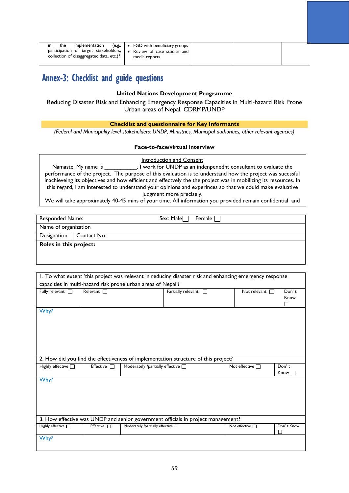| in<br>implementation<br>the<br>participation of target stakeholders,   . Review of case studies and<br>collection of disaggregated data, etc.)? | $(e.g., \rightarrow FGD$ with beneficiary groups<br>media reports |
|-------------------------------------------------------------------------------------------------------------------------------------------------|-------------------------------------------------------------------|
|-------------------------------------------------------------------------------------------------------------------------------------------------|-------------------------------------------------------------------|

# Annex-3: Checklist and guide questions

### **United Nations Development Programme**

Reducing Disaster Risk and Enhancing Emergency Response Capacities in Multi-hazard Risk Prone Urban areas of Nepal, CDRMP/UNDP

### **Checklist and questionnaire for Key Informants**

*(Federal and Municipality level stakeholders: UNDP, Ministries, Municipal authorities, other relevant agencies)*

### **Face-to-face/virtual interview**

| Introduction and Consent                                                                                         |
|------------------------------------------------------------------------------------------------------------------|
| . I work for UNDP as an indenpenednt consultant to evaluate the<br>Namaste. My name is                           |
| performance of the project. The purpose of this evaluation is to understand how the project was sucessful        |
| inachieveing its objectives and how efficient and effectvely the the project was in mobilizing its resources. In |
| this regard, I am interested to understand your opinions and experinces so that we could make evaluative         |
| judgment more precisely.                                                                                         |
| We will take approximately 40-45 mins of your time. All information you provided remain confidential and         |

Responded Name: Sex: Male Female Name of organization Designation: Contact No.: **Roles in this project:** 

will be used only for this evaluation purposes.

| 1. To what extent 'this project was relevant in reducing disaster risk and enhancing emergency response |                                                                                  |                                                              |                                                                                    |                        |             |  |  |
|---------------------------------------------------------------------------------------------------------|----------------------------------------------------------------------------------|--------------------------------------------------------------|------------------------------------------------------------------------------------|------------------------|-------------|--|--|
|                                                                                                         |                                                                                  | capacities in multi-hazard risk prone urban areas of Nepal'? |                                                                                    |                        |             |  |  |
| Fully relevant $\Box$                                                                                   | Relevant $\Box$                                                                  |                                                              | Partially relevant<br>П                                                            | Not relevant $\Box$    | Don't       |  |  |
|                                                                                                         |                                                                                  |                                                              |                                                                                    |                        | Know        |  |  |
|                                                                                                         |                                                                                  |                                                              |                                                                                    |                        | □           |  |  |
| Why?                                                                                                    |                                                                                  |                                                              |                                                                                    |                        |             |  |  |
|                                                                                                         |                                                                                  |                                                              |                                                                                    |                        |             |  |  |
|                                                                                                         |                                                                                  |                                                              |                                                                                    |                        |             |  |  |
|                                                                                                         |                                                                                  |                                                              |                                                                                    |                        |             |  |  |
|                                                                                                         |                                                                                  |                                                              |                                                                                    |                        |             |  |  |
|                                                                                                         |                                                                                  |                                                              |                                                                                    |                        |             |  |  |
|                                                                                                         |                                                                                  |                                                              | 2. How did you find the effectiveness of implementation structure of this project? |                        |             |  |  |
| Highly effective <sub>[1]</sub>                                                                         | Effective $\Box$                                                                 | Moderately /partially effective $\Box$                       |                                                                                    | Not effective $\Box$   | Don't       |  |  |
|                                                                                                         |                                                                                  |                                                              |                                                                                    |                        | $Know \Box$ |  |  |
| Why?                                                                                                    |                                                                                  |                                                              |                                                                                    |                        |             |  |  |
|                                                                                                         |                                                                                  |                                                              |                                                                                    |                        |             |  |  |
|                                                                                                         |                                                                                  |                                                              |                                                                                    |                        |             |  |  |
|                                                                                                         |                                                                                  |                                                              |                                                                                    |                        |             |  |  |
|                                                                                                         |                                                                                  |                                                              |                                                                                    |                        |             |  |  |
|                                                                                                         |                                                                                  |                                                              |                                                                                    |                        |             |  |  |
|                                                                                                         | 3. How effective was UNDP and senior government officials in project management? |                                                              |                                                                                    |                        |             |  |  |
| Highly effective [                                                                                      | Effective $\Box$                                                                 | Moderately /partially effective n                            |                                                                                    | Not effective <b>n</b> | Don't Know  |  |  |
|                                                                                                         |                                                                                  |                                                              |                                                                                    |                        | П           |  |  |
| Why?                                                                                                    |                                                                                  |                                                              |                                                                                    |                        |             |  |  |
|                                                                                                         |                                                                                  |                                                              |                                                                                    |                        |             |  |  |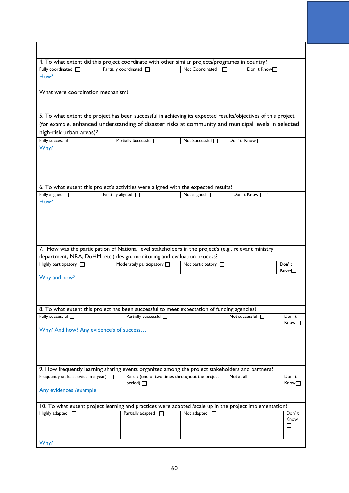|                                              |  | 4. To what extent did this project coordinate with other similar projects/programes in country?                                                                                  |  |                          |                       |            |             |
|----------------------------------------------|--|----------------------------------------------------------------------------------------------------------------------------------------------------------------------------------|--|--------------------------|-----------------------|------------|-------------|
| Fully coordinated<br>How?                    |  | Partially coordinated $\Box$                                                                                                                                                     |  | Not Coordinated          |                       | Don't Know |             |
|                                              |  |                                                                                                                                                                                  |  |                          |                       |            |             |
| What were coordination mechanism?            |  |                                                                                                                                                                                  |  |                          |                       |            |             |
|                                              |  | 5. To what extent the project has been successful in achieving its expected results/objectives of this project                                                                   |  |                          |                       |            |             |
|                                              |  | (for example, enhanced understanding of disaster risks at community and municipal levels in selected                                                                             |  |                          |                       |            |             |
| high-risk urban areas)?                      |  |                                                                                                                                                                                  |  |                          |                       |            |             |
| Fully successful [                           |  | Partially Successful <sup>1</sup>                                                                                                                                                |  | Not Successful [         | Don't Know            |            |             |
| Why?                                         |  |                                                                                                                                                                                  |  |                          |                       |            |             |
|                                              |  |                                                                                                                                                                                  |  |                          |                       |            |             |
|                                              |  |                                                                                                                                                                                  |  |                          |                       |            |             |
|                                              |  | 6. To what extent this project's activities were aligned with the expected results?                                                                                              |  |                          |                       |            |             |
| Fully aligned $\Box$                         |  | Partially aligned [                                                                                                                                                              |  | Not aligned              | Don't Know □          |            |             |
| How?                                         |  |                                                                                                                                                                                  |  |                          |                       |            |             |
|                                              |  |                                                                                                                                                                                  |  |                          |                       |            |             |
|                                              |  | 7. How was the participation of National level stakeholders in the project's (e.g., relevant ministry<br>department, NRA, DoHM, etc.) design, monitoring and evaluation process? |  |                          |                       |            |             |
| Highly participatory <sup>1</sup>            |  | Moderately participatory <b>D</b>                                                                                                                                                |  | Not participatory $\Box$ |                       |            | Don't       |
| Why and how?                                 |  |                                                                                                                                                                                  |  |                          |                       |            | Know∏       |
|                                              |  |                                                                                                                                                                                  |  |                          |                       |            |             |
|                                              |  | 8. To what extent this project has been successful to meet expectation of funding agencies?                                                                                      |  |                          |                       |            |             |
| Fully successful <sub>[1]</sub>              |  | Partially successful [                                                                                                                                                           |  |                          | Not successful $\Box$ |            | Don't       |
|                                              |  |                                                                                                                                                                                  |  |                          |                       |            | Know∏       |
| Why? And how? Any evidence's of success      |  |                                                                                                                                                                                  |  |                          |                       |            |             |
|                                              |  |                                                                                                                                                                                  |  |                          |                       |            |             |
|                                              |  |                                                                                                                                                                                  |  |                          |                       |            |             |
|                                              |  |                                                                                                                                                                                  |  |                          |                       |            |             |
|                                              |  | 9. How frequently learning sharing events organized among the project stakeholders and partners?                                                                                 |  |                          |                       |            |             |
| Frequently (at least twice in a year) $\Box$ |  | Rarely (one of two times throughout the project                                                                                                                                  |  |                          | Not at all            |            | Don't       |
|                                              |  | period) $\Box$                                                                                                                                                                   |  |                          |                       |            | Know $\Box$ |
| Any evidences / example                      |  |                                                                                                                                                                                  |  |                          |                       |            |             |
|                                              |  | 10. To what extent project learning and practices were adapted /scale up in the project implementation?                                                                          |  |                          |                       |            |             |
| Highly adapted <sup>1</sup>                  |  | Partially adapted <sup>1</sup>                                                                                                                                                   |  | Not adapted $\Box$       |                       |            | Don't       |
|                                              |  |                                                                                                                                                                                  |  |                          |                       |            | Know        |
|                                              |  |                                                                                                                                                                                  |  |                          |                       |            | ⊔           |
| Why?                                         |  |                                                                                                                                                                                  |  |                          |                       |            |             |
|                                              |  |                                                                                                                                                                                  |  |                          |                       |            |             |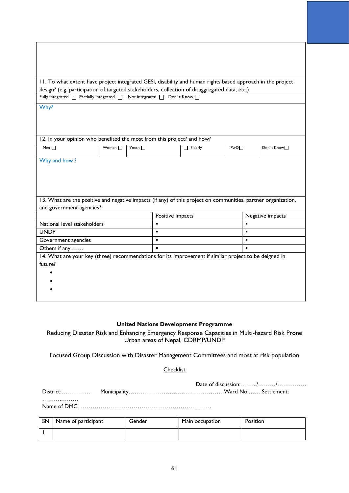|                                                                                                       |              | 11. To what extent have project integrated GESI, disability and human rights based approach in the project    |                  |                |                         |
|-------------------------------------------------------------------------------------------------------|--------------|---------------------------------------------------------------------------------------------------------------|------------------|----------------|-------------------------|
|                                                                                                       |              | design? (e.g. participation of targeted stakeholders, collection of disaggregated data, etc.)                 |                  |                |                         |
| Fully integrated $\Box$ Partially integrated $\Box$                                                   |              | Not integrated $\Box$                                                                                         | Don't Know n     |                |                         |
| Why?                                                                                                  |              |                                                                                                               |                  |                |                         |
|                                                                                                       |              |                                                                                                               |                  |                |                         |
|                                                                                                       |              |                                                                                                               |                  |                |                         |
|                                                                                                       |              |                                                                                                               |                  |                |                         |
|                                                                                                       |              | 12. In your opinion who benefited the most from this project? and how?                                        |                  |                |                         |
| Men $\Pi$                                                                                             | Women $\Box$ | Youth $\Box$                                                                                                  | $\Box$ Elderly   | PWD            | Don't Know <sup>∩</sup> |
| Why and how?                                                                                          |              |                                                                                                               |                  |                |                         |
|                                                                                                       |              |                                                                                                               |                  |                |                         |
|                                                                                                       |              |                                                                                                               |                  |                |                         |
|                                                                                                       |              |                                                                                                               |                  |                |                         |
|                                                                                                       |              |                                                                                                               |                  |                |                         |
|                                                                                                       |              | 13. What are the positive and negative impacts (if any) of this project on communities, partner organization, |                  |                |                         |
| and government agencies?                                                                              |              |                                                                                                               |                  |                |                         |
|                                                                                                       |              |                                                                                                               | Positive impacts |                | Negative impacts        |
| National level stakeholders                                                                           |              | ٠                                                                                                             |                  |                |                         |
| <b>UNDP</b>                                                                                           |              |                                                                                                               |                  |                |                         |
| Government agencies                                                                                   |              | $\blacksquare$                                                                                                |                  |                |                         |
| Others if any                                                                                         |              |                                                                                                               |                  | $\blacksquare$ |                         |
| 14. What are your key (three) recommendations for its improvement if similar project to be deigned in |              |                                                                                                               |                  |                |                         |
| future?                                                                                               |              |                                                                                                               |                  |                |                         |
|                                                                                                       |              |                                                                                                               |                  |                |                         |
|                                                                                                       |              |                                                                                                               |                  |                |                         |
|                                                                                                       |              |                                                                                                               |                  |                |                         |
|                                                                                                       |              |                                                                                                               |                  |                |                         |

## **United Nations Development Programme**

Reducing Disaster Risk and Enhancing Emergency Response Capacities in Multi-hazard Risk Prone Urban areas of Nepal, CDRMP/UNDP

Focused Group Discussion with Disaster Management Committees and most at risk population

**Checklist** 

Date of discussion: ……../………/…………… District:…………… Municipality………………………………………… Ward No:…… Settlement:

………………… Name of DMC ………………………………………………………….

Т

| SN 1 | Name of participant | Gender | Main occupation | <b>Position</b> |
|------|---------------------|--------|-----------------|-----------------|
|      |                     |        |                 |                 |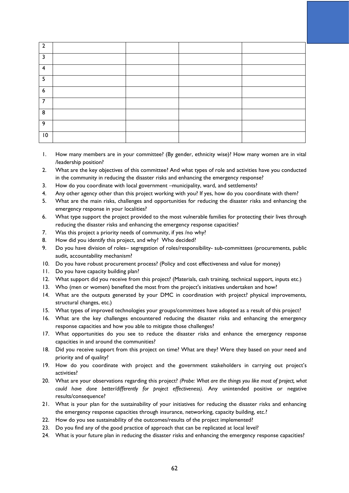| $\mathcal{P}$    |  |  |
|------------------|--|--|
| <b>C</b>         |  |  |
| 4                |  |  |
| 5                |  |  |
| $\boldsymbol{6}$ |  |  |
| 7                |  |  |
| 8                |  |  |
| 9                |  |  |
| $\overline{10}$  |  |  |

- 1. How many members are in your committee? (By gender, ethnicity wise)? How many women are in vital /leadership position?
- 2. What are the key objectives of this committee? And what types of role and activities have you conducted in the community in reducing the disaster risks and enhancing the emergency response?
- 3. How do you coordinate with local government –municipality, ward, and settlements?
- 4. Any other agency other than this project working with you? If yes, how do you coordinate with them?
- 5. What are the main risks, challenges and opportunities for reducing the disaster risks and enhancing the emergency response in your localities?
- 6. What type support the project provided to the most vulnerable families for protecting their lives through reducing the disaster risks and enhancing the emergency response capacities?
- 7. Was this project a priority needs of community, if yes /no why?
- 8. How did you identify this project, and why? Who decided?
- 9. Do you have division of roles– segregation of roles/responsibility- sub-committees (procurements, public audit, accountability mechanism?
- 10. Do you have robust procurement process? (Policy and cost effectiveness and value for money)
- 11. Do you have capacity building plan?
- 12. What support did you receive from this project? (Materials, cash training, technical support, inputs etc.)
- 13. Who (men or women) benefited the most from the project's initiatives undertaken and how?
- 14. What are the outputs generated by your DMC in coordination with project? physical improvements, structural changes, etc.)
- 15. What types of improved technologies your groups/committees have adopted as a result of this project?
- 16. What are the key challenges encountered reducing the disaster risks and enhancing the emergency response capacities and how you able to mitigate those challenges?
- 17. What opportunities do you see to reduce the disaster risks and enhance the emergency response capacities in and around the communities?
- 18. Did you receive support from this project on time? What are they? Were they based on your need and priority and of quality?
- 19. How do you coordinate with project and the government stakeholders in carrying out project's activities?
- 20. What are your observations regarding this project? *(Probe: What are the things you like most of project, what could have done better/differently for project effectiveness).* Any unintended positive or negative results/consequence?
- 21. What is your plan for the sustainability of your initiatives for reducing the disaster risks and enhancing the emergency response capacities through insurance, networking, capacity building, etc.?
- 22. How do you see sustainability of the outcomes/results of the project implemented?
- 23. Do you find any of the good practice of approach that can be replicated at local level?
- 24. What is your future plan in reducing the disaster risks and enhancing the emergency response capacities?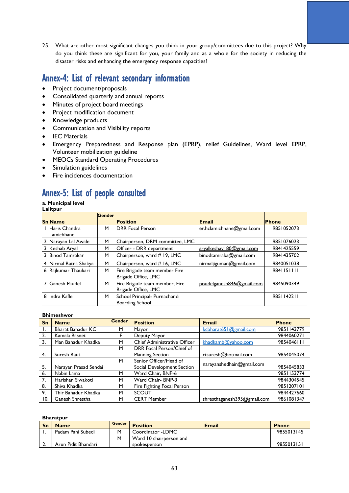25. What are other most significant changes you think in your group/committees due to this project? Why do you think these are significant for you, your family and as a whole for the society in reducing the disaster risks and enhancing the emergency response capacities?

## Annex-4: List of relevant secondary information

- Project document/proposals
- Consolidated quarterly and annual reports
- Minutes of project board meetings
- Project modification document
- Knowledge products
- Communication and Visibility reports
- IEC Materials
- Emergency Preparedness and Response plan (EPRP), relief Guidelines, Ward level EPRP, Volunteer mobilization guideline
- MEOCs Standard Operating Procedures
- Simulation guidelines
- Fire incidences documentation

## Annex-5: List of people consulted

## **a. Municipal level**

| тп<br>н<br>ı |  |
|--------------|--|
|              |  |

|                             | <b>Gender</b> |                                                         |                            |              |
|-----------------------------|---------------|---------------------------------------------------------|----------------------------|--------------|
| <b>SnName</b>               |               | <b>Position</b>                                         | Email                      | <b>Phone</b> |
| Haris Chandra<br>Lamichhane | м             | <b>DRR</b> Focal Person                                 | er.hclamichhane@gmail.com  | 9851052073   |
| 2 Narayan Lal Awale         | М             | Chairperson, DRM committee, LMC                         |                            | 9851076023   |
| 3 Keshab Aryal              | м             | Officer - DRR department                                | aryalkeshav   80@gmail.com | 9841425559   |
| 3 Binod Tamrakar            | M             | Chairperson, ward # 19, LMC                             | binodtamraka@gmail.com     | 9841435702   |
| 4 Nirmal Ratna Shakya       | M             | Chairperson, ward # 16, LMC                             | nirmaljiguman@gmail.com    | 9840051038   |
| 6 Rajkumar Thaukari         | M             | Fire Brigade team member Fire<br>Brigade Office, LMC    |                            | 9841151111   |
| 7 Ganesh Paudel             | М             | Fire Brigade team member, Fire<br>Brigade Office, LMC   | poudelganesh846@gmail.com  | 9845090349   |
| 8 Indra Kafle               | м             | School Principal- Purnachandi<br><b>Boarding School</b> |                            | 9851142211   |

#### **Bhimeshwor**

| <b>Sn</b>        | <b>Name</b>              | <b>Gender</b> | <b>Position</b>              | <b>Email</b>                | <b>Phone</b> |
|------------------|--------------------------|---------------|------------------------------|-----------------------------|--------------|
| Ι.               | <b>Bharat Bahadur KC</b> | м             | Mayor                        | kcbharat651@gmail.com       | 9851143779   |
| 2.               | Kamala Basnet            | F             | Deputy Mayor                 |                             | 9844060271   |
| $\overline{3}$ . | Man Bahadur Khadka       | М             | Chief Administrative Officer | khadkamb@yahoo.com          | 9854046111   |
|                  |                          | M             | DRR Focal Person/Chief of    |                             |              |
| 4.               | Suresh Raut              |               | <b>Planning Section</b>      | rtsuresh@hotmail.com        | 9854045074   |
|                  |                          | M             | Senior Officer/Head of       | narayanshedhain@gmail.com   |              |
| 5.               | Narayan Prasad Sendai    |               | Social Development Section   |                             | 9854045833   |
| 6.               | Nabin Lama               | м             | Ward Chair, BNP-6            |                             | 9851153774   |
| 7.               | Harishan Siwakoti        | м             | Ward Chair- BNP-3            |                             | 9844304545   |
| 8.               | Shiva Khadka             | М             | Fire Fighting Focal Person   |                             | 9851207101   |
| 9.               | Thir Bahadur Khadka      | м             | <b>SCOUT</b>                 |                             | 9844427660   |
| 10.              | Ganesh Shrestha          | м             | <b>CERT Member</b>           | shresthaganesh395@gmail.com | 9861081347   |

### **Bharatpur**

| Sn        | <b>Name</b>         | Gender | <b>Position</b>         | <b>Email</b> | <b>Phone</b> |
|-----------|---------------------|--------|-------------------------|--------------|--------------|
|           | Padam Pani Subedi   |        | Coordinator -LDMC       |              | 9855013145   |
|           |                     |        | Ward 10 chairperson and |              |              |
| <b>L.</b> | Arun Pidit Bhandari |        | spokesperson            |              | 9855013151   |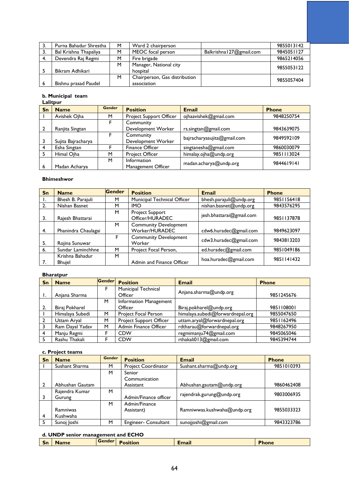| 3.  | Purna Bahadur Shrestha | M | Ward 2 chairperson            |                          | 9855013142 |
|-----|------------------------|---|-------------------------------|--------------------------|------------|
| -3. | Bal Krishna Thapaliya  | м | MEOC focal person             | Balkrishna 127@gmail.com | 9845051127 |
|     | Devendra Raj Regmi     | м | Fire brigade                  |                          | 9865214056 |
|     |                        | М | Manager, National city        |                          | 9855053122 |
|     | Bikram Adhikari        |   | hospital                      |                          |            |
|     |                        | М | Chairperson, Gas distribution |                          | 9855057404 |
|     | Bishnu prasad Paudel   |   | association                   |                          |            |

#### **b. Municipal team**

#### **Lalitpur**

| Sn | <b>Name</b>        | <b>Gender</b> | <b>Position</b>         | <b>Email</b>                | <b>Phone</b> |  |
|----|--------------------|---------------|-------------------------|-----------------------------|--------------|--|
|    | Avishek Ojha       | м             | Project Support Officer | ojhaavishek@gmail.com       | 9848250754   |  |
|    |                    |               | Community               |                             |              |  |
|    | Ranjita Singtan    |               | Development Worker      | rs.singtan@gmail.com        | 9843639075   |  |
|    |                    |               | Community               |                             | 9849592109   |  |
|    | Sujita Bajracharya |               | Development Worker      | bajracharyasujita@gmail.com |              |  |
|    | Esha Singtan       |               | <b>Finance Officer</b>  | singtanesha@gmail.com       | 9860030079   |  |
|    | Himal Oiha         | м             | <b>Project Officer</b>  | himalay.ojha@undp.org       | 9851113024   |  |
|    |                    | м             | Information             |                             | 9844619141   |  |
| 6  | Madan Acharya      |               | Management Officer      | madan.acharya@undp.org      |              |  |

#### **Bhimeshwor**

| Sn | <b>Name</b>                      | <b>Gender</b> | <b>Position</b>                           | <b>Email</b>             | <b>Phone</b> |
|----|----------------------------------|---------------|-------------------------------------------|--------------------------|--------------|
| п. | Bhesh B. Parajuli                | м             | Municipal Technical Officer               | bhesh.parajuli@undp.org  | 9851156418   |
| 2. | Nishan Basnet                    | м             | <b>IMO</b>                                | nishan.basnet@undp.org   | 9843576295   |
| 3. | Rajesh Bhattarai                 | M             | <b>Project Support</b><br>Officer/HURADEC | jesh.bhattarai@gmail.com | 9851137878   |
|    |                                  | M             | <b>Community Development</b>              |                          |              |
| 4. | Phanindra Chaulagai              |               | Worker/HURADEC                            | cdw6.huradec@gmail.com   | 9849623097   |
| 5. | Rojina Sunuwar                   | F             | <b>Community Development</b><br>Worker    | cdw3.huradec@gmail.com   | 9843813203   |
| 6. | Sundar Laminchhne                | м             | Project Focal Person,                     | ed.huradec@gmail.com     | 9851049186   |
| 7. | Krishna Bahadur<br><b>Bhujel</b> | м             | Admin and Finance Officer                 | hoa.huradec@gmail.com    | 9851141432   |

### **Bharatpur**

| Sn | <b>Name</b>     | Gender | <b>Position</b>            | <b>Email</b>                     | <b>Phone</b> |
|----|-----------------|--------|----------------------------|----------------------------------|--------------|
|    |                 | F      | <b>Municipal Technical</b> | Anjana.sharma@undp.org           |              |
|    | Anjana Sharma   |        | Officer                    |                                  | 9851245676   |
|    |                 | м      | Information Management     |                                  |              |
|    | Biraj Pokharel  |        | Officer                    | Biraj.pokharel@undp.org          | 9851108001   |
|    | Himalaya Subedi | M      | Project Focal Person       | himalaya.subedi@forwardnepal.org | 9855047650   |
|    | Uttam Aryal     | м      | Project Support Officer    | uttam.aryal@forwardnepal.org     | 9851162496   |
|    | Ram Dayal Yadav | м      | Admin Finance Officer      | rdtharau@forwardnepal.org        | 9848267950   |
|    | Manju Regmi     | F      | <b>CDW</b>                 | regmimanju74@gmail.com           | 9845065046   |
|    | Rashu Thakali   | F      | <b>CDW</b>                 | rthakali013@gmail.com            | 9845394744   |

## **c. Project teams**

| Sn             | <b>Name</b>     | <b>Gender</b> | <b>Position</b>       | <b>Email</b>                | <b>Phone</b> |
|----------------|-----------------|---------------|-----------------------|-----------------------------|--------------|
|                | Sushant Sharma  | M             | Project Coordinator   | Sushant.sharma@undp.org     | 9851010393   |
|                |                 | M             | Senior                |                             |              |
|                |                 |               | Communication         |                             |              |
| $\overline{2}$ | Abhushan Gautam |               | Assistant             | Abhushan.gautam@undp.org    | 9860462408   |
|                | Rajendra Kumar  | M             |                       |                             | 9803006935   |
|                | Gurung          |               | Admin/Finance officer | rajendrak.gurung@undp.org   |              |
|                |                 | M             | Admin/Finance         |                             |              |
|                | Ramniwas        |               | Assistant)            | Ramniwwas.kushwaha@undp.org | 9855033323   |
| $\overline{4}$ | Kushwaha        |               |                       |                             |              |
| 5              | Sunoi Ioshi     | M             | Engineer- Consultant  | sunojjoshi@gmail.com        | 9843323786   |

### **d. UNDP senior management and ECHO**

| <b>Gender</b><br>$\sim$<br>$\bullet$ . $\bullet$<br>Email<br>l Sn<br>sition<br><b>'hone</b><br><b>Name</b> |
|------------------------------------------------------------------------------------------------------------|
|------------------------------------------------------------------------------------------------------------|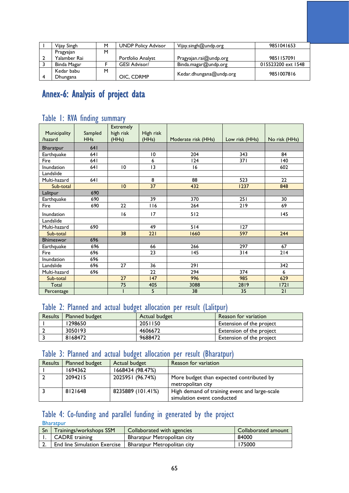| Vijay Singh  | M | <b>UNDP Policy Advisor</b> | Vijay.singh@undp.org    | 9851041653         |
|--------------|---|----------------------------|-------------------------|--------------------|
| Pragyajan    | M |                            |                         |                    |
| Yalamber Rai |   | Portfolio Analyst          | Pragyajan.rai@undp.org  | 9851157091         |
| Binda Magar  |   | <b>GESI Advisor/</b>       | Binda.magar@undp.org    | 015523200 ext 1548 |
| Kedar babu   | M |                            | Kedar.dhungana@undp.org | 9851007816         |
| Dhungana     |   | OIC. CDRMP                 |                         |                    |

# Annex-6: Analysis of project data

## Table 1: RVA finding summary

| Municipality<br>/hazard | Sampled<br><b>HHs</b> | <b>Extremely</b><br>high risk<br>(HHs) | High risk<br>(HHs) | Moderate risk (HHs) | Low risk (HHs) | No risk (HHs) |
|-------------------------|-----------------------|----------------------------------------|--------------------|---------------------|----------------|---------------|
| <b>Bharatpur</b>        | 641                   |                                        |                    |                     |                |               |
| Earthquake              | 641                   |                                        | 10                 | 204                 | 343            | 84            |
| Fire                    | 64 I                  |                                        | 6                  | 124                 | 371            | 140           |
| Inundation              | 64 I                  | $\overline{10}$                        | 13                 | 16                  |                | 602           |
| Landslide               |                       |                                        |                    |                     |                |               |
| Multi-hazard            | 641                   |                                        | 8                  | 88                  | 523            | 22            |
| Sub-total               |                       | 10                                     | 37                 | 432                 | 1237           | 848           |
| Lalitpur                | 690                   |                                        |                    |                     |                |               |
| Earthquake              | 690                   |                                        | 39                 | 370                 | 251            | 30            |
| Fire                    | 690                   | 22                                     | 116                | 264                 | 219            | 69            |
| Inundation              |                       | 16                                     | 17                 | 512                 |                | 145           |
| Landslide               |                       |                                        |                    |                     |                |               |
| Multi-hazard            | 690                   |                                        | 49                 | 514                 | 127            |               |
| Sub-total               |                       | 38                                     | 221                | 1660                | 597            | 244           |
| <b>Bhimeswor</b>        | 696                   |                                        |                    |                     |                |               |
| Earthquake              | 696                   |                                        | 66                 | 266                 | 297            | 67            |
| Fire                    | 696                   |                                        | 23                 | 145                 | 314            | 214           |
| Inundation              | 696                   |                                        |                    |                     |                |               |
| Landslide               | 696                   | 27                                     | 36                 | 291                 |                | 342           |
| Multi-hazard            | 696                   |                                        | 22                 | 294                 | 374            | 6             |
| Sub-total               |                       | 27                                     | 147                | 996                 | 985            | 629           |
| Total                   |                       | 75                                     | 405                | 3088                | 2819           | 1721          |
| Percentage              |                       |                                        | 5                  | 38                  | 35             | 21            |

## Table 2: Planned and actual budget allocation per result (Lalitpur)

| <b>Results</b> | <b>Planned budget</b> | Actual budget | Reason for variation            |
|----------------|-----------------------|---------------|---------------------------------|
|                | 1298650               | 2051150       | <b>Extension of the project</b> |
|                | 3050193               | 4606672       | <b>Extension of the project</b> |
|                | 8168472               | 9688472       | <b>Extension of the project</b> |

## Table 3: Planned and actual budget allocation per result (Bharatpur)

| <b>Results</b> | Planned budget | Actual budget     | Reason for variation                          |
|----------------|----------------|-------------------|-----------------------------------------------|
|                | 1694362        | 1668434 (98.47%)  |                                               |
|                | 2094215        | 2025951 (96.74%)  | More budget than expected contributed by      |
|                |                |                   | metropolitan city                             |
|                | 8121648        | 8235889 (101.41%) | High demand of training event and large-scale |
|                |                |                   | simulation event conducted                    |

## Table 4: Co-funding and parallel funding in generated by the project

Bharatpur

| -Sn | Trainings/workshops SSM                                    | Collaborated with agencies  | Collaborated amount |
|-----|------------------------------------------------------------|-----------------------------|---------------------|
|     | CADRE training                                             | Bharatpur Metropolitan city | 84000               |
|     | End line Simulation Exercise   Bharatpur Metropolitan city |                             | 175000              |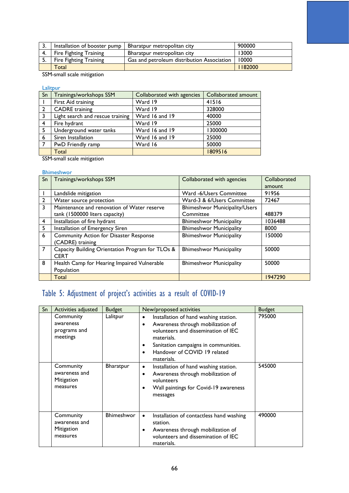|    | Installation of booster pump  | Bharatpur metropolitan city                | 900000 |
|----|-------------------------------|--------------------------------------------|--------|
|    | Fire Fighting Training        | Bharatpur metropolitan city                | 13000  |
| э. | <b>Fire Fighting Training</b> | Gas and petroleum distribution Association | 10000  |
|    | Total                         |                                            | 182000 |

SSM-small scale mitigation

Lalitpur

| Sn             | Trainings/workshops SSM          | Collaborated with agencies | Collaborated amount |
|----------------|----------------------------------|----------------------------|---------------------|
|                | First Aid training               | Ward 19                    | 41516               |
| $\overline{2}$ | <b>CADRE</b> training            | Ward 19                    | 328000              |
| 3              | Light search and rescue training | Ward 16 and 19             | 40000               |
| $\overline{4}$ | Fire hydrant                     | Ward 19                    | 25000               |
| - 5            | Underground water tanks          | Ward 16 and 19             | 1300000             |
| 6              | Siren Installation               | Ward 16 and 19             | 25000               |
| $\overline{7}$ | PwD Friendly ramp                | Ward 16                    | 50000               |
|                | Total                            |                            | 1809516             |

SSM-small scale mitigation

### Bhimeshwor

| Sn | Trainings/workshops SSM                                         | Collaborated with agencies           | Collaborated |
|----|-----------------------------------------------------------------|--------------------------------------|--------------|
|    |                                                                 |                                      | amount       |
|    | Landslide mitigation                                            | Ward -6/Users Committee              | 91956        |
| 2  | Water source protection                                         | Ward-3 & 6/Users Committee           | 72467        |
| 3  | Maintenance and renovation of Water reserve                     | <b>Bhimeshwor Municipality/Users</b> |              |
|    | tank (1500000 liters capacity)                                  | Committee                            | 488379       |
| 4  | Installation of fire hydrant                                    | <b>Bhimeshwor Municipality</b>       | 1036488      |
| 5  | Installation of Emergency Siren                                 | <b>Bhimeshwor Municipality</b>       | 8000         |
| 6  | <b>Community Action for Disaster Response</b>                   | <b>Bhimeshwor Municipality</b>       | 150000       |
|    | (CADRE) training                                                |                                      |              |
| 7  | Capacity Building Orientation Program for TLOs &<br><b>CERT</b> | <b>Bhimeshwor Municipality</b>       | 50000        |
| 8  | Health Camp for Hearing Impaired Vulnerable                     | <b>Bhimeshwor Municipality</b>       | 50000        |
|    | Population                                                      |                                      |              |
|    | Total                                                           |                                      | 1947290      |

# Table 5: Adjustment of project's activities as a result of COVID-19

| Sn | Activities adjusted                                  | <b>Budget</b>    | New/proposed activities                                                                                                                                                                                               | <b>Budget</b> |
|----|------------------------------------------------------|------------------|-----------------------------------------------------------------------------------------------------------------------------------------------------------------------------------------------------------------------|---------------|
|    | Community<br>awareness<br>programs and<br>meetings   | Lalitpur         | Installation of hand washing station.<br>Awareness through mobilization of<br>volunteers and dissemination of IEC<br>materials.<br>Sanitation campaigns in communities.<br>Handover of COVID 19 related<br>materials. | 795000        |
|    | Community<br>awareness and<br>Mitigation<br>measures | <b>Bharatpur</b> | Installation of hand washing station.<br>٠<br>Awareness through mobilization of<br>٠<br>volunteers<br>Wall paintings for Covid-19 awareness<br>messages                                                               | 545000        |
|    | Community<br>awareness and<br>Mitigation<br>measures | Bhimeshwor       | Installation of contactless hand washing<br>$\bullet$<br>station.<br>Awareness through mobilization of<br>volunteers and dissemination of IEC<br>materials.                                                           | 490000        |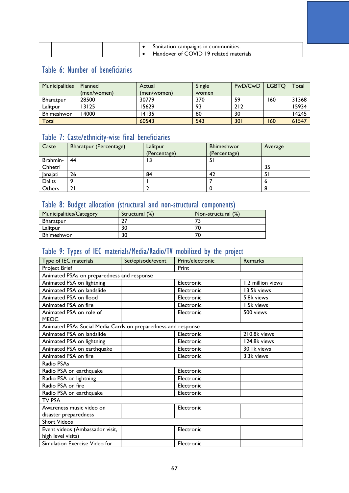|  |  | Sanitation campaigns in communities.   |  |
|--|--|----------------------------------------|--|
|  |  | Handover of COVID 19 related materials |  |

## Table 6: Number of beneficiaries

| <b>Municipalities</b> | Planned     | Actual      | Single | PwD/CwD | <b>LGBTO</b> | -otal |
|-----------------------|-------------|-------------|--------|---------|--------------|-------|
|                       | (men/women) | (men/women) | women  |         |              |       |
| <b>Bharatpur</b>      | 28500       | 30779       | 370    | 59      | 160          | 31368 |
| Lalitpur              | 13125       | 15629       | 93     | 212     |              | 15934 |
| Bhimeshwor            | 4000        | 14135       | 80     | 30      |              | 14245 |
| Total                 |             | 60543       | 543    | 301     | 160          | 61547 |

## Table 7: Caste/ethnicity-wise final beneficiaries

| Caste         | <b>Bharatpur (Percentage)</b> | Lalitpur<br>(Percentage) | <b>Bhimeshwor</b><br>(Percentage) | Average |
|---------------|-------------------------------|--------------------------|-----------------------------------|---------|
| Brahmin-      | 44                            | ۱3                       | -51                               |         |
| Chhetri       |                               |                          |                                   | 35      |
| Janajati      | 26                            | 84                       | 42                                | 5       |
| <b>Dalits</b> |                               |                          |                                   | o       |
| Others        | 2١                            |                          |                                   |         |

## Table 8: Budget allocation (structural and non-structural components)

| Municipalities/Category | Structural (%) | Non-structural (%) |
|-------------------------|----------------|--------------------|
| <b>Bharatpur</b>        |                |                    |
| Lalitpur                | 30             | 71                 |
| <b>Bhimeshwor</b>       | 30             | 71                 |

## Table 9: Types of IEC materials/Media/Radio/TV mobilized by the project

| Type of IEC materials                                         | Set/episode/event | Print/electronic | Remarks           |  |  |  |  |  |
|---------------------------------------------------------------|-------------------|------------------|-------------------|--|--|--|--|--|
| <b>Project Brief</b>                                          |                   | Print            |                   |  |  |  |  |  |
| Animated PSAs on preparedness and response                    |                   |                  |                   |  |  |  |  |  |
| Animated PSA on lightning                                     |                   | Electronic       | 1.2 million views |  |  |  |  |  |
| Animated PSA on landslide                                     |                   | Electronic       | 13.5k views       |  |  |  |  |  |
| Animated PSA on flood                                         |                   | Electronic       | 5.8k views        |  |  |  |  |  |
| Animated PSA on fire                                          |                   | Electronic       | 1.5k views        |  |  |  |  |  |
| Animated PSA on role of<br>MEOC                               |                   | Electronic       | 500 views         |  |  |  |  |  |
| Animated PSAs Social Media Cards on preparedness and response |                   |                  |                   |  |  |  |  |  |
| Animated PSA on landslide                                     |                   | Electronic       | 210.8k views      |  |  |  |  |  |
| Animated PSA on lightning                                     |                   | Electronic       | 124.8k views      |  |  |  |  |  |
| Animated PSA on earthquake                                    |                   | Electronic       | 30.1k views       |  |  |  |  |  |
| Animated PSA on fire                                          |                   | Electronic       | 3.3k views        |  |  |  |  |  |
| Radio PSAs                                                    |                   |                  |                   |  |  |  |  |  |
| Radio PSA on earthquake                                       |                   | Electronic       |                   |  |  |  |  |  |
| Radio PSA on lightning                                        |                   | Electronic       |                   |  |  |  |  |  |
| Radio PSA on fire                                             |                   | Electronic       |                   |  |  |  |  |  |
| Radio PSA on earthquake                                       |                   | Electronic       |                   |  |  |  |  |  |
| TV PSA                                                        |                   |                  |                   |  |  |  |  |  |
| Awareness music video on<br>disaster preparedness             |                   | Electronic       |                   |  |  |  |  |  |
| <b>Short Videos</b>                                           |                   |                  |                   |  |  |  |  |  |
| Event videos (Ambassador visit,<br>high level visits)         |                   | Electronic       |                   |  |  |  |  |  |
| Simulation Exercise Video for                                 |                   | Electronic       |                   |  |  |  |  |  |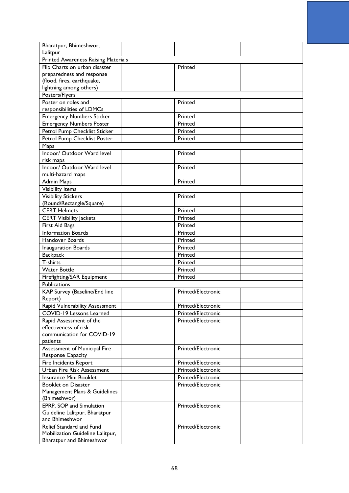| Bharatpur, Bhimeshwor,<br>Lalitpur         |                    |  |
|--------------------------------------------|--------------------|--|
| <b>Printed Awareness Raising Materials</b> |                    |  |
| Flip Charts on urban disaster              | Printed            |  |
| preparedness and response                  |                    |  |
| (flood, fires, earthquake,                 |                    |  |
| lightning among others)                    |                    |  |
| Posters/Flyers                             |                    |  |
| Poster on roles and                        | Printed            |  |
| responsibilities of LDMCs                  |                    |  |
| <b>Emergency Numbers Sticker</b>           | Printed            |  |
| <b>Emergency Numbers Poster</b>            | Printed            |  |
| Petrol Pump Checklist Sticker              | Printed            |  |
| Petrol Pump Checklist Poster               | Printed            |  |
| Maps                                       |                    |  |
| Indoor/ Outdoor Ward level                 | Printed            |  |
| risk maps                                  |                    |  |
| Indoor/ Outdoor Ward level                 | Printed            |  |
| multi-hazard maps                          |                    |  |
| <b>Admin Maps</b>                          | Printed            |  |
| <b>Visibility Items</b>                    |                    |  |
| <b>Visibility Stickers</b>                 | Printed            |  |
| (Round/Rectangle/Square)                   |                    |  |
| <b>CERT Helmets</b>                        | Printed            |  |
| <b>CERT Visibility Jackets</b>             | Printed            |  |
| First Aid Bags                             | Printed            |  |
| <b>Information Boards</b>                  | Printed            |  |
| Handover Boards                            | Printed            |  |
| <b>Inauguration Boards</b>                 | Printed            |  |
| <b>Backpack</b>                            | Printed            |  |
| T-shirts                                   | Printed            |  |
| <b>Water Bottle</b>                        | Printed            |  |
| Firefighting/SAR Equipment                 | Printed            |  |
| Publications                               |                    |  |
| KAP Survey (Baseline/End line              | Printed/Electronic |  |
| Report)                                    |                    |  |
| Rapid Vulnerability Assessment             | Printed/Electronic |  |
| COVID-19 Lessons Learned                   | Printed/Electronic |  |
| Rapid Assessment of the                    | Printed/Electronic |  |
| effectiveness of risk                      |                    |  |
| communication for COVID-19                 |                    |  |
| patients                                   |                    |  |
| Assessment of Municipal Fire               | Printed/Electronic |  |
| <b>Response Capacity</b>                   |                    |  |
| Fire Incidents Report                      | Printed/Electronic |  |
| Urban Fire Risk Assessment                 | Printed/Electronic |  |
| Insurance Mini Booklet                     | Printed/Electronic |  |
| <b>Booklet on Disaster</b>                 | Printed/Electronic |  |
| Management Plans & Guidelines              |                    |  |
| (Bhimeshwor)                               |                    |  |
| EPRP, SOP and Simulation                   | Printed/Electronic |  |
| Guideline Lalitpur, Bharatpur              |                    |  |
| and Bhimeshwor                             |                    |  |
| Relief Standard and Fund                   | Printed/Electronic |  |
| Mobilization Guideline Lalitpur,           |                    |  |
| Bharatpur and Bhimeshwor                   |                    |  |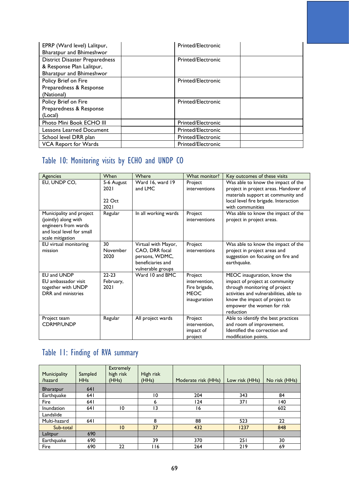| EPRP (Ward level) Lalitpur,           | <b>Printed/Electronic</b> |  |
|---------------------------------------|---------------------------|--|
| Bharatpur and Bhimeshwor              |                           |  |
| <b>District Disaster Preparedness</b> | <b>Printed/Electronic</b> |  |
| & Response Plan Lalitpur,             |                           |  |
| Bharatpur and Bhimeshwor              |                           |  |
| Policy Brief on Fire                  | Printed/Electronic        |  |
| Preparedness & Response               |                           |  |
| (National)                            |                           |  |
| Policy Brief on Fire                  | <b>Printed/Electronic</b> |  |
| Preparedness & Response               |                           |  |
| (Local)                               |                           |  |
| Photo Mini Book ECHO III              | <b>Printed/Electronic</b> |  |
| <b>Lessons Learned Document</b>       | <b>Printed/Electronic</b> |  |
| School level DRR plan                 | <b>Printed/Electronic</b> |  |
| <b>VCA Report for Wards</b>           | <b>Printed/Electronic</b> |  |

# Table 10: Monitoring visits by ECHO and UNDP CO

| <b>Agencies</b>                                                                                                           | When                                 | Where                                                                                             | What monitor?                                                            | Key outcomes of these visits                                                                                                                                                                                          |
|---------------------------------------------------------------------------------------------------------------------------|--------------------------------------|---------------------------------------------------------------------------------------------------|--------------------------------------------------------------------------|-----------------------------------------------------------------------------------------------------------------------------------------------------------------------------------------------------------------------|
| EU, UNDP CO,                                                                                                              | 5-6 August<br>2021<br>22 Oct<br>2021 | Ward 16, ward 19<br>and LMC                                                                       | Project<br>interventions                                                 | Was able to know the impact of the<br>project in project areas. Handover of<br>materials support at community and<br>local level fire brigade. Interaction<br>with communities                                        |
| Municipality and project<br>(jointly) along with<br>engineers from wards<br>and local level for small<br>scale mitigation | Regular                              | In all working wards                                                                              | Project<br>interventions                                                 | Was able to know the impact of the<br>project in project areas.                                                                                                                                                       |
| EU virtual monitoring<br>mission                                                                                          | 30<br>November<br>2020               | Virtual with Mayor,<br>CAO, DRR focal<br>persons, WDMC,<br>beneficiaries and<br>vulnerable groups | Project<br>interventions                                                 | Was able to know the impact of the<br>project in project areas and<br>suggestion on focusing on fire and<br>earthquake.                                                                                               |
| <b>EU and UNDP</b><br>EU ambassador visit<br>together with UNDP<br>DRR and ministries                                     | $22 - 23$<br>February,<br>2021       | Ward 10 and BMC                                                                                   | Project<br>intervention.<br>Fire brigade,<br><b>MEOC</b><br>inauguration | MEOC inauguration, know the<br>impact of project at community<br>through monitoring of project<br>activities and vulnerabilities, able to<br>know the impact of project to<br>empower the women for risk<br>reduction |
| Project team<br><b>CDRMP/UNDP</b>                                                                                         | Regular                              | All project wards                                                                                 | Project<br>intervention.<br>impact of<br>project                         | Able to identify the best practices<br>and room of improvement.<br>Identified the correction and<br>modification points.                                                                                              |

# Table 11: Finding of RVA summary

| Municipality<br>/hazard | Sampled<br><b>HHs</b> | <b>Extremely</b><br>high risk<br>(HHs) | High risk<br>(HHs) | Moderate risk (HHs) | Low risk (HHs) | No risk (HHs) |
|-------------------------|-----------------------|----------------------------------------|--------------------|---------------------|----------------|---------------|
| <b>Bharatpur</b>        | 641                   |                                        |                    |                     |                |               |
| Earthquake              | 64 I                  |                                        | 10                 | 204                 | 343            | 84            |
| Fire                    | 64 I                  |                                        | ь                  | 124                 | 371            | 140           |
| Inundation              | 64 I                  | 10                                     | 13                 | 16                  |                | 602           |
| Landslide               |                       |                                        |                    |                     |                |               |
| Multi-hazard            | 641                   |                                        | 8                  | 88                  | 523            | 22            |
| Sub-total               |                       | 10                                     | 37                 | 432                 | 1237           | 848           |
| Lalitpur                | 690                   |                                        |                    |                     |                |               |
| Earthquake              | 690                   |                                        | 39                 | 370                 | 251            | 30            |
| Fire                    | 690                   | 22                                     | <b>116</b>         | 264                 | 219            | 69            |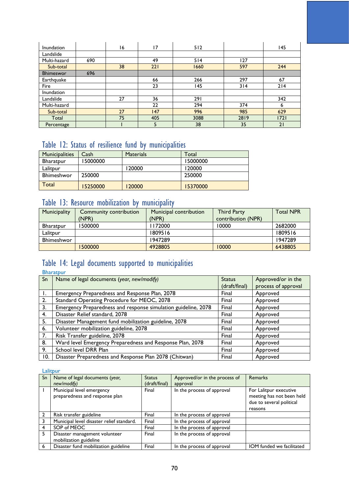| Inundation   |     | 16 | 17  | 512  |      | 145  |
|--------------|-----|----|-----|------|------|------|
| Landslide    |     |    |     |      |      |      |
| Multi-hazard | 690 |    | 49  | 514  | 127  |      |
| Sub-total    |     | 38 | 221 | 1660 | 597  | 244  |
| Bhimeswor    | 696 |    |     |      |      |      |
| Earthquake   |     |    | 66  | 266  | 297  | 67   |
| Fire         |     |    | 23  | 145  | 314  | 214  |
| Inundation   |     |    |     |      |      |      |
| Landslide    |     | 27 | 36  | 291  |      | 342  |
| Multi-hazard |     |    | 22  | 294  | 374  | 6    |
| Sub-total    |     | 27 | 147 | 996  | 985  | 629  |
| Total        |     | 75 | 405 | 3088 | 2819 | 1721 |
| Percentage   |     |    |     | 38   | 35   | 21   |

## Table 12: Status of resilience fund by municipalities

| <b>Municipalities</b> | Cash     | <b>Materials</b> | Total    |
|-----------------------|----------|------------------|----------|
| Bharatpur             | 15000000 |                  | 15000000 |
| Lalitour              |          | 120000           | 120000   |
| <b>Bhimeshwor</b>     | 250000   |                  | 250000   |
| Total                 | 15250000 | 120000           | 15370000 |

## Table 13: Resource mobilization by municipality

| Municipality | Community contribution | Municipal contribution | <b>Third Party</b> | <b>Total NPR</b> |
|--------------|------------------------|------------------------|--------------------|------------------|
|              | (NPR)                  | (NPR)                  | contribution (NPR) |                  |
| Bharatpur    | 500000                 | 172000                 | 10000              | 2682000          |
| Lalitour     |                        | 1809516                |                    | 1809516          |
| Bhimeshwor   |                        | 1947289                |                    | 1947289          |
|              | 500000                 | 4928805                | 10000              | 6438805          |

## Table 14: Legal documents supported to municipalities

**Bharatpur** 

| Sn  | Name of legal documents (year, new/modify)                     | <b>Status</b> | Approved/or in the  |
|-----|----------------------------------------------------------------|---------------|---------------------|
|     |                                                                | (draft/final) | process of approval |
|     | Emergency Preparedness and Response Plan, 2078                 | Final         | Approved            |
| 2.  | Standard Operating Procedure for MEOC, 2078                    | Final         | Approved            |
| 3.  | Emergency Preparedness and response simulation guideline, 2078 | Final         | Approved            |
| 4.  | Disaster Relief standard, 2078                                 | Final         | Approved            |
| 5.  | Disaster Management fund mobilization guideline, 2078          | Final         | Approved            |
| 6.  | Volunteer mobilization guideline, 2078                         | Final         | Approved            |
| 7.  | Risk Transfer guideline, 2078                                  | Final         | Approved            |
| 8.  | Ward level Emergency Preparedness and Response Plan, 2078      | Final         | Approved            |
| 9.  | School level DRR Plan                                          | Final         | Approved            |
| 10. | Disaster Preparedness and Response Plan 2078 (Chitwan)         | Final         | Approved            |

Lalitpur

| Sn | Name of legal documents (year,<br>new/modify)               | <b>Status</b><br>(draft/final) | Approved/or in the process of<br>approval | Remarks                                                                                    |
|----|-------------------------------------------------------------|--------------------------------|-------------------------------------------|--------------------------------------------------------------------------------------------|
|    | Municipal level emergency<br>preparedness and response plan | Final                          | In the process of approval                | For Lalitpur executive<br>meeting has not been held<br>due to several political<br>reasons |
|    | Risk transfer guideline                                     | Final                          | In the process of approval                |                                                                                            |
|    | Municipal level disaster relief standard.                   | Final                          | In the process of approval                |                                                                                            |
|    | SOP of MEOC                                                 | Final                          | In the process of approval                |                                                                                            |
| 5. | Disaster management volunteer<br>mobilization guideline     | Final                          | In the process of approval                |                                                                                            |
| 6  | Disaster fund mobilization guideline                        | Final                          | In the process of approval                | IOM funded we facilitated                                                                  |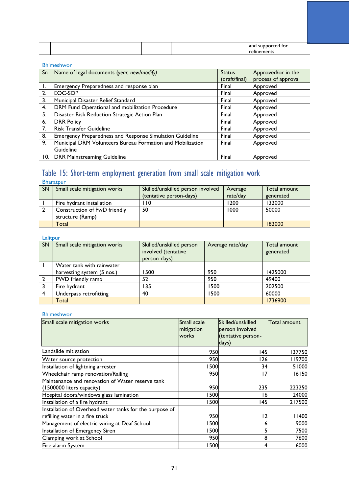|  |  | anc<br>ted for<br>suppo |
|--|--|-------------------------|
|  |  | $    -$<br>nenu.<br>    |

## Bhimeshwor

|    | Sn   Name of legal documents (year, new/modify)<br><b>Status</b> |               | Approved/or in the  |
|----|------------------------------------------------------------------|---------------|---------------------|
|    |                                                                  | (draft/final) | process of approval |
|    | Emergency Preparedness and response plan                         | Final         | Approved            |
| 2. | EOC-SOP                                                          | Final         | Approved            |
| 3. | Municipal Disaster Relief Standard                               | Final         | Approved            |
| 4. | DRM Fund Operational and mobilization Procedure                  | Final         | Approved            |
| 5. | Disaster Risk Reduction Strategic Action Plan                    | Final         | Approved            |
| 6. | <b>DRR Policy</b>                                                | Final         | Approved            |
| 7. | <b>Risk Transfer Guideline</b>                                   | Final         | Approved            |
| 8. | Emergency Preparedness and Response Simulation Guideline         | Final         | Approved            |
| 9. | Municipal DRM Volunteers Bureau Formation and Mobilization       | Final         | Approved            |
|    | Guideline                                                        |               |                     |
| 0. | <b>DRR Mainstreaming Guideline</b>                               | Final         | Approved            |

## Table 15: Short-term employment generation from small scale mitigation work Bharatpur

| <b>SN</b> | Small scale mitigation works                     | Skilled/unskilled person involved<br>(tentative person-days) | Average<br>rate/day | Total amount<br>generated |
|-----------|--------------------------------------------------|--------------------------------------------------------------|---------------------|---------------------------|
|           | Fire hydrant installation                        | l 10                                                         | 1200                | 132000                    |
|           | Construction of PwD friendly<br>structure (Ramp) | 50                                                           | 1000                | 50000                     |
|           | Total                                            |                                                              |                     | 182000                    |

## Lalitpur

| ------ |                              |                                                                 |                  |                           |
|--------|------------------------------|-----------------------------------------------------------------|------------------|---------------------------|
| SN     | Small scale mitigation works | Skilled/unskilled person<br>involved (tentative<br>person-days) | Average rate/day | Total amount<br>generated |
|        | Water tank with rainwater    |                                                                 |                  |                           |
|        | harvesting system (5 nos.)   | 1500                                                            | 950              | 1425000                   |
|        | PWD friendly ramp            | 52                                                              | 950              | 49400                     |
|        | Fire hydrant                 | 135                                                             | 1500             | 202500                    |
| 4      | Underpass retrofitting       | 40                                                              | 1500             | 60000                     |
|        | Total                        |                                                                 |                  | 1736900                   |

## Bhimeshwor

| Small scale mitigation works                            | Small scale<br>mitigation<br>works | Skilled/unskilled<br>person involved<br>(tentative person-<br>days) | <b>Total amount</b> |
|---------------------------------------------------------|------------------------------------|---------------------------------------------------------------------|---------------------|
| Landslide mitigation                                    | 950                                | 145                                                                 | 137750              |
| Water source protection                                 | 950                                | l 26                                                                | 119700              |
| Installation of lightning arrester                      | 500                                | 34                                                                  | 51000               |
| Wheelchair ramp renovation/Railing                      | 950                                | 17                                                                  | 16150               |
| Maintenance and renovation of Water reserve tank        |                                    |                                                                     |                     |
| (1500000 liters capacity)                               | 950                                | 235                                                                 | 223250              |
| Hospital doors/windows glass lamination                 | 500                                | 16                                                                  | 24000               |
| Installation of a fire hydrant                          | 500                                | 145                                                                 | 217500              |
| Installation of Overhead water tanks for the purpose of |                                    |                                                                     |                     |
| refilling water in a fire truck                         | 950                                | 12                                                                  | 11400               |
| Management of electric wiring at Deaf School            | 500                                |                                                                     | 9000                |
| Installation of Emergency Siren                         | 500                                |                                                                     | 7500                |
| Clamping work at School                                 | 950                                |                                                                     | 7600                |
| Fire alarm System                                       | 500                                |                                                                     | 6000                |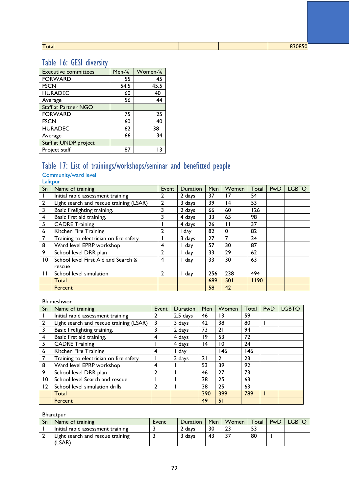| ı.<br>- 1<br>dl |  |
|-----------------|--|
|                 |  |

Total 830850

# Table 16: GESI diversity

| <b>Executive committees</b> | Men-% | Women-% |
|-----------------------------|-------|---------|
| <b>FORWARD</b>              | 55    | 45      |
| <b>FSCN</b>                 | 54.5  | 45.5    |
| <b>HURADEC</b>              | 60    | 40      |
| Average                     | 56    | 44      |
| <b>Staff at Partner NGO</b> |       |         |
| <b>FORWARD</b>              | 75    | 25      |
| <b>FSCN</b>                 | 60    | 40      |
| <b>HURADEC</b>              | 62    | 38      |
| Average                     | 66    | 34      |
| Staff at UNDP project       |       |         |
| Project staff               | 87    | 13      |

# Table 17: List of trainings/workshops/seminar and benefitted people

Community/ward level

Lalitpur

| $S_{n}$        | Name of training                        | Event          | <b>Duration</b> | Men | Women        | Total | PwD | <b>LGBTO</b> |
|----------------|-----------------------------------------|----------------|-----------------|-----|--------------|-------|-----|--------------|
|                | Initial rapid assessment training       | 2              | 2 days          | 37  | 17           | 54    |     |              |
| $\overline{2}$ | Light search and rescue training (LSAR) |                | 3 days          | 39  | 14           | 53    |     |              |
| 3              | Basic firefighting training.            | 3              | 2 days          | 66  | 60           | 126   |     |              |
| 4              | Basic first aid training.               | 3              | 4 days          | 33  | 65           | 98    |     |              |
| 5              | <b>CADRE Training</b>                   |                | 4 days          | 26  | $\mathbf{H}$ | 37    |     |              |
| 6              | Kitchen Fire Training                   |                | l day           | 82  | $\Omega$     | 82    |     |              |
| 7              | Training to electrician on fire safety  |                | 3 days          | 27  |              | 34    |     |              |
| 8              | Ward level EPRP workshop                | 4              | I day           | 57  | 30           | 87    |     |              |
| 9              | School level DRR plan                   | 2              | I day           | 33  | 29           | 62    |     |              |
| 10             | School level First Aid and Search &     | 4              | I day           | 33  | 30           | 63    |     |              |
|                | rescue                                  |                |                 |     |              |       |     |              |
| $\mathbf{1}$   | School level simulation                 | $\overline{2}$ | I day           | 256 | 238          | 494   |     |              |
|                | Total                                   |                |                 | 689 | 501          | 1190  |     |              |
|                | Percent                                 |                |                 | 58  | 42           |       |     |              |

### Bhimeshwor

| Sn              | Name of training                        | Event | <b>Duration</b> | Men | Women        | Total | <b>PwD</b> | <b>LGBTO</b> |
|-----------------|-----------------------------------------|-------|-----------------|-----|--------------|-------|------------|--------------|
|                 | Initial rapid assessment training       |       | $2.5$ days      | 46  | ۱3           | 59    |            |              |
| $\overline{2}$  | Light search and rescue training (LSAR) | 3     | 3 days          | 42  | 38           | 80    |            |              |
| 3               | Basic firefighting training.            | 3     | 2 days          | 73  | 21           | 94    |            |              |
| 4               | Basic first aid training.               | 4     | 4 days          | 19  | 53           | 72    |            |              |
| 5               | <b>CADRE Training</b>                   |       | 4 days          | 14  | 10           | 24    |            |              |
| 6               | Kitchen Fire Training                   | 4     | day             |     | 46           | 146   |            |              |
| 7               | Training to electrician on fire safety  |       | 3 days          | 21  | $\mathbf{2}$ | 23    |            |              |
| 8               | Ward level EPRP workshop                | 4     |                 | 53  | 39           | 92    |            |              |
| 9               | School level DRR plan                   |       |                 | 46  | 27           | 73    |            |              |
| $\overline{10}$ | School level Search and rescue          |       |                 | 38  | 25           | 63    |            |              |
| 12              | School level simulation drills          |       |                 | 38  | 25           | 63    |            |              |
|                 | Total                                   |       |                 | 390 | 399          | 789   |            |              |
|                 | Percent                                 |       |                 | 49  | 51           |       |            |              |

Bharatpur

| Sn | Name of training                           | Event | Duration | Men | Women | Total | PwD | <b>LGBTC</b> |
|----|--------------------------------------------|-------|----------|-----|-------|-------|-----|--------------|
|    | Initial rapid assessment training          |       | 2 days   | 30  |       |       |     |              |
|    | Light search and rescue training<br>(LSAR) |       | 3 days   |     |       | 80    |     |              |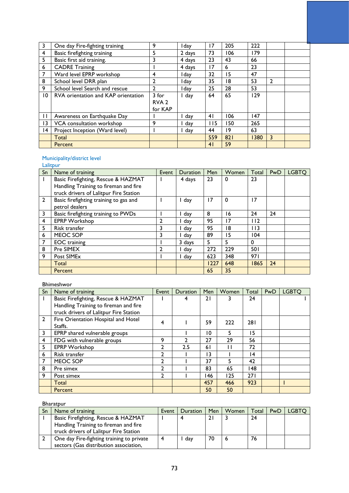| 3               | One day Fire-fighting training      | 9                                    | l dav  | 17  | 205 | 222  |                |  |
|-----------------|-------------------------------------|--------------------------------------|--------|-----|-----|------|----------------|--|
| 4               | Basic firefighting training         | 5                                    | 2 days | 73  | 106 | 179  |                |  |
| 5               | Basic first aid training.           | 3                                    | 4 days | 23  | 43  | 66   |                |  |
| 6               | <b>CADRE Training</b>               |                                      | 4 days | 17  | 6   | 23   |                |  |
| 7               | Ward level EPRP workshop            | 4                                    | l day  | 32  | 15  | 47   |                |  |
| 8               | School level DRR plan               | 2                                    | l dav  | 35  | 18  | 53   | $\overline{2}$ |  |
| 9               | School level Search and rescue      | $\overline{2}$                       | l dav  | 25  | 28  | 53   |                |  |
| $\overline{10}$ | RVA orientation and KAP orientation | 3 for<br>RVA <sub>2</sub><br>for KAP | day    | 64  | 65  | 129  |                |  |
| П               | Awareness on Earthquake Day         |                                      | day    | 41  | 106 | 147  |                |  |
| $\overline{13}$ | VCA consultation workshop           | 9                                    | day    | 115 | 150 | 265  |                |  |
| $\overline{14}$ | Project Inception (Ward level)      |                                      | day    | 44  | 19  | 63   |                |  |
|                 | Total                               |                                      |        | 559 | 821 | 1380 | 3              |  |
|                 | Percent                             |                                      |        | 41  | 59  |      |                |  |

## Municipality/district level

**Lalitpur** 

| Sn             | Name of training                                                                                                       | Event | <b>Duration</b> | Men  | Women          | Total      | PwD | <b>LGBTO</b> |
|----------------|------------------------------------------------------------------------------------------------------------------------|-------|-----------------|------|----------------|------------|-----|--------------|
| J.             | Basic Firefighting, Rescue & HAZMAT<br>Handling Training to fireman and fire<br>truck drivers of Lalitpur Fire Station |       | 4 days          | 23   | $\mathbf 0$    | 23         |     |              |
| $\overline{2}$ | Basic firefighting training to gas and<br>petrol dealers                                                               |       | I day           | 17   | $\Omega$       | 17         |     |              |
| 3              | Basic firefighting training to PWDs                                                                                    |       | day             | 8    | ۱6             | 24         | 24  |              |
| 4              | <b>EPRP Workshop</b>                                                                                                   |       | l day           | 95   | $\overline{7}$ | 112        |     |              |
| 5              | Risk transfer                                                                                                          | 3     | l day           | 95   | 18             | 113        |     |              |
| 6              | MEOC SOP                                                                                                               | 3     | day             | 89   | 15             | 104        |     |              |
| 7              | <b>EOC</b> training                                                                                                    |       | 3 days          | 5    | 5.             | $\Omega$   |     |              |
| 8              | Pre SIMEX                                                                                                              | າ     | day             | 272  | 229            | <b>501</b> |     |              |
| 9              | Post SIME <sub>x</sub>                                                                                                 |       | day             | 623  | 348            | 971        |     |              |
|                | Total                                                                                                                  |       |                 | 1227 | 648            | 1865       | 24  |              |
|                | Percent                                                                                                                |       |                 | 65   | 35             |            |     |              |

## Bhimeshwor

| Sn             | Name of training                               | Event          | <b>Duration</b> | Men | Women | Total | <b>PwD</b> | <b>LGBTO</b> |
|----------------|------------------------------------------------|----------------|-----------------|-----|-------|-------|------------|--------------|
|                | Basic Firefighting, Rescue & HAZMAT            |                | 4               | 21  | 3     | 24    |            |              |
|                | Handling Training to fireman and fire          |                |                 |     |       |       |            |              |
|                | truck drivers of Lalitpur Fire Station         |                |                 |     |       |       |            |              |
| $\overline{2}$ | Fire Orientation Hospital and Hotel<br>Staffs. | 4              |                 | 59  | 222   | 281   |            |              |
| 3              | EPRP shared vulnerable groups                  |                |                 | 10  | 5     | 15    |            |              |
| 4              | FDG with vulnerable groups                     | 9              | າ               | 27  | 29    | 56    |            |              |
| 5              | <b>EPRP Workshop</b>                           | $\mathbf{2}$   | 2.5             | 61  |       | 72    |            |              |
| 6              | Risk transfer                                  | $\mathbf{2}$   |                 | 13  |       | 14    |            |              |
| 7              | MEOC SOP                                       | $\mathbf{c}$   |                 | 37  | 5     | 42    |            |              |
| 8              | Pre simex                                      | $\overline{2}$ |                 | 83  | 65    | 148   |            |              |
| 9              | Post simex                                     | $\mathbf{2}$   |                 | 146 | 125   | 271   |            |              |
|                | Total                                          |                |                 | 457 | 466   | 923   |            |              |
|                | Percent                                        |                |                 | 50  | 50    |       |            |              |

Bharatpur

| Sn | Name of training                          | Event | <b>Duration</b> | Men | Women | Total | <b>PwD</b> | <b>LGBTQ</b> |
|----|-------------------------------------------|-------|-----------------|-----|-------|-------|------------|--------------|
|    | Basic Firefighting, Rescue & HAZMAT       |       |                 |     |       | 24    |            |              |
|    | Handling Training to fireman and fire     |       |                 |     |       |       |            |              |
|    | truck drivers of Lalitpur Fire Station    |       |                 |     |       |       |            |              |
|    | One day Fire-fighting training to private |       | day             |     |       | 76    |            |              |
|    | sectors (Gas distribution association,    |       |                 |     |       |       |            |              |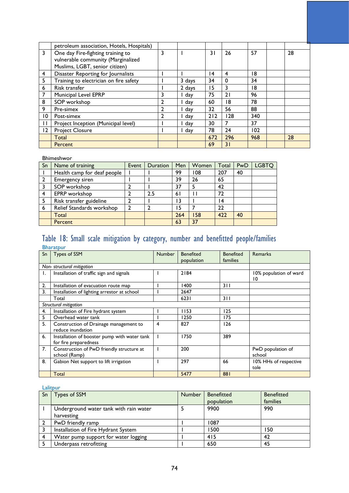|                 | petroleum association, Hotels, Hospitals) |   |        |     |          |     |    |
|-----------------|-------------------------------------------|---|--------|-----|----------|-----|----|
| 3               | One day Fire-fighting training to         | 3 |        | 31  | 26       | 57  | 28 |
|                 | vulnerable community (Marginalized        |   |        |     |          |     |    |
|                 | Muslims, LGBT, senior citizen)            |   |        |     |          |     |    |
| 4               | Disaster Reporting for Journalists        |   |        | 14  | 4        | 18  |    |
| 5               | Training to electrician on fire safety    |   | 3 days | 34  | $\Omega$ | 34  |    |
| 6               | Risk transfer                             |   | 2 days | 15  | 3        | 18  |    |
|                 | Municipal Level EPRP                      |   | day    | 75  | 21       | 96  |    |
| 8               | SOP workshop                              | 2 | day    | 60  | 18       | 78  |    |
| 9               | Pre-simex                                 | 2 | day    | 32  | 56       | 88  |    |
| $\overline{10}$ | Post-simex                                | 7 | day    | 212 | 128      | 340 |    |
| $\mathbf{I}$    | Project Inception (Municipal level)       |   | day    | 30  |          | 37  |    |
| 12              | <b>Project Closure</b>                    |   | day    | 78  | 24       | 102 |    |
|                 | Total                                     |   |        | 672 | 296      | 968 | 28 |
|                 | Percent                                   |   |        | 69  | 31       |     |    |

## Bhimeshwor

| Sn | Name of training            | Event          | Duration | Men | Women | Total | PwD | <b>LGBTQ</b> |
|----|-----------------------------|----------------|----------|-----|-------|-------|-----|--------------|
|    | Health camp for deaf people |                |          | 99  | 108   | 207   | 40  |              |
|    | Emergency siren             |                |          | 39  | 26    | 65    |     |              |
| 3  | SOP workshop                | 2              |          | 37  | 5     | 42    |     |              |
| 4  | EPRP workshop               | 2              | 2.5      | 61  |       | 72    |     |              |
| 5  | Risk transfer guideline     | 2              |          | 13  |       | ۱4    |     |              |
| 6  | Relief Standards workshop   | $\overline{2}$ |          | 15  |       | 22    |     |              |
|    | Total                       |                |          | 264 | 158   | 422   | 40  |              |
|    | Percent                     |                |          | 63  | 37    |       |     |              |

## Table 18: Small scale mitigation by category, number and benefitted people/families

|    | <b>Bharatpur</b>                                                      |               |                  |                  |                               |
|----|-----------------------------------------------------------------------|---------------|------------------|------------------|-------------------------------|
| Sn | Types of SSM                                                          | <b>Number</b> | <b>Benefited</b> | <b>Benefited</b> | <b>Remarks</b>                |
|    |                                                                       |               | population       | families         |                               |
|    | Non-structural mitigation                                             |               |                  |                  |                               |
| I. | Installation of traffic sign and signals                              |               | 2184             |                  | 10% population of ward<br>10  |
| 2. | Installation of evacuation route map                                  |               | 1400             | 3 I I            |                               |
| 3. | Installation of lighting arrestor at school                           |               | 2647             |                  |                               |
|    | Total                                                                 |               | 6231             | 311              |                               |
|    | Structural mitigation                                                 |               |                  |                  |                               |
| 4. | Installation of Fire hydrant system                                   |               | 1153             | 125              |                               |
| 5  | Overhead water tank                                                   |               | 1250             | 175              |                               |
| 5. | Construction of Drainage management to<br>reduce inundation           | 4             | 827              | 126              |                               |
| 6. | Installation of booster pump with water tank<br>for fire preparedness |               | 1750             | 389              |                               |
| 7. | Construction of PwD friendly structure at<br>school (Ramp)            |               | 200              |                  | PwD population of<br>school   |
| 8. | Gabion Net support to lift irrigation                                 |               | 297              | 66               | 10% HHs of respective<br>tole |
|    | <b>Total</b>                                                          |               | 5477             | 881              |                               |

## Lalitpur

| Sn | Types of SSM                           | <b>Number</b> | <b>Benefitted</b> | <b>Benefitted</b> |
|----|----------------------------------------|---------------|-------------------|-------------------|
|    |                                        |               | population        | families          |
|    | Underground water tank with rain water |               | 9900              | 990               |
|    | harvesting                             |               |                   |                   |
|    | PwD friendly ramp                      |               | 1087              |                   |
|    | Installation of Fire Hydrant System    |               | 1500              | 150               |
| Δ  | Water pump support for water logging   |               | 415               | 42                |
|    | Underpass retrofitting                 |               | 650               | 45                |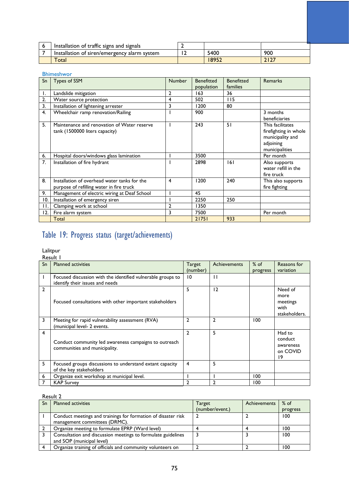| Installation of traffic signs and signals    |       |      |
|----------------------------------------------|-------|------|
| Installation of siren/emergency alarm system | 5400  | 900  |
| Total                                        | 18952 | 2127 |

#### Bhimeshwor Sn | Types of SSM Number | Benefitted population **Benefitted** families<br>36 Remarks 1. Landslide mitigation<br>
2. Water source protection<br>
2. Water source protection<br>
2. 2. 2. 2. 115 2. Water source protection 14 502 115<br>
3. Installation of lightening arrester 3 1200 80 3. Installation of lightening arrester 3 1200<br>
4. Wheelchair ramp renovation/Railing 1 900 wheelchair ramp renovation/Railing 1 900 3 months beneficiaries 5. Maintenance and renovation of Water reserve tank (1500000 liters capacity) 1 243 51 This facilitates firefighting in whole municipality and adjoining municipalities 6. Hospital doors/windows glass lamination 1 3500 Per month 7. Installation of fire hydrant 1 2898 161 Also supports water refill in the fire truck 8. Installation of overhead water tanks for the purpose of refilling water in fire truck 4 1200 240 This also supports fire fighting 9. Management of electric wiring at Deaf School 1 45<br>10. Installation of emergency siren 1 2250 10. Installation of emergency siren 1 2250 250 11. Clamping work at school 2 1350<br>12. Fire alarm system 3 7500 12. Fire alarm system 3 7500 Per month Total 21751 933

## Table 19: Progress status (target/achievements)

#### Lalitpur Result 1

|                | nesuru i                                                                                       |                |                     |          |                                                      |
|----------------|------------------------------------------------------------------------------------------------|----------------|---------------------|----------|------------------------------------------------------|
| Sn             | <b>Planned activities</b>                                                                      | Target         | <b>Achievements</b> | $%$ of   | Reasons for                                          |
|                |                                                                                                | (number)       |                     | progress | variation                                            |
| $\mathbf{I}$   | Focused discussion with the identified vulnerable groups to<br>identify their issues and needs | 10             | $\mathbf{H}$        |          |                                                      |
| $\overline{2}$ | Focused consultations with other important stakeholders                                        | 5              | 12                  |          | Need of<br>more<br>meetings<br>with<br>stakeholders. |
| 3              | Meeting for rapid vulnerability assessment (RVA)<br>(municipal level- 2 events.                | $\overline{2}$ | $\mathbf{2}$        | 100      |                                                      |
| $\overline{4}$ | Conduct community led awareness campaigns to outreach<br>communities and municipality.         | $\overline{2}$ | 5                   |          | Had to<br>conduct<br>awareness<br>on COVID<br>19     |
| 5              | Focused groups discussions to understand extant capacity<br>of the key stakeholders            | $\overline{4}$ | 5                   |          |                                                      |
| 6              | Organize exit workshop at municipal level.                                                     |                |                     | 100      |                                                      |
|                | <b>KAP Survey</b>                                                                              | 2              | 2                   | 100      |                                                      |

## Result 2

| Sn | <b>Planned activities</b>                                                                 | <b>Target</b>   | <b>Achievements</b> | $%$ of   |
|----|-------------------------------------------------------------------------------------------|-----------------|---------------------|----------|
|    |                                                                                           | (number/event.) |                     | progress |
|    | Conduct meetings and trainings for formation of disaster risk                             |                 |                     | 100      |
|    | management committees (DRMC).                                                             |                 |                     |          |
|    | Organize meeting to formulate EPRP (Ward level)                                           |                 |                     | 100      |
|    | Consultation and discussion meetings to formulate guidelines<br>and SOP (municipal level) |                 |                     | 100      |
|    | Organize training of officials and community volunteers on                                |                 |                     | 100      |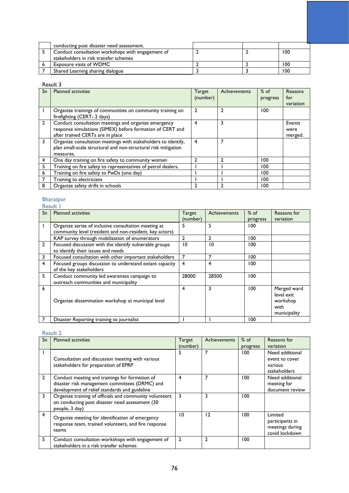| conducting post disaster need assessment.         |  |     |
|---------------------------------------------------|--|-----|
| Conduct consultation workshops with engagement of |  | 100 |
| stakeholders in risk transfer schemes             |  |     |
| Exposure visits of WDMC                           |  | 100 |
| Shared Learning sharing dialogue                  |  | 100 |

## Result 3

| Sn             | <b>Planned activities</b>                                      | <b>Target</b> | Achievements | $%$ of   | Reasons   |
|----------------|----------------------------------------------------------------|---------------|--------------|----------|-----------|
|                |                                                                | (number)      |              | progress | for       |
|                |                                                                |               |              |          | variation |
|                | Organize trainings of communities on community training on     | 2             | 2            | 100      |           |
|                | firefighting (CERT- 2 days)                                    |               |              |          |           |
| $\overline{2}$ | Conduct consultation meetings and organize emergency           | 4             | 3            |          | Events    |
|                | response simulations (SIMEX) before formation of CERT and      |               |              |          | were      |
|                | after trained CERTs are in place                               |               |              |          | merged.   |
| 3              | Organize consultation meetings with stakeholders to identify,  | 4             | 7            |          |           |
|                | plan small-scale structural and non-structural risk mitigation |               |              |          |           |
|                | measures.                                                      |               |              |          |           |
| 4              | One day training on fire safety to community women             | า             | 2            | 100      |           |
| 5              | Training on fire safety to representatives of petrol dealers.  |               |              | 100      |           |
| 6              | Training on fire safety to PwDs (one day)                      |               |              | 100      |           |
|                | Training to electricians                                       |               |              | 100      |           |
| 8              | Organize safety drills in schools                              |               |              | 00 ا     |           |

### Bharatpur

|                | Result I                                                |               |              |          |              |
|----------------|---------------------------------------------------------|---------------|--------------|----------|--------------|
| Sn             | <b>Planned activities</b>                               | <b>Target</b> | Achievements | $%$ of   | Reasons for  |
|                |                                                         | (number)      |              | progress | variation    |
|                | Organize series of inclusive consultation meeting at    | 5             | 5            | 100      |              |
|                | community level (resident and non-resident, key actors) |               |              |          |              |
|                | KAP survey through mobilization of enumerators          | 2             | 2            | 100      |              |
| $\overline{2}$ | Focused discussion with the identify vulnerable groups  | 10            | 10           | 100      |              |
|                | to identify their issues and needs                      |               |              |          |              |
| 3              | Focused consultation with other important stakeholders  | 7             | 7            | 100      |              |
| 4              | Focused groups discussion to understand extant capacity | 4             | 4            | 100      |              |
|                | of the key stakeholders                                 |               |              |          |              |
| 5              | Conduct community led awareness campaign to             | 28000         | 28500        | 100      |              |
|                | outreach communities and municipality                   |               |              |          |              |
| 6              |                                                         | 4             | 3            | 100      | Merged ward  |
|                |                                                         |               |              |          | level exit   |
|                | Organize dissemination workshop at municipal level      |               |              |          | workshop     |
|                |                                                         |               |              |          | with         |
|                |                                                         |               |              |          | municipality |
|                | Disaster Reporting training to journalist               |               |              | 100      |              |

## Result 2

| Sn           | <b>Planned activities</b>                                                                                                                         | <b>Target</b>  | <b>Achievements</b> | $%$ of   | Reasons for                                                     |
|--------------|---------------------------------------------------------------------------------------------------------------------------------------------------|----------------|---------------------|----------|-----------------------------------------------------------------|
|              |                                                                                                                                                   | (number)       |                     | progress | variation                                                       |
|              | Consultation and discussion meeting with various<br>stakeholders for preparation of EPRP                                                          | 5              |                     | 100      | Need additional<br>event to cover<br>various<br>stakeholders    |
| $\mathbf{2}$ | Conduct meeting and trainings for formation of<br>disaster risk management committees (DRMC) and<br>development of relief standards and guideline | 4              | 7                   | 100      | Need additional<br>meeting for<br>document review               |
| 3            | Organize training of officials and community volunteers<br>on conducting post disaster need assessment (30<br>people, 3 day)                      | 3              | 3                   | 100      |                                                                 |
| 4            | Organize meeting for identification of emergency<br>response team, trained volunteers, and fire response<br>teams                                 | 10             | 12                  | 100      | Limited<br>participants in<br>meetings during<br>covid lockdown |
| 5            | Conduct consultation workshops with engagement of<br>stakeholders in a risk transfer schemes                                                      | $\overline{2}$ | 2                   | 100      |                                                                 |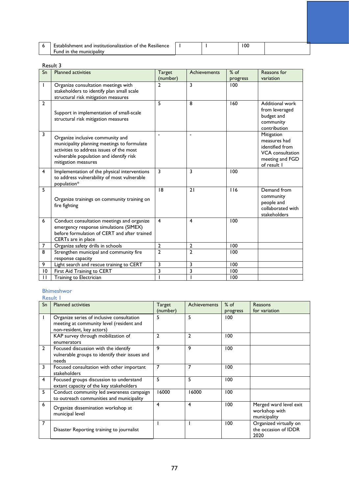| <br><b>Resilience</b><br>t and institutionalization of :<br>-stablishment.<br>the |  | 100 |  |
|-----------------------------------------------------------------------------------|--|-----|--|
| -und-<br>municipality<br>the<br>ın                                                |  |     |  |

## Result 3

| Sn             | <b>Planned activities</b>                                                                                                                                                                     | <b>Target</b>           | Achievements            | $%$ of   | Reasons for                                                                                                |
|----------------|-----------------------------------------------------------------------------------------------------------------------------------------------------------------------------------------------|-------------------------|-------------------------|----------|------------------------------------------------------------------------------------------------------------|
|                |                                                                                                                                                                                               | (number)                |                         | progress | variation                                                                                                  |
| $\mathsf{I}$   | Organize consultation meetings with<br>stakeholders to identify plan small scale<br>structural risk mitigation measures                                                                       | $\mathbf{2}$            | 3                       | 100      |                                                                                                            |
| $\overline{2}$ | Support in implementation of small-scale<br>structural risk mitigation measures                                                                                                               | 5                       | 8                       | 160      | Additional work<br>from leveraged<br>budget and<br>community<br>contribution                               |
| 3              | Organize inclusive community and<br>municipality planning meetings to formulate<br>activities to address issues of the most<br>vulnerable population and identify risk<br>mitigation measures |                         |                         |          | Mitigation<br>measures had<br>identified from<br><b>VCA</b> consultation<br>meeting and FGD<br>of result I |
| $\overline{4}$ | Implementation of the physical interventions<br>to address vulnerability of most vulnerable<br>population*                                                                                    | 3                       | $\overline{3}$          | 100      |                                                                                                            |
| 5              | Organize trainings on community training on<br>fire fighting                                                                                                                                  | 18                      | 21                      | 116      | Demand from<br>community<br>people and<br>collaborated with<br>stakeholders                                |
| 6              | Conduct consultation meetings and organize<br>emergency response simulations (SIMEX)<br>before formulation of CERT and after trained<br>CERTs are in place                                    | $\overline{4}$          | $\overline{\mathbf{4}}$ | 100      |                                                                                                            |
| 7              | Organize safety drills in schools                                                                                                                                                             | $\overline{2}$          | $\overline{2}$          | 100      |                                                                                                            |
| 8              | Strengthen municipal and community fire<br>response capacity                                                                                                                                  | $\overline{2}$          | $\overline{2}$          | 100      |                                                                                                            |
| 9              | Light search and rescue training to CERT                                                                                                                                                      | 3                       | 3                       | 100      |                                                                                                            |
| 10             | First Aid Training to CERT                                                                                                                                                                    | $\overline{\mathbf{3}}$ | 3                       | 100      |                                                                                                            |
| $\mathbf{H}$   | Training to Electrician                                                                                                                                                                       |                         |                         | 100      |                                                                                                            |

### Bhimeshwor

|                | Result 1                                                                                                           |                    |                     |                    |                                                         |  |  |
|----------------|--------------------------------------------------------------------------------------------------------------------|--------------------|---------------------|--------------------|---------------------------------------------------------|--|--|
| Sn             | <b>Planned activities</b>                                                                                          | Target<br>(number) | <b>Achievements</b> | $%$ of<br>progress | Reasons<br>for variation                                |  |  |
| $\mathbf{I}$   | Organize series of inclusive consultation<br>meeting at community level (resident and<br>non-resident, key actors) | 5                  | 5                   | 100                |                                                         |  |  |
|                | KAP survey through mobilization of<br>enumerators                                                                  | $\mathbf{2}$       | $\overline{2}$      | 100                |                                                         |  |  |
| $\overline{2}$ | Focused discussion with the identify<br>vulnerable groups to identify their issues and<br>needs                    | 9                  | 9                   | 100                |                                                         |  |  |
| 3              | Focused consultation with other important<br>stakeholders                                                          | 7                  | 7                   | 100                |                                                         |  |  |
| 4              | Focused groups discussion to understand<br>extant capacity of the key stakeholders                                 | 5                  | 5                   | 100                |                                                         |  |  |
| 5              | Conduct community led awareness campaign<br>to outreach communities and municipality                               | 16000              | 16000               | 100                |                                                         |  |  |
| 6              | Organize dissemination workshop at<br>municipal level                                                              | 4                  | 4                   | 100                | Merged ward level exit<br>workshop with<br>municipality |  |  |
| 7              | Disaster Reporting training to journalist                                                                          |                    |                     | 100                | Organized virtually on<br>the occasion of IDDR<br>2020  |  |  |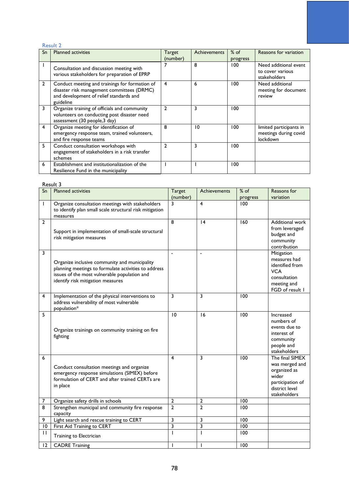## Result 2

| Sn           | <b>Planned activities</b>                                                                                                                            | <b>Target</b><br>(number) | Achievements | $%$ of<br>progress | Reasons for variation                                        |
|--------------|------------------------------------------------------------------------------------------------------------------------------------------------------|---------------------------|--------------|--------------------|--------------------------------------------------------------|
|              | Consultation and discussion meeting with<br>various stakeholders for preparation of EPRP                                                             |                           | 8            | 100                | Need additional event<br>to cover various<br>stakeholders    |
| $\mathbf{2}$ | Conduct meeting and trainings for formation of<br>disaster risk management committees (DRMC)<br>and development of relief standards and<br>guideline | 4                         | 6            | 100                | Need additional<br>meeting for document<br>review            |
| 3            | Organize training of officials and community<br>volunteers on conducting post disaster need<br>assessment (30 people, 3 day)                         |                           | 3            | 100                |                                                              |
| 4            | Organize meeting for identification of<br>emergency response team, trained volunteers,<br>and fire response teams                                    | 8                         | 10           | 100                | limited participants in<br>meetings during covid<br>lockdown |
| 5            | Conduct consultation workshops with<br>engagement of stakeholders in a risk transfer<br>schemes                                                      | $\mathfrak{p}$            | 3            | 100                |                                                              |
| 6            | Establishment and institutionalization of the<br>Resilience Fund in the municipality                                                                 |                           |              | 100                |                                                              |

### Result 3

| $\overline{\mathsf{S}}$ n | <b>Planned activities</b>                                                                                                                                                                  | Target         | <b>Achievements</b>     | $%$ of           | Reasons for                                                                                                      |
|---------------------------|--------------------------------------------------------------------------------------------------------------------------------------------------------------------------------------------|----------------|-------------------------|------------------|------------------------------------------------------------------------------------------------------------------|
|                           |                                                                                                                                                                                            | (number)       |                         | progress         | variation                                                                                                        |
| $\mathsf{I}$              | Organize consultation meetings with stakeholders<br>to identify plan small scale structural risk mitigation<br>measures                                                                    | 3              | 4                       | 100              |                                                                                                                  |
| $\overline{2}$            | Support in implementation of small-scale structural<br>risk mitigation measures                                                                                                            | 8              | 4                       | 160              | Additional work<br>from leveraged<br>budget and<br>community<br>contribution                                     |
| 3                         | Organize inclusive community and municipality<br>planning meetings to formulate activities to address<br>issues of the most vulnerable population and<br>identify risk mitigation measures |                | $\overline{a}$          |                  | Mitigation<br>measures had<br>identified from<br><b>VCA</b><br>consultation<br>meeting and<br>FGD of result I    |
| 4                         | Implementation of the physical interventions to<br>address vulnerability of most vulnerable<br>population*                                                                                 | 3              | 3                       | 100              |                                                                                                                  |
| 5                         | Organize trainings on community training on fire<br>fighting                                                                                                                               | 10             | 16                      | 100              | Increased<br>numbers of<br>events due to<br>interest of<br>community<br>people and<br>stakeholders               |
| 6                         | Conduct consultation meetings and organize<br>emergency response simulations (SIMEX) before<br>formulation of CERT and after trained CERTs are<br>in place                                 | 4              | 3                       | 100              | The final SIMEX<br>was merged and<br>organized as<br>wider<br>participation of<br>district level<br>stakeholders |
| 7                         | Organize safety drills in schools                                                                                                                                                          | $\mathbf{2}$   | 2                       | 100              |                                                                                                                  |
| 8                         | Strengthen municipal and community fire response<br>capacity                                                                                                                               | $\overline{2}$ | $\overline{2}$          | 100              |                                                                                                                  |
| 9                         | Light search and rescue training to CERT                                                                                                                                                   | 3              | 3                       | 100              |                                                                                                                  |
| 10                        | First Aid Training to CERT                                                                                                                                                                 | 3              | $\overline{\mathbf{3}}$ | $\overline{100}$ |                                                                                                                  |
| $\mathbf{H}$              | Training to Electrician                                                                                                                                                                    |                | $\overline{1}$          | 100              |                                                                                                                  |
| 12                        | <b>CADRE Training</b>                                                                                                                                                                      |                |                         | 100              |                                                                                                                  |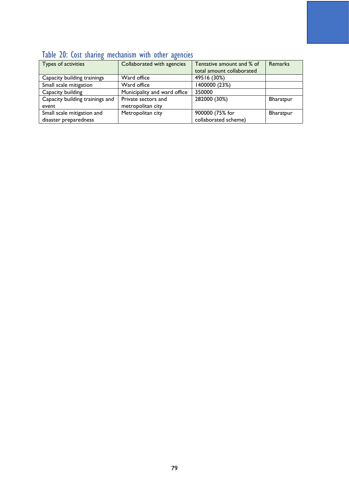| TWOIG EV. GOOG JUMINIC INCOMMITANT MIGHT VEHET MCCHICICO |                              |                           |                  |  |  |  |  |
|----------------------------------------------------------|------------------------------|---------------------------|------------------|--|--|--|--|
| Types of activities                                      | Collaborated with agencies   | Tentative amount and % of | Remarks          |  |  |  |  |
|                                                          |                              | total amount collaborated |                  |  |  |  |  |
| Capacity building trainings                              | Ward office                  | 49516 (30%)               |                  |  |  |  |  |
| Small scale mitigation                                   | Ward office                  | 1400000 (23%)             |                  |  |  |  |  |
| Capacity building                                        | Municipality and ward office | 350000                    |                  |  |  |  |  |
| Capacity building trainings and                          | Private sectors and          | 282000 (30%)              | Bharatpur        |  |  |  |  |
| event                                                    | metropolitan city            |                           |                  |  |  |  |  |
| Small scale mitigation and                               | Metropolitan city            | 900000 (75% for           | <b>Bharatpur</b> |  |  |  |  |
| disaster preparedness                                    |                              | collaborated scheme)      |                  |  |  |  |  |

## Table 20: Cost sharing mechanism with other agencies